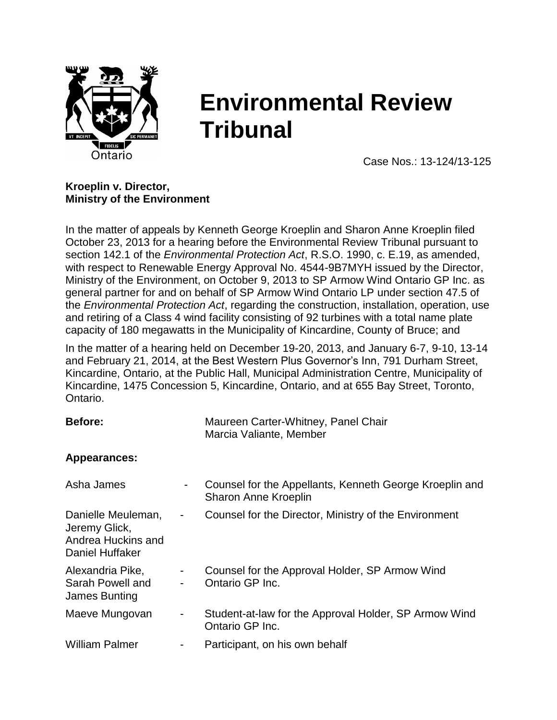

# **Environmental Review Tribunal**

Case Nos.: 13-124/13-125

## **Kroeplin v. Director, Ministry of the Environment**

In the matter of appeals by Kenneth George Kroeplin and Sharon Anne Kroeplin filed October 23, 2013 for a hearing before the Environmental Review Tribunal pursuant to section 142.1 of the *Environmental Protection Act*, R.S.O. 1990, c. E.19, as amended, with respect to Renewable Energy Approval No. 4544-9B7MYH issued by the Director, Ministry of the Environment, on October 9, 2013 to SP Armow Wind Ontario GP Inc. as general partner for and on behalf of SP Armow Wind Ontario LP under section 47.5 of the *Environmental Protection Act*, regarding the construction, installation, operation, use and retiring of a Class 4 wind facility consisting of 92 turbines with a total name plate capacity of 180 megawatts in the Municipality of Kincardine, County of Bruce; and

In the matter of a hearing held on December 19-20, 2013, and January 6-7, 9-10, 13-14 and February 21, 2014, at the Best Western Plus Governor's Inn, 791 Durham Street, Kincardine, Ontario, at the Public Hall, Municipal Administration Centre, Municipality of Kincardine, 1475 Concession 5, Kincardine, Ontario, and at 655 Bay Street, Toronto, Ontario.

| <b>Before:</b>                                                               |                          | Maureen Carter-Whitney, Panel Chair<br>Marcia Valiante, Member                  |
|------------------------------------------------------------------------------|--------------------------|---------------------------------------------------------------------------------|
| <b>Appearances:</b>                                                          |                          |                                                                                 |
| Asha James                                                                   | $\overline{\phantom{a}}$ | Counsel for the Appellants, Kenneth George Kroeplin and<br>Sharon Anne Kroeplin |
| Danielle Meuleman,<br>Jeremy Glick,<br>Andrea Huckins and<br>Daniel Huffaker | ۰.                       | Counsel for the Director, Ministry of the Environment                           |
| Alexandria Pike,<br>Sarah Powell and<br>James Bunting                        | $\sim$                   | Counsel for the Approval Holder, SP Armow Wind<br>Ontario GP Inc.               |
| Maeve Mungovan                                                               | ۰                        | Student-at-law for the Approval Holder, SP Armow Wind<br>Ontario GP Inc.        |
| <b>William Palmer</b>                                                        | -                        | Participant, on his own behalf                                                  |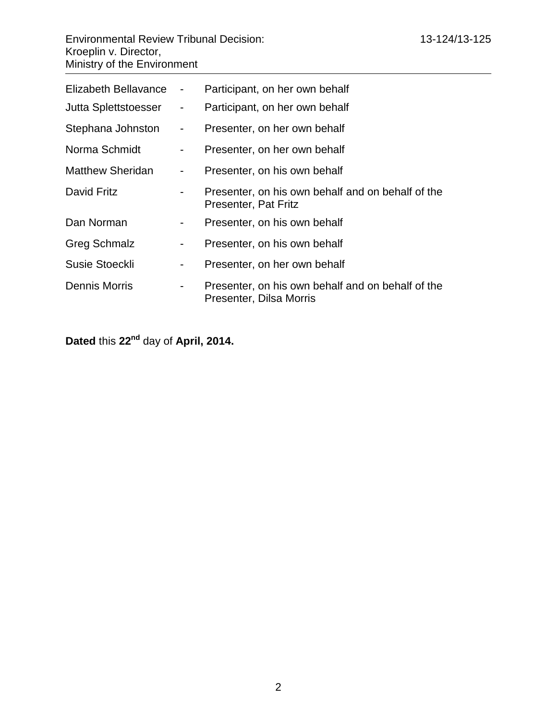| Elizabeth Bellavance    | $\blacksquare$           | Participant, on her own behalf                                               |
|-------------------------|--------------------------|------------------------------------------------------------------------------|
| Jutta Splettstoesser    | $\sim 100$               | Participant, on her own behalf                                               |
| Stephana Johnston       | $\sim 100$               | Presenter, on her own behalf                                                 |
| Norma Schmidt           | $\sim$                   | Presenter, on her own behalf                                                 |
| <b>Matthew Sheridan</b> | $\overline{\phantom{a}}$ | Presenter, on his own behalf                                                 |
| David Fritz             |                          | Presenter, on his own behalf and on behalf of the<br>Presenter, Pat Fritz    |
| Dan Norman              | $\blacksquare$           | Presenter, on his own behalf                                                 |
| <b>Greg Schmalz</b>     | -                        | Presenter, on his own behalf                                                 |
| Susie Stoeckli          | $\blacksquare$           | Presenter, on her own behalf                                                 |
| Dennis Morris           | -                        | Presenter, on his own behalf and on behalf of the<br>Presenter, Dilsa Morris |

**Dated** this **22nd** day of **April, 2014.**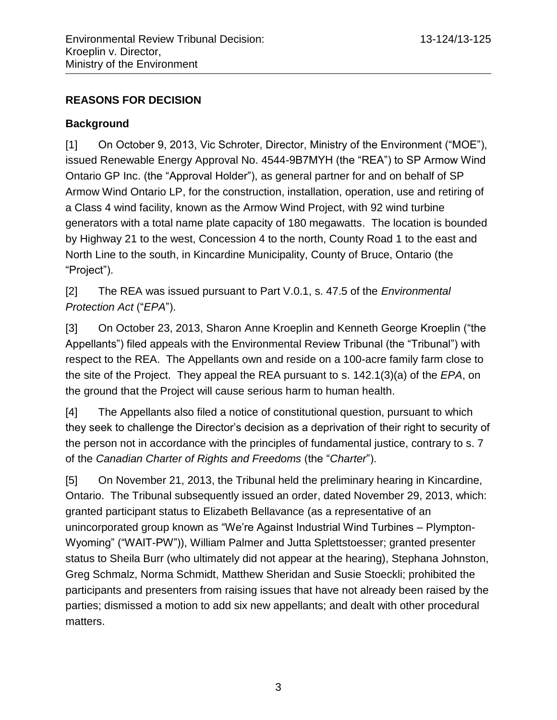# **REASONS FOR DECISION**

# **Background**

[1] On October 9, 2013, Vic Schroter, Director, Ministry of the Environment ("MOE"), issued Renewable Energy Approval No. 4544-9B7MYH (the "REA") to SP Armow Wind Ontario GP Inc. (the "Approval Holder"), as general partner for and on behalf of SP Armow Wind Ontario LP, for the construction, installation, operation, use and retiring of a Class 4 wind facility, known as the Armow Wind Project, with 92 wind turbine generators with a total name plate capacity of 180 megawatts. The location is bounded by Highway 21 to the west, Concession 4 to the north, County Road 1 to the east and North Line to the south, in Kincardine Municipality, County of Bruce, Ontario (the "Project").

[2] The REA was issued pursuant to Part V.0.1, s. 47.5 of the *Environmental Protection Act* ("*EPA*").

[3] On October 23, 2013, Sharon Anne Kroeplin and Kenneth George Kroeplin ("the Appellants") filed appeals with the Environmental Review Tribunal (the "Tribunal") with respect to the REA. The Appellants own and reside on a 100-acre family farm close to the site of the Project. They appeal the REA pursuant to s. 142.1(3)(a) of the *EPA*, on the ground that the Project will cause serious harm to human health.

[4] The Appellants also filed a notice of constitutional question, pursuant to which they seek to challenge the Director's decision as a deprivation of their right to security of the person not in accordance with the principles of fundamental justice, contrary to s. 7 of the *Canadian Charter of Rights and Freedoms* (the "*Charter*").

[5] On November 21, 2013, the Tribunal held the preliminary hearing in Kincardine, Ontario. The Tribunal subsequently issued an order, dated November 29, 2013, which: granted participant status to Elizabeth Bellavance (as a representative of an unincorporated group known as "We're Against Industrial Wind Turbines – Plympton-Wyoming" ("WAIT-PW")), William Palmer and Jutta Splettstoesser; granted presenter status to Sheila Burr (who ultimately did not appear at the hearing), Stephana Johnston, Greg Schmalz, Norma Schmidt, Matthew Sheridan and Susie Stoeckli; prohibited the participants and presenters from raising issues that have not already been raised by the parties; dismissed a motion to add six new appellants; and dealt with other procedural matters.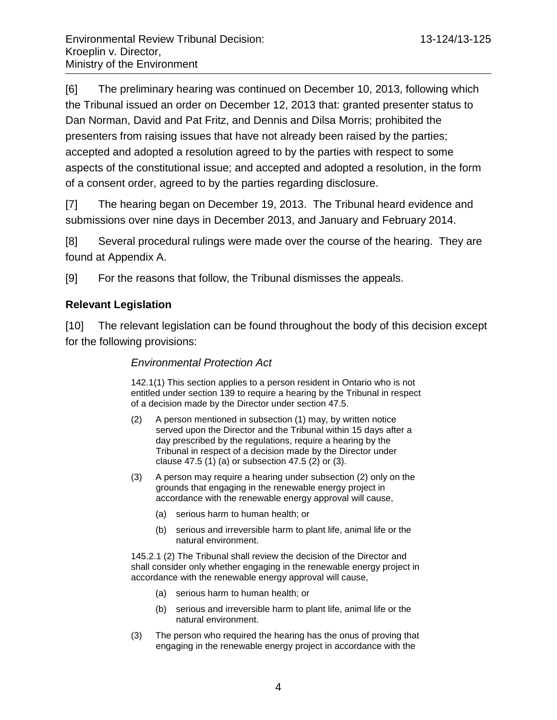[6] The preliminary hearing was continued on December 10, 2013, following which the Tribunal issued an order on December 12, 2013 that: granted presenter status to Dan Norman, David and Pat Fritz, and Dennis and Dilsa Morris; prohibited the presenters from raising issues that have not already been raised by the parties; accepted and adopted a resolution agreed to by the parties with respect to some aspects of the constitutional issue; and accepted and adopted a resolution, in the form of a consent order, agreed to by the parties regarding disclosure.

[7] The hearing began on December 19, 2013. The Tribunal heard evidence and submissions over nine days in December 2013, and January and February 2014.

[8] Several procedural rulings were made over the course of the hearing. They are found at Appendix A.

[9] For the reasons that follow, the Tribunal dismisses the appeals.

## **Relevant Legislation**

[10] The relevant legislation can be found throughout the body of this decision except for the following provisions:

#### *Environmental Protection Act*

142.1(1) This section applies to a person resident in Ontario who is not entitled under section 139 to require a hearing by the Tribunal in respect of a decision made by the Director under section 47.5.

- (2) A person mentioned in subsection (1) may, by written notice served upon the Director and the Tribunal within 15 days after a day prescribed by the regulations, require a hearing by the Tribunal in respect of a decision made by the Director under clause 47.5 (1) (a) or subsection 47.5 (2) or (3).
- (3) A person may require a hearing under subsection (2) only on the grounds that engaging in the renewable energy project in accordance with the renewable energy approval will cause,
	- (a) serious harm to human health; or
	- (b) serious and irreversible harm to plant life, animal life or the natural environment.

145.2.1 (2) The Tribunal shall review the decision of the Director and shall consider only whether engaging in the renewable energy project in accordance with the renewable energy approval will cause,

- (a) serious harm to human health; or
- (b) serious and irreversible harm to plant life, animal life or the natural environment.
- (3) The person who required the hearing has the onus of proving that engaging in the renewable energy project in accordance with the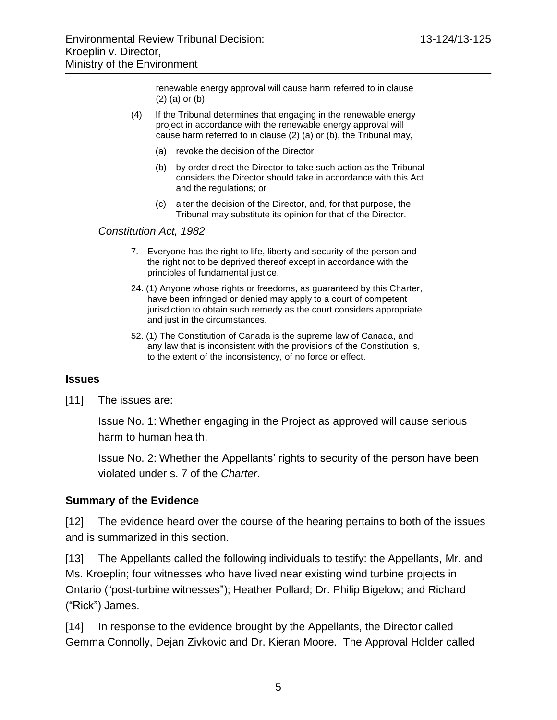renewable energy approval will cause harm referred to in clause (2) (a) or (b).

- (4) If the Tribunal determines that engaging in the renewable energy project in accordance with the renewable energy approval will cause harm referred to in clause (2) (a) or (b), the Tribunal may,
	- (a) revoke the decision of the Director;
	- (b) by order direct the Director to take such action as the Tribunal considers the Director should take in accordance with this Act and the regulations; or
	- (c) alter the decision of the Director, and, for that purpose, the Tribunal may substitute its opinion for that of the Director.

*Constitution Act, 1982*

- 7. Everyone has the right to life, liberty and security of the person and the right not to be deprived thereof except in accordance with the principles of fundamental justice.
- 24. (1) Anyone whose rights or freedoms, as guaranteed by this Charter, have been infringed or denied may apply to a court of competent jurisdiction to obtain such remedy as the court considers appropriate and just in the circumstances.
- 52. (1) The Constitution of Canada is the supreme law of Canada, and any law that is inconsistent with the provisions of the Constitution is, to the extent of the inconsistency, of no force or effect.

## **Issues**

[11] The issues are:

Issue No. 1: Whether engaging in the Project as approved will cause serious harm to human health.

Issue No. 2: Whether the Appellants' rights to security of the person have been violated under s. 7 of the *Charter*.

## **Summary of the Evidence**

[12] The evidence heard over the course of the hearing pertains to both of the issues and is summarized in this section.

[13] The Appellants called the following individuals to testify: the Appellants, Mr. and Ms. Kroeplin; four witnesses who have lived near existing wind turbine projects in Ontario ("post-turbine witnesses"); Heather Pollard; Dr. Philip Bigelow; and Richard ("Rick") James.

[14] In response to the evidence brought by the Appellants, the Director called Gemma Connolly, Dejan Zivkovic and Dr. Kieran Moore. The Approval Holder called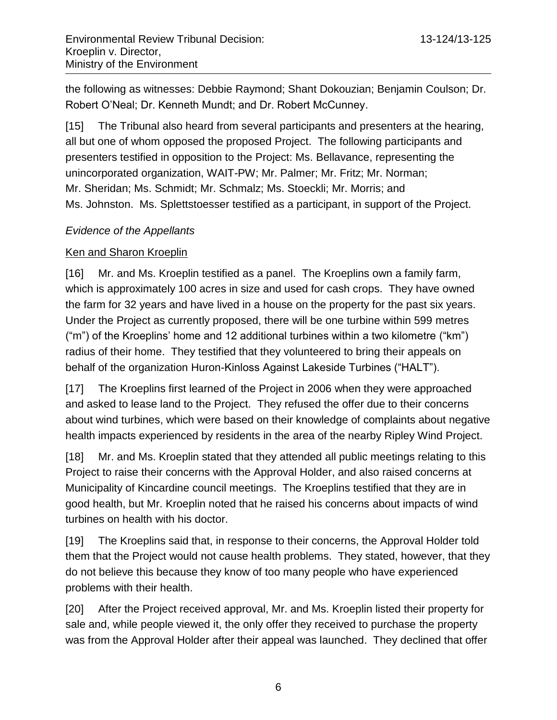the following as witnesses: Debbie Raymond; Shant Dokouzian; Benjamin Coulson; Dr. Robert O'Neal; Dr. Kenneth Mundt; and Dr. Robert McCunney.

[15] The Tribunal also heard from several participants and presenters at the hearing, all but one of whom opposed the proposed Project. The following participants and presenters testified in opposition to the Project: Ms. Bellavance, representing the unincorporated organization, WAIT-PW; Mr. Palmer; Mr. Fritz; Mr. Norman; Mr. Sheridan; Ms. Schmidt; Mr. Schmalz; Ms. Stoeckli; Mr. Morris; and Ms. Johnston. Ms. Splettstoesser testified as a participant, in support of the Project.

# *Evidence of the Appellants*

# Ken and Sharon Kroeplin

[16] Mr. and Ms. Kroeplin testified as a panel. The Kroeplins own a family farm, which is approximately 100 acres in size and used for cash crops. They have owned the farm for 32 years and have lived in a house on the property for the past six years. Under the Project as currently proposed, there will be one turbine within 599 metres ("m") of the Kroeplins' home and 12 additional turbines within a two kilometre ("km") radius of their home. They testified that they volunteered to bring their appeals on behalf of the organization Huron-Kinloss Against Lakeside Turbines ("HALT").

[17] The Kroeplins first learned of the Project in 2006 when they were approached and asked to lease land to the Project. They refused the offer due to their concerns about wind turbines, which were based on their knowledge of complaints about negative health impacts experienced by residents in the area of the nearby Ripley Wind Project.

[18] Mr. and Ms. Kroeplin stated that they attended all public meetings relating to this Project to raise their concerns with the Approval Holder, and also raised concerns at Municipality of Kincardine council meetings. The Kroeplins testified that they are in good health, but Mr. Kroeplin noted that he raised his concerns about impacts of wind turbines on health with his doctor.

[19] The Kroeplins said that, in response to their concerns, the Approval Holder told them that the Project would not cause health problems. They stated, however, that they do not believe this because they know of too many people who have experienced problems with their health.

[20] After the Project received approval, Mr. and Ms. Kroeplin listed their property for sale and, while people viewed it, the only offer they received to purchase the property was from the Approval Holder after their appeal was launched. They declined that offer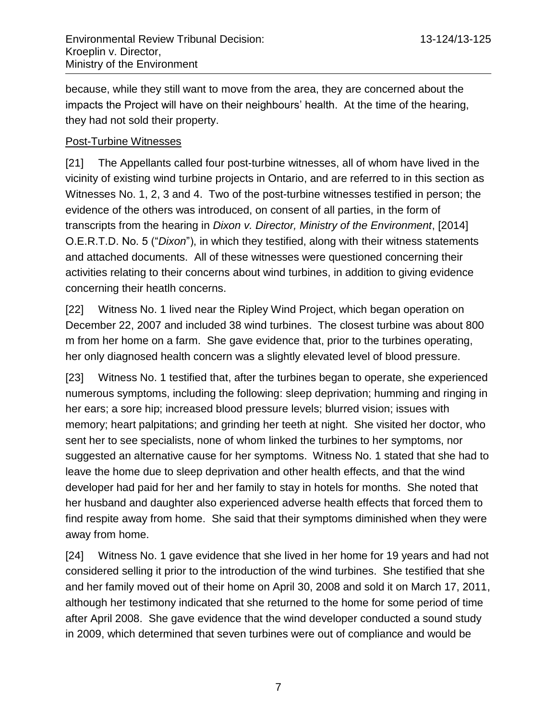because, while they still want to move from the area, they are concerned about the impacts the Project will have on their neighbours' health. At the time of the hearing, they had not sold their property.

## Post-Turbine Witnesses

[21] The Appellants called four post-turbine witnesses, all of whom have lived in the vicinity of existing wind turbine projects in Ontario, and are referred to in this section as Witnesses No. 1, 2, 3 and 4. Two of the post-turbine witnesses testified in person; the evidence of the others was introduced, on consent of all parties, in the form of transcripts from the hearing in *Dixon v. Director, Ministry of the Environment*, [2014] O.E.R.T.D. No. 5 ("*Dixon*"), in which they testified, along with their witness statements and attached documents. All of these witnesses were questioned concerning their activities relating to their concerns about wind turbines, in addition to giving evidence concerning their heatlh concerns.

[22] Witness No. 1 lived near the Ripley Wind Project, which began operation on December 22, 2007 and included 38 wind turbines. The closest turbine was about 800 m from her home on a farm. She gave evidence that, prior to the turbines operating, her only diagnosed health concern was a slightly elevated level of blood pressure.

[23] Witness No. 1 testified that, after the turbines began to operate, she experienced numerous symptoms, including the following: sleep deprivation; humming and ringing in her ears; a sore hip; increased blood pressure levels; blurred vision; issues with memory; heart palpitations; and grinding her teeth at night. She visited her doctor, who sent her to see specialists, none of whom linked the turbines to her symptoms, nor suggested an alternative cause for her symptoms. Witness No. 1 stated that she had to leave the home due to sleep deprivation and other health effects, and that the wind developer had paid for her and her family to stay in hotels for months. She noted that her husband and daughter also experienced adverse health effects that forced them to find respite away from home. She said that their symptoms diminished when they were away from home.

[24] Witness No. 1 gave evidence that she lived in her home for 19 years and had not considered selling it prior to the introduction of the wind turbines. She testified that she and her family moved out of their home on April 30, 2008 and sold it on March 17, 2011, although her testimony indicated that she returned to the home for some period of time after April 2008. She gave evidence that the wind developer conducted a sound study in 2009, which determined that seven turbines were out of compliance and would be

7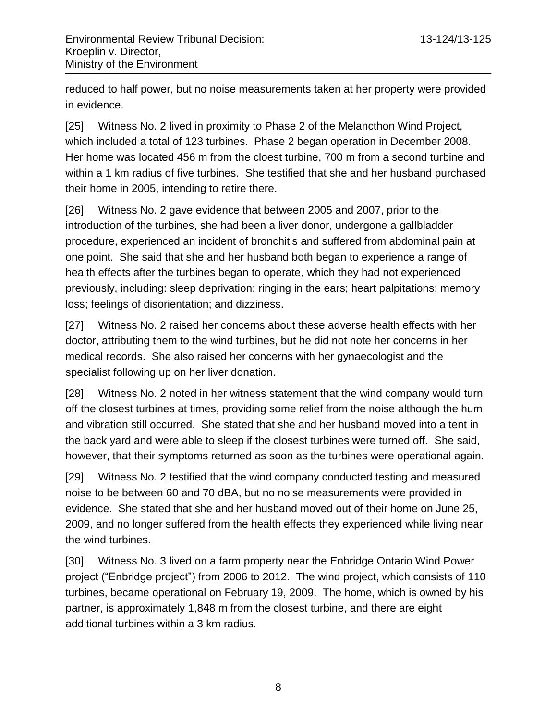reduced to half power, but no noise measurements taken at her property were provided in evidence.

[25] Witness No. 2 lived in proximity to Phase 2 of the Melancthon Wind Project, which included a total of 123 turbines. Phase 2 began operation in December 2008. Her home was located 456 m from the cloest turbine, 700 m from a second turbine and within a 1 km radius of five turbines. She testified that she and her husband purchased their home in 2005, intending to retire there.

[26] Witness No. 2 gave evidence that between 2005 and 2007, prior to the introduction of the turbines, she had been a liver donor, undergone a gallbladder procedure, experienced an incident of bronchitis and suffered from abdominal pain at one point. She said that she and her husband both began to experience a range of health effects after the turbines began to operate, which they had not experienced previously, including: sleep deprivation; ringing in the ears; heart palpitations; memory loss; feelings of disorientation; and dizziness.

[27] Witness No. 2 raised her concerns about these adverse health effects with her doctor, attributing them to the wind turbines, but he did not note her concerns in her medical records. She also raised her concerns with her gynaecologist and the specialist following up on her liver donation.

[28] Witness No. 2 noted in her witness statement that the wind company would turn off the closest turbines at times, providing some relief from the noise although the hum and vibration still occurred. She stated that she and her husband moved into a tent in the back yard and were able to sleep if the closest turbines were turned off. She said, however, that their symptoms returned as soon as the turbines were operational again.

[29] Witness No. 2 testified that the wind company conducted testing and measured noise to be between 60 and 70 dBA, but no noise measurements were provided in evidence. She stated that she and her husband moved out of their home on June 25, 2009, and no longer suffered from the health effects they experienced while living near the wind turbines.

[30] Witness No. 3 lived on a farm property near the Enbridge Ontario Wind Power project ("Enbridge project") from 2006 to 2012. The wind project, which consists of 110 turbines, became operational on February 19, 2009. The home, which is owned by his partner, is approximately 1,848 m from the closest turbine, and there are eight additional turbines within a 3 km radius.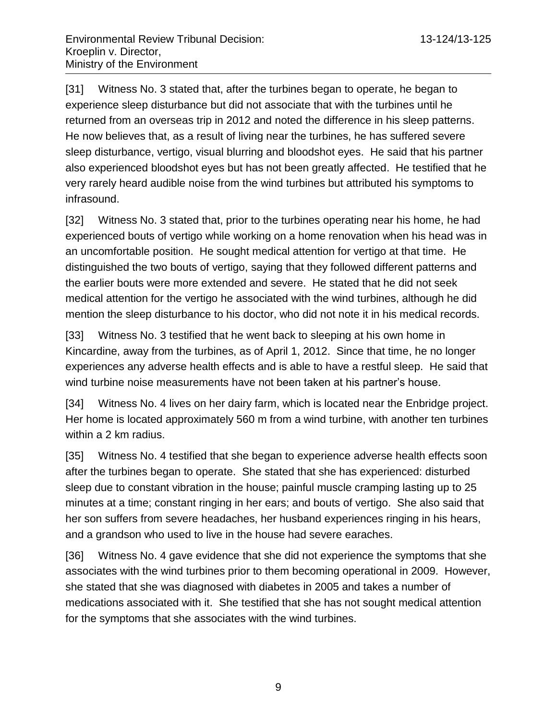[31] Witness No. 3 stated that, after the turbines began to operate, he began to experience sleep disturbance but did not associate that with the turbines until he returned from an overseas trip in 2012 and noted the difference in his sleep patterns. He now believes that, as a result of living near the turbines, he has suffered severe sleep disturbance, vertigo, visual blurring and bloodshot eyes. He said that his partner also experienced bloodshot eyes but has not been greatly affected. He testified that he very rarely heard audible noise from the wind turbines but attributed his symptoms to infrasound.

[32] Witness No. 3 stated that, prior to the turbines operating near his home, he had experienced bouts of vertigo while working on a home renovation when his head was in an uncomfortable position. He sought medical attention for vertigo at that time. He distinguished the two bouts of vertigo, saying that they followed different patterns and the earlier bouts were more extended and severe. He stated that he did not seek medical attention for the vertigo he associated with the wind turbines, although he did mention the sleep disturbance to his doctor, who did not note it in his medical records.

[33] Witness No. 3 testified that he went back to sleeping at his own home in Kincardine, away from the turbines, as of April 1, 2012. Since that time, he no longer experiences any adverse health effects and is able to have a restful sleep. He said that wind turbine noise measurements have not been taken at his partner's house.

[34] Witness No. 4 lives on her dairy farm, which is located near the Enbridge project. Her home is located approximately 560 m from a wind turbine, with another ten turbines within a 2 km radius.

[35] Witness No. 4 testified that she began to experience adverse health effects soon after the turbines began to operate. She stated that she has experienced: disturbed sleep due to constant vibration in the house; painful muscle cramping lasting up to 25 minutes at a time; constant ringing in her ears; and bouts of vertigo. She also said that her son suffers from severe headaches, her husband experiences ringing in his hears, and a grandson who used to live in the house had severe earaches.

[36] Witness No. 4 gave evidence that she did not experience the symptoms that she associates with the wind turbines prior to them becoming operational in 2009. However, she stated that she was diagnosed with diabetes in 2005 and takes a number of medications associated with it. She testified that she has not sought medical attention for the symptoms that she associates with the wind turbines.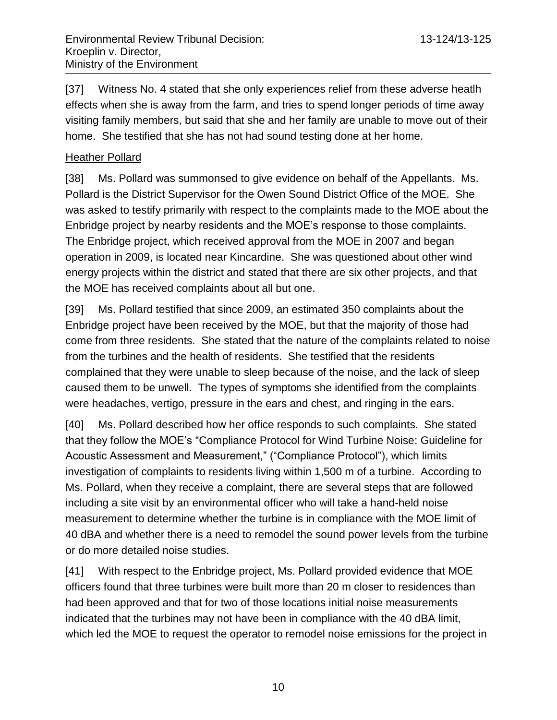[37] Witness No. 4 stated that she only experiences relief from these adverse heatlh effects when she is away from the farm, and tries to spend longer periods of time away visiting family members, but said that she and her family are unable to move out of their home. She testified that she has not had sound testing done at her home.

# Heather Pollard

[38] Ms. Pollard was summonsed to give evidence on behalf of the Appellants. Ms. Pollard is the District Supervisor for the Owen Sound District Office of the MOE. She was asked to testify primarily with respect to the complaints made to the MOE about the Enbridge project by nearby residents and the MOE's response to those complaints. The Enbridge project, which received approval from the MOE in 2007 and began operation in 2009, is located near Kincardine. She was questioned about other wind energy projects within the district and stated that there are six other projects, and that the MOE has received complaints about all but one.

[39] Ms. Pollard testified that since 2009, an estimated 350 complaints about the Enbridge project have been received by the MOE, but that the majority of those had come from three residents. She stated that the nature of the complaints related to noise from the turbines and the health of residents. She testified that the residents complained that they were unable to sleep because of the noise, and the lack of sleep caused them to be unwell. The types of symptoms she identified from the complaints were headaches, vertigo, pressure in the ears and chest, and ringing in the ears.

[40] Ms. Pollard described how her office responds to such complaints. She stated that they follow the MOE's "Compliance Protocol for Wind Turbine Noise: Guideline for Acoustic Assessment and Measurement," ("Compliance Protocol"), which limits investigation of complaints to residents living within 1,500 m of a turbine. According to Ms. Pollard, when they receive a complaint, there are several steps that are followed including a site visit by an environmental officer who will take a hand-held noise measurement to determine whether the turbine is in compliance with the MOE limit of 40 dBA and whether there is a need to remodel the sound power levels from the turbine or do more detailed noise studies.

[41] With respect to the Enbridge project, Ms. Pollard provided evidence that MOE officers found that three turbines were built more than 20 m closer to residences than had been approved and that for two of those locations initial noise measurements indicated that the turbines may not have been in compliance with the 40 dBA limit, which led the MOE to request the operator to remodel noise emissions for the project in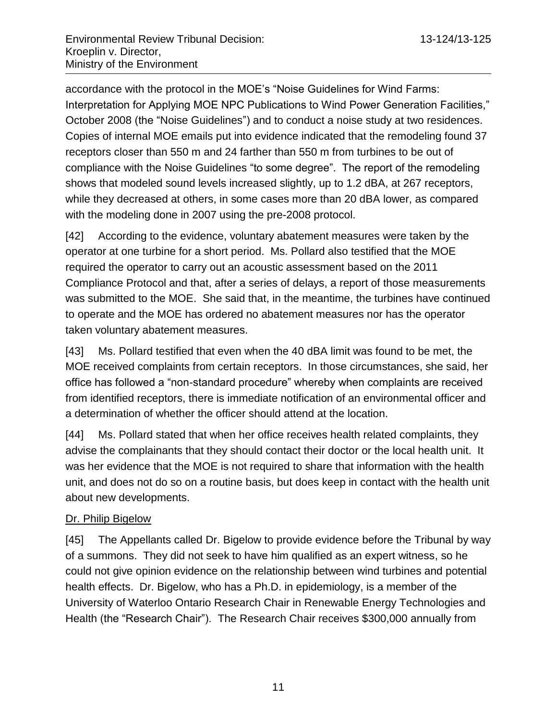accordance with the protocol in the MOE's "Noise Guidelines for Wind Farms: Interpretation for Applying MOE NPC Publications to Wind Power Generation Facilities," October 2008 (the "Noise Guidelines") and to conduct a noise study at two residences. Copies of internal MOE emails put into evidence indicated that the remodeling found 37 receptors closer than 550 m and 24 farther than 550 m from turbines to be out of compliance with the Noise Guidelines "to some degree". The report of the remodeling shows that modeled sound levels increased slightly, up to 1.2 dBA, at 267 receptors, while they decreased at others, in some cases more than 20 dBA lower, as compared with the modeling done in 2007 using the pre-2008 protocol.

[42] According to the evidence, voluntary abatement measures were taken by the operator at one turbine for a short period. Ms. Pollard also testified that the MOE required the operator to carry out an acoustic assessment based on the 2011 Compliance Protocol and that, after a series of delays, a report of those measurements was submitted to the MOE. She said that, in the meantime, the turbines have continued to operate and the MOE has ordered no abatement measures nor has the operator taken voluntary abatement measures.

[43] Ms. Pollard testified that even when the 40 dBA limit was found to be met, the MOE received complaints from certain receptors. In those circumstances, she said, her office has followed a "non-standard procedure" whereby when complaints are received from identified receptors, there is immediate notification of an environmental officer and a determination of whether the officer should attend at the location.

[44] Ms. Pollard stated that when her office receives health related complaints, they advise the complainants that they should contact their doctor or the local health unit. It was her evidence that the MOE is not required to share that information with the health unit, and does not do so on a routine basis, but does keep in contact with the health unit about new developments.

# Dr. Philip Bigelow

[45] The Appellants called Dr. Bigelow to provide evidence before the Tribunal by way of a summons. They did not seek to have him qualified as an expert witness, so he could not give opinion evidence on the relationship between wind turbines and potential health effects. Dr. Bigelow, who has a Ph.D. in epidemiology, is a member of the University of Waterloo Ontario Research Chair in Renewable Energy Technologies and Health (the "Research Chair"). The Research Chair receives \$300,000 annually from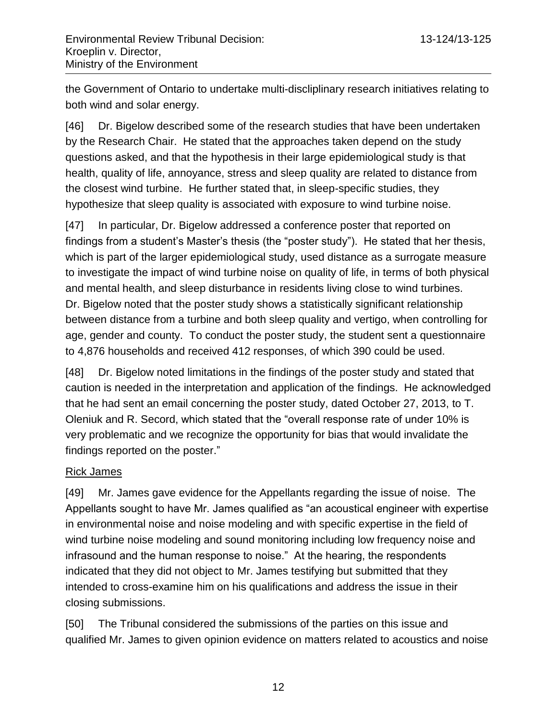the Government of Ontario to undertake multi-discliplinary research initiatives relating to both wind and solar energy.

[46] Dr. Bigelow described some of the research studies that have been undertaken by the Research Chair. He stated that the approaches taken depend on the study questions asked, and that the hypothesis in their large epidemiological study is that health, quality of life, annoyance, stress and sleep quality are related to distance from the closest wind turbine. He further stated that, in sleep-specific studies, they hypothesize that sleep quality is associated with exposure to wind turbine noise.

[47] In particular, Dr. Bigelow addressed a conference poster that reported on findings from a student's Master's thesis (the "poster study"). He stated that her thesis, which is part of the larger epidemiological study, used distance as a surrogate measure to investigate the impact of wind turbine noise on quality of life, in terms of both physical and mental health, and sleep disturbance in residents living close to wind turbines. Dr. Bigelow noted that the poster study shows a statistically significant relationship between distance from a turbine and both sleep quality and vertigo, when controlling for age, gender and county. To conduct the poster study, the student sent a questionnaire to 4,876 households and received 412 responses, of which 390 could be used.

[48] Dr. Bigelow noted limitations in the findings of the poster study and stated that caution is needed in the interpretation and application of the findings. He acknowledged that he had sent an email concerning the poster study, dated October 27, 2013, to T. Oleniuk and R. Secord, which stated that the "overall response rate of under 10% is very problematic and we recognize the opportunity for bias that would invalidate the findings reported on the poster."

# Rick James

[49] Mr. James gave evidence for the Appellants regarding the issue of noise. The Appellants sought to have Mr. James qualified as "an acoustical engineer with expertise in environmental noise and noise modeling and with specific expertise in the field of wind turbine noise modeling and sound monitoring including low frequency noise and infrasound and the human response to noise." At the hearing, the respondents indicated that they did not object to Mr. James testifying but submitted that they intended to cross-examine him on his qualifications and address the issue in their closing submissions.

[50] The Tribunal considered the submissions of the parties on this issue and qualified Mr. James to given opinion evidence on matters related to acoustics and noise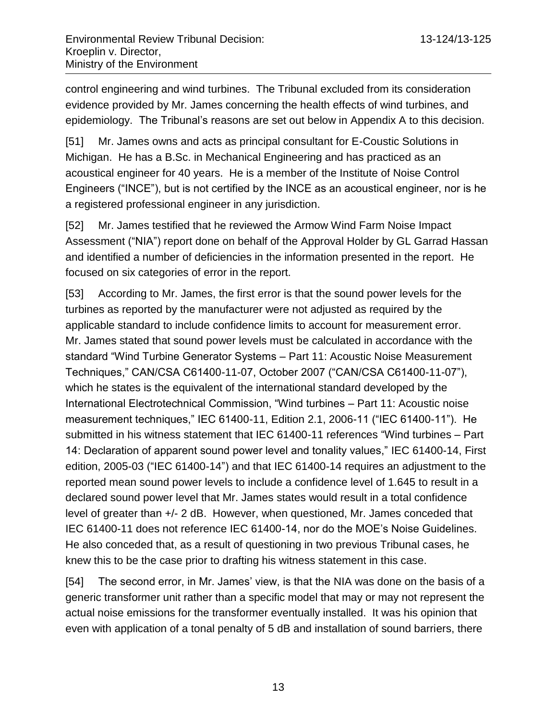control engineering and wind turbines. The Tribunal excluded from its consideration evidence provided by Mr. James concerning the health effects of wind turbines, and epidemiology. The Tribunal's reasons are set out below in Appendix A to this decision.

[51] Mr. James owns and acts as principal consultant for E-Coustic Solutions in Michigan. He has a B.Sc. in Mechanical Engineering and has practiced as an acoustical engineer for 40 years. He is a member of the Institute of Noise Control Engineers ("INCE"), but is not certified by the INCE as an acoustical engineer, nor is he a registered professional engineer in any jurisdiction.

[52] Mr. James testified that he reviewed the Armow Wind Farm Noise Impact Assessment ("NIA") report done on behalf of the Approval Holder by GL Garrad Hassan and identified a number of deficiencies in the information presented in the report. He focused on six categories of error in the report.

[53] According to Mr. James, the first error is that the sound power levels for the turbines as reported by the manufacturer were not adjusted as required by the applicable standard to include confidence limits to account for measurement error. Mr. James stated that sound power levels must be calculated in accordance with the standard "Wind Turbine Generator Systems – Part 11: Acoustic Noise Measurement Techniques," CAN/CSA C61400-11-07, October 2007 ("CAN/CSA C61400-11-07"), which he states is the equivalent of the international standard developed by the International Electrotechnical Commission, "Wind turbines – Part 11: Acoustic noise measurement techniques," IEC 61400-11, Edition 2.1, 2006-11 ("IEC 61400-11"). He submitted in his witness statement that IEC 61400-11 references "Wind turbines – Part 14: Declaration of apparent sound power level and tonality values," IEC 61400-14, First edition, 2005-03 ("IEC 61400-14") and that IEC 61400-14 requires an adjustment to the reported mean sound power levels to include a confidence level of 1.645 to result in a declared sound power level that Mr. James states would result in a total confidence level of greater than +/- 2 dB. However, when questioned, Mr. James conceded that IEC 61400-11 does not reference IEC 61400-14, nor do the MOE's Noise Guidelines. He also conceded that, as a result of questioning in two previous Tribunal cases, he knew this to be the case prior to drafting his witness statement in this case.

[54] The second error, in Mr. James' view, is that the NIA was done on the basis of a generic transformer unit rather than a specific model that may or may not represent the actual noise emissions for the transformer eventually installed. It was his opinion that even with application of a tonal penalty of 5 dB and installation of sound barriers, there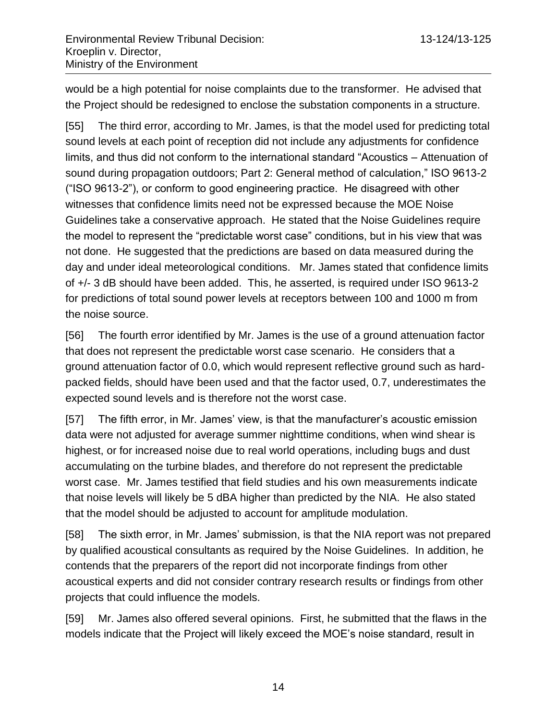would be a high potential for noise complaints due to the transformer. He advised that the Project should be redesigned to enclose the substation components in a structure.

[55] The third error, according to Mr. James, is that the model used for predicting total sound levels at each point of reception did not include any adjustments for confidence limits, and thus did not conform to the international standard "Acoustics – Attenuation of sound during propagation outdoors; Part 2: General method of calculation," ISO 9613-2 ("ISO 9613-2"), or conform to good engineering practice. He disagreed with other witnesses that confidence limits need not be expressed because the MOE Noise Guidelines take a conservative approach. He stated that the Noise Guidelines require the model to represent the "predictable worst case" conditions, but in his view that was not done. He suggested that the predictions are based on data measured during the day and under ideal meteorological conditions. Mr. James stated that confidence limits of +/- 3 dB should have been added. This, he asserted, is required under ISO 9613-2 for predictions of total sound power levels at receptors between 100 and 1000 m from the noise source.

[56] The fourth error identified by Mr. James is the use of a ground attenuation factor that does not represent the predictable worst case scenario. He considers that a ground attenuation factor of 0.0, which would represent reflective ground such as hardpacked fields, should have been used and that the factor used, 0.7, underestimates the expected sound levels and is therefore not the worst case.

[57] The fifth error, in Mr. James' view, is that the manufacturer's acoustic emission data were not adjusted for average summer nighttime conditions, when wind shear is highest, or for increased noise due to real world operations, including bugs and dust accumulating on the turbine blades, and therefore do not represent the predictable worst case. Mr. James testified that field studies and his own measurements indicate that noise levels will likely be 5 dBA higher than predicted by the NIA. He also stated that the model should be adjusted to account for amplitude modulation.

[58] The sixth error, in Mr. James' submission, is that the NIA report was not prepared by qualified acoustical consultants as required by the Noise Guidelines. In addition, he contends that the preparers of the report did not incorporate findings from other acoustical experts and did not consider contrary research results or findings from other projects that could influence the models.

[59] Mr. James also offered several opinions. First, he submitted that the flaws in the models indicate that the Project will likely exceed the MOE's noise standard, result in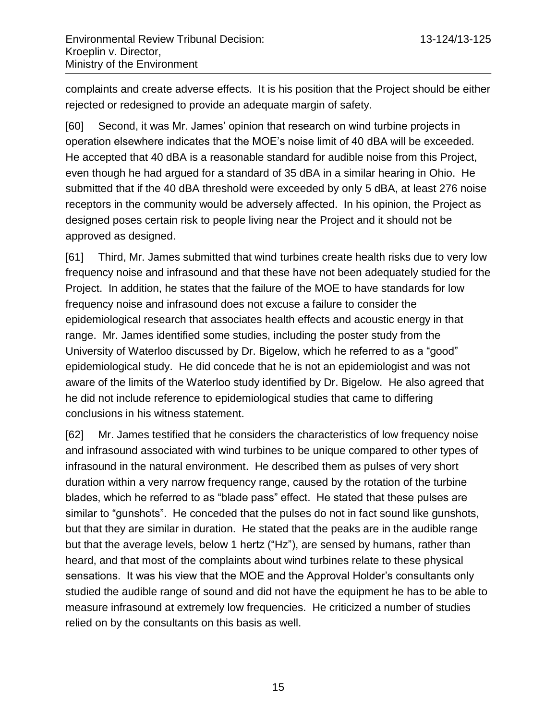complaints and create adverse effects. It is his position that the Project should be either rejected or redesigned to provide an adequate margin of safety.

[60] Second, it was Mr. James' opinion that research on wind turbine projects in operation elsewhere indicates that the MOE's noise limit of 40 dBA will be exceeded. He accepted that 40 dBA is a reasonable standard for audible noise from this Project, even though he had argued for a standard of 35 dBA in a similar hearing in Ohio. He submitted that if the 40 dBA threshold were exceeded by only 5 dBA, at least 276 noise receptors in the community would be adversely affected. In his opinion, the Project as designed poses certain risk to people living near the Project and it should not be approved as designed.

[61] Third, Mr. James submitted that wind turbines create health risks due to very low frequency noise and infrasound and that these have not been adequately studied for the Project. In addition, he states that the failure of the MOE to have standards for low frequency noise and infrasound does not excuse a failure to consider the epidemiological research that associates health effects and acoustic energy in that range. Mr. James identified some studies, including the poster study from the University of Waterloo discussed by Dr. Bigelow, which he referred to as a "good" epidemiological study. He did concede that he is not an epidemiologist and was not aware of the limits of the Waterloo study identified by Dr. Bigelow. He also agreed that he did not include reference to epidemiological studies that came to differing conclusions in his witness statement.

[62] Mr. James testified that he considers the characteristics of low frequency noise and infrasound associated with wind turbines to be unique compared to other types of infrasound in the natural environment. He described them as pulses of very short duration within a very narrow frequency range, caused by the rotation of the turbine blades, which he referred to as "blade pass" effect. He stated that these pulses are similar to "gunshots". He conceded that the pulses do not in fact sound like gunshots, but that they are similar in duration. He stated that the peaks are in the audible range but that the average levels, below 1 hertz ("Hz"), are sensed by humans, rather than heard, and that most of the complaints about wind turbines relate to these physical sensations. It was his view that the MOE and the Approval Holder's consultants only studied the audible range of sound and did not have the equipment he has to be able to measure infrasound at extremely low frequencies. He criticized a number of studies relied on by the consultants on this basis as well.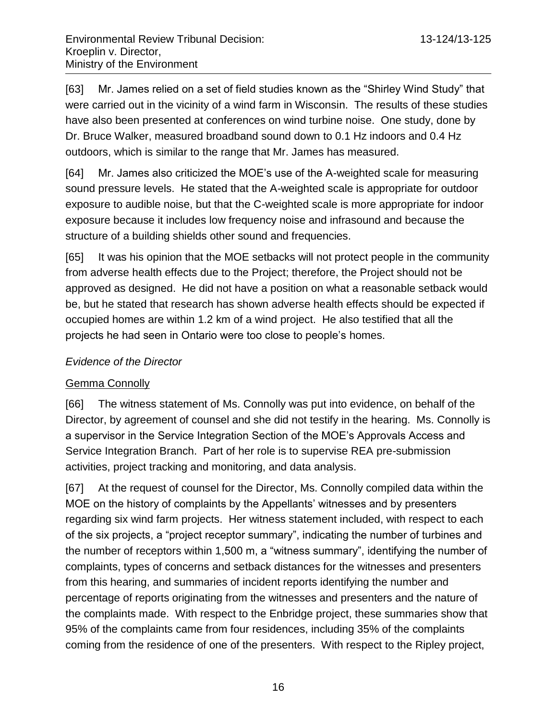[63] Mr. James relied on a set of field studies known as the "Shirley Wind Study" that were carried out in the vicinity of a wind farm in Wisconsin. The results of these studies have also been presented at conferences on wind turbine noise. One study, done by Dr. Bruce Walker, measured broadband sound down to 0.1 Hz indoors and 0.4 Hz outdoors, which is similar to the range that Mr. James has measured.

[64] Mr. James also criticized the MOE's use of the A-weighted scale for measuring sound pressure levels. He stated that the A-weighted scale is appropriate for outdoor exposure to audible noise, but that the C-weighted scale is more appropriate for indoor exposure because it includes low frequency noise and infrasound and because the structure of a building shields other sound and frequencies.

[65] It was his opinion that the MOE setbacks will not protect people in the community from adverse health effects due to the Project; therefore, the Project should not be approved as designed. He did not have a position on what a reasonable setback would be, but he stated that research has shown adverse health effects should be expected if occupied homes are within 1.2 km of a wind project. He also testified that all the projects he had seen in Ontario were too close to people's homes.

# *Evidence of the Director*

# Gemma Connolly

[66] The witness statement of Ms. Connolly was put into evidence, on behalf of the Director, by agreement of counsel and she did not testify in the hearing. Ms. Connolly is a supervisor in the Service Integration Section of the MOE's Approvals Access and Service Integration Branch. Part of her role is to supervise REA pre-submission activities, project tracking and monitoring, and data analysis.

[67] At the request of counsel for the Director, Ms. Connolly compiled data within the MOE on the history of complaints by the Appellants' witnesses and by presenters regarding six wind farm projects. Her witness statement included, with respect to each of the six projects, a "project receptor summary", indicating the number of turbines and the number of receptors within 1,500 m, a "witness summary", identifying the number of complaints, types of concerns and setback distances for the witnesses and presenters from this hearing, and summaries of incident reports identifying the number and percentage of reports originating from the witnesses and presenters and the nature of the complaints made. With respect to the Enbridge project, these summaries show that 95% of the complaints came from four residences, including 35% of the complaints coming from the residence of one of the presenters. With respect to the Ripley project,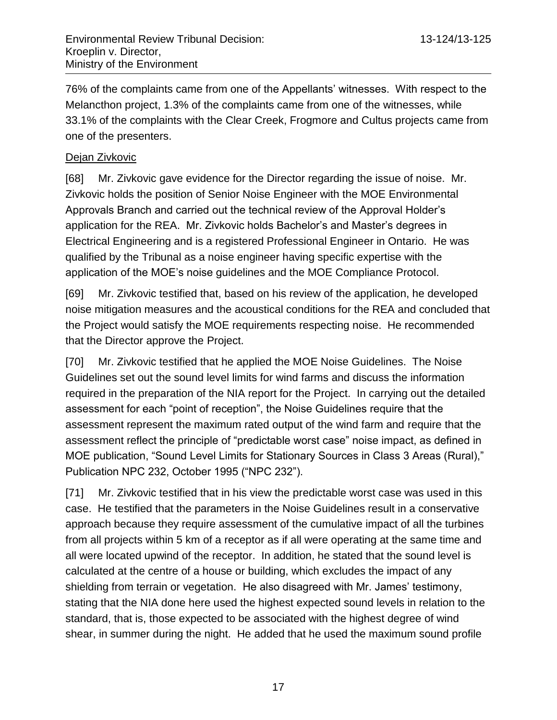76% of the complaints came from one of the Appellants' witnesses. With respect to the Melancthon project, 1.3% of the complaints came from one of the witnesses, while 33.1% of the complaints with the Clear Creek, Frogmore and Cultus projects came from one of the presenters.

# Dejan Zivkovic

[68] Mr. Zivkovic gave evidence for the Director regarding the issue of noise. Mr. Zivkovic holds the position of Senior Noise Engineer with the MOE Environmental Approvals Branch and carried out the technical review of the Approval Holder's application for the REA. Mr. Zivkovic holds Bachelor's and Master's degrees in Electrical Engineering and is a registered Professional Engineer in Ontario. He was qualified by the Tribunal as a noise engineer having specific expertise with the application of the MOE's noise guidelines and the MOE Compliance Protocol.

[69] Mr. Zivkovic testified that, based on his review of the application, he developed noise mitigation measures and the acoustical conditions for the REA and concluded that the Project would satisfy the MOE requirements respecting noise. He recommended that the Director approve the Project.

[70] Mr. Zivkovic testified that he applied the MOE Noise Guidelines. The Noise Guidelines set out the sound level limits for wind farms and discuss the information required in the preparation of the NIA report for the Project. In carrying out the detailed assessment for each "point of reception", the Noise Guidelines require that the assessment represent the maximum rated output of the wind farm and require that the assessment reflect the principle of "predictable worst case" noise impact, as defined in MOE publication, "Sound Level Limits for Stationary Sources in Class 3 Areas (Rural)," Publication NPC 232, October 1995 ("NPC 232").

[71] Mr. Zivkovic testified that in his view the predictable worst case was used in this case. He testified that the parameters in the Noise Guidelines result in a conservative approach because they require assessment of the cumulative impact of all the turbines from all projects within 5 km of a receptor as if all were operating at the same time and all were located upwind of the receptor. In addition, he stated that the sound level is calculated at the centre of a house or building, which excludes the impact of any shielding from terrain or vegetation. He also disagreed with Mr. James' testimony, stating that the NIA done here used the highest expected sound levels in relation to the standard, that is, those expected to be associated with the highest degree of wind shear, in summer during the night. He added that he used the maximum sound profile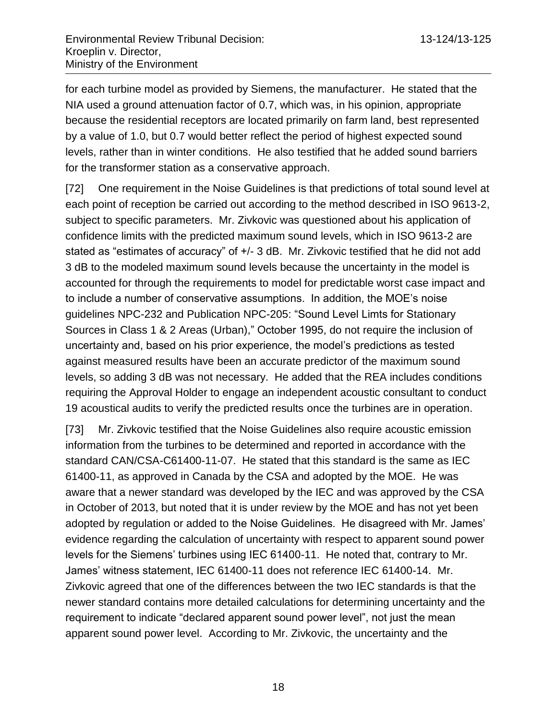for each turbine model as provided by Siemens, the manufacturer. He stated that the NIA used a ground attenuation factor of 0.7, which was, in his opinion, appropriate because the residential receptors are located primarily on farm land, best represented by a value of 1.0, but 0.7 would better reflect the period of highest expected sound levels, rather than in winter conditions. He also testified that he added sound barriers for the transformer station as a conservative approach.

[72] One requirement in the Noise Guidelines is that predictions of total sound level at each point of reception be carried out according to the method described in ISO 9613-2, subject to specific parameters. Mr. Zivkovic was questioned about his application of confidence limits with the predicted maximum sound levels, which in ISO 9613-2 are stated as "estimates of accuracy" of +/- 3 dB. Mr. Zivkovic testified that he did not add 3 dB to the modeled maximum sound levels because the uncertainty in the model is accounted for through the requirements to model for predictable worst case impact and to include a number of conservative assumptions. In addition, the MOE's noise guidelines NPC-232 and Publication NPC-205: "Sound Level Limts for Stationary Sources in Class 1 & 2 Areas (Urban)," October 1995, do not require the inclusion of uncertainty and, based on his prior experience, the model's predictions as tested against measured results have been an accurate predictor of the maximum sound levels, so adding 3 dB was not necessary. He added that the REA includes conditions requiring the Approval Holder to engage an independent acoustic consultant to conduct 19 acoustical audits to verify the predicted results once the turbines are in operation.

[73] Mr. Zivkovic testified that the Noise Guidelines also require acoustic emission information from the turbines to be determined and reported in accordance with the standard CAN/CSA-C61400-11-07. He stated that this standard is the same as IEC 61400-11, as approved in Canada by the CSA and adopted by the MOE. He was aware that a newer standard was developed by the IEC and was approved by the CSA in October of 2013, but noted that it is under review by the MOE and has not yet been adopted by regulation or added to the Noise Guidelines. He disagreed with Mr. James' evidence regarding the calculation of uncertainty with respect to apparent sound power levels for the Siemens' turbines using IEC 61400-11. He noted that, contrary to Mr. James' witness statement, IEC 61400-11 does not reference IEC 61400-14. Mr. Zivkovic agreed that one of the differences between the two IEC standards is that the newer standard contains more detailed calculations for determining uncertainty and the requirement to indicate "declared apparent sound power level", not just the mean apparent sound power level. According to Mr. Zivkovic, the uncertainty and the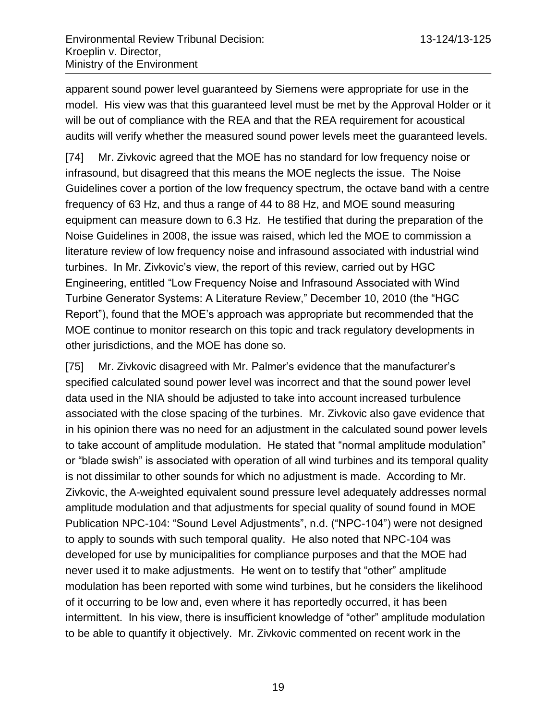apparent sound power level guaranteed by Siemens were appropriate for use in the model. His view was that this guaranteed level must be met by the Approval Holder or it will be out of compliance with the REA and that the REA requirement for acoustical audits will verify whether the measured sound power levels meet the guaranteed levels.

[74] Mr. Zivkovic agreed that the MOE has no standard for low frequency noise or infrasound, but disagreed that this means the MOE neglects the issue. The Noise Guidelines cover a portion of the low frequency spectrum, the octave band with a centre frequency of 63 Hz, and thus a range of 44 to 88 Hz, and MOE sound measuring equipment can measure down to 6.3 Hz. He testified that during the preparation of the Noise Guidelines in 2008, the issue was raised, which led the MOE to commission a literature review of low frequency noise and infrasound associated with industrial wind turbines. In Mr. Zivkovic's view, the report of this review, carried out by HGC Engineering, entitled "Low Frequency Noise and Infrasound Associated with Wind Turbine Generator Systems: A Literature Review," December 10, 2010 (the "HGC Report"), found that the MOE's approach was appropriate but recommended that the MOE continue to monitor research on this topic and track regulatory developments in other jurisdictions, and the MOE has done so.

[75] Mr. Zivkovic disagreed with Mr. Palmer's evidence that the manufacturer's specified calculated sound power level was incorrect and that the sound power level data used in the NIA should be adjusted to take into account increased turbulence associated with the close spacing of the turbines. Mr. Zivkovic also gave evidence that in his opinion there was no need for an adjustment in the calculated sound power levels to take account of amplitude modulation. He stated that "normal amplitude modulation" or "blade swish" is associated with operation of all wind turbines and its temporal quality is not dissimilar to other sounds for which no adjustment is made. According to Mr. Zivkovic, the A-weighted equivalent sound pressure level adequately addresses normal amplitude modulation and that adjustments for special quality of sound found in MOE Publication NPC-104: "Sound Level Adjustments", n.d. ("NPC-104") were not designed to apply to sounds with such temporal quality. He also noted that NPC-104 was developed for use by municipalities for compliance purposes and that the MOE had never used it to make adjustments. He went on to testify that "other" amplitude modulation has been reported with some wind turbines, but he considers the likelihood of it occurring to be low and, even where it has reportedly occurred, it has been intermittent. In his view, there is insufficient knowledge of "other" amplitude modulation to be able to quantify it objectively. Mr. Zivkovic commented on recent work in the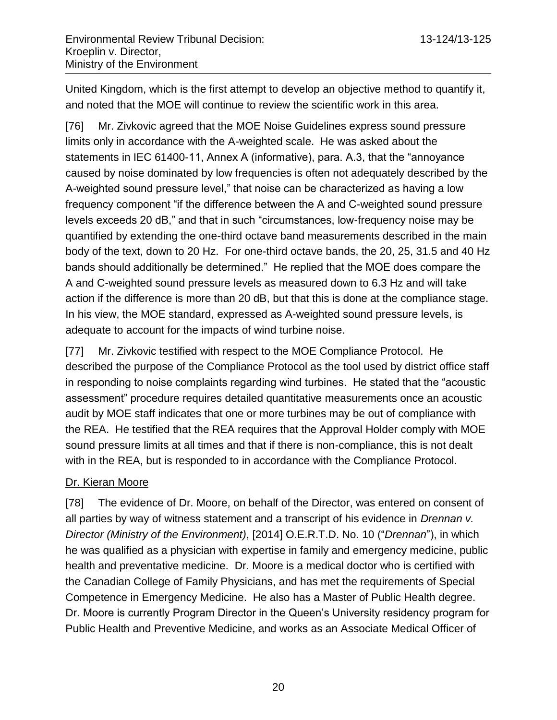United Kingdom, which is the first attempt to develop an objective method to quantify it, and noted that the MOE will continue to review the scientific work in this area.

[76] Mr. Zivkovic agreed that the MOE Noise Guidelines express sound pressure limits only in accordance with the A-weighted scale. He was asked about the statements in IEC 61400-11, Annex A (informative), para. A.3, that the "annoyance caused by noise dominated by low frequencies is often not adequately described by the A-weighted sound pressure level," that noise can be characterized as having a low frequency component "if the difference between the A and C-weighted sound pressure levels exceeds 20 dB," and that in such "circumstances, low-frequency noise may be quantified by extending the one-third octave band measurements described in the main body of the text, down to 20 Hz. For one-third octave bands, the 20, 25, 31.5 and 40 Hz bands should additionally be determined." He replied that the MOE does compare the A and C-weighted sound pressure levels as measured down to 6.3 Hz and will take action if the difference is more than 20 dB, but that this is done at the compliance stage. In his view, the MOE standard, expressed as A-weighted sound pressure levels, is adequate to account for the impacts of wind turbine noise.

[77] Mr. Zivkovic testified with respect to the MOE Compliance Protocol. He described the purpose of the Compliance Protocol as the tool used by district office staff in responding to noise complaints regarding wind turbines. He stated that the "acoustic assessment" procedure requires detailed quantitative measurements once an acoustic audit by MOE staff indicates that one or more turbines may be out of compliance with the REA. He testified that the REA requires that the Approval Holder comply with MOE sound pressure limits at all times and that if there is non-compliance, this is not dealt with in the REA, but is responded to in accordance with the Compliance Protocol.

## Dr. Kieran Moore

[78] The evidence of Dr. Moore, on behalf of the Director, was entered on consent of all parties by way of witness statement and a transcript of his evidence in *Drennan v. Director (Ministry of the Environment)*, [2014] O.E.R.T.D. No. 10 ("*Drennan*"), in which he was qualified as a physician with expertise in family and emergency medicine, public health and preventative medicine. Dr. Moore is a medical doctor who is certified with the Canadian College of Family Physicians, and has met the requirements of Special Competence in Emergency Medicine. He also has a Master of Public Health degree. Dr. Moore is currently Program Director in the Queen's University residency program for Public Health and Preventive Medicine, and works as an Associate Medical Officer of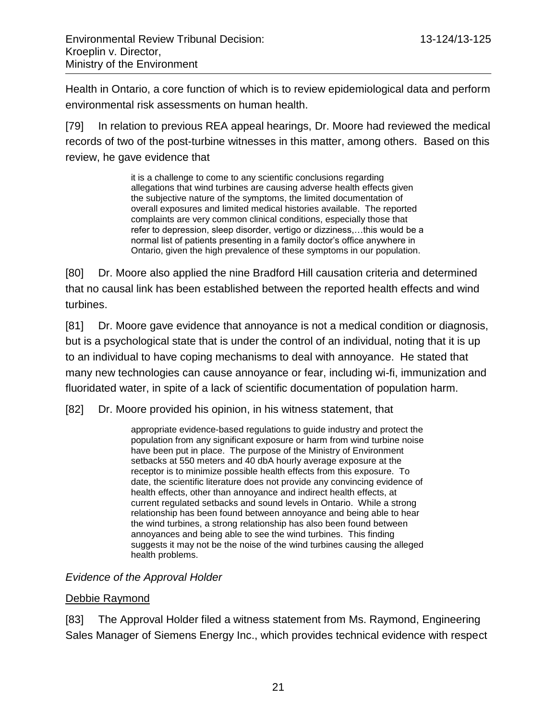Health in Ontario, a core function of which is to review epidemiological data and perform environmental risk assessments on human health.

[79] In relation to previous REA appeal hearings, Dr. Moore had reviewed the medical records of two of the post-turbine witnesses in this matter, among others. Based on this review, he gave evidence that

> it is a challenge to come to any scientific conclusions regarding allegations that wind turbines are causing adverse health effects given the subjective nature of the symptoms, the limited documentation of overall exposures and limited medical histories available. The reported complaints are very common clinical conditions, especially those that refer to depression, sleep disorder, vertigo or dizziness,…this would be a normal list of patients presenting in a family doctor's office anywhere in Ontario, given the high prevalence of these symptoms in our population.

[80] Dr. Moore also applied the nine Bradford Hill causation criteria and determined that no causal link has been established between the reported health effects and wind turbines.

[81] Dr. Moore gave evidence that annoyance is not a medical condition or diagnosis, but is a psychological state that is under the control of an individual, noting that it is up to an individual to have coping mechanisms to deal with annoyance. He stated that many new technologies can cause annoyance or fear, including wi-fi, immunization and fluoridated water, in spite of a lack of scientific documentation of population harm.

[82] Dr. Moore provided his opinion, in his witness statement, that

appropriate evidence-based regulations to guide industry and protect the population from any significant exposure or harm from wind turbine noise have been put in place. The purpose of the Ministry of Environment setbacks at 550 meters and 40 dbA hourly average exposure at the receptor is to minimize possible health effects from this exposure. To date, the scientific literature does not provide any convincing evidence of health effects, other than annoyance and indirect health effects, at current regulated setbacks and sound levels in Ontario. While a strong relationship has been found between annoyance and being able to hear the wind turbines, a strong relationship has also been found between annoyances and being able to see the wind turbines. This finding suggests it may not be the noise of the wind turbines causing the alleged health problems.

## *Evidence of the Approval Holder*

## Debbie Raymond

[83] The Approval Holder filed a witness statement from Ms. Raymond, Engineering Sales Manager of Siemens Energy Inc., which provides technical evidence with respect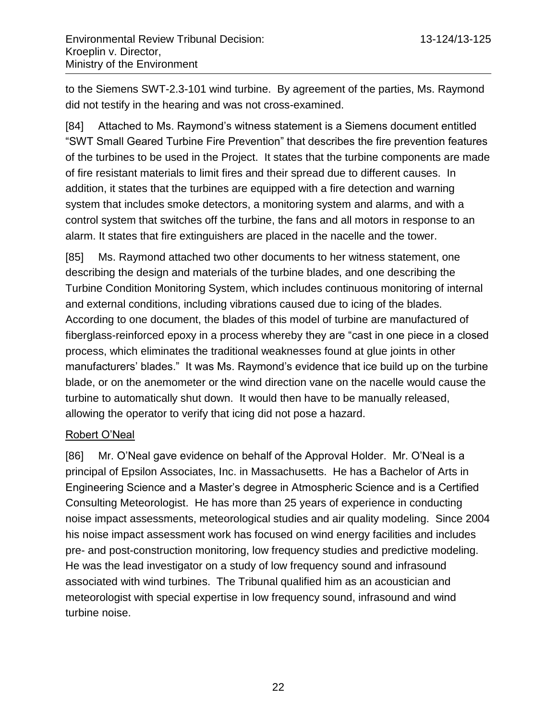to the Siemens SWT-2.3-101 wind turbine. By agreement of the parties, Ms. Raymond did not testify in the hearing and was not cross-examined.

[84] Attached to Ms. Raymond's witness statement is a Siemens document entitled "SWT Small Geared Turbine Fire Prevention" that describes the fire prevention features of the turbines to be used in the Project. It states that the turbine components are made of fire resistant materials to limit fires and their spread due to different causes. In addition, it states that the turbines are equipped with a fire detection and warning system that includes smoke detectors, a monitoring system and alarms, and with a control system that switches off the turbine, the fans and all motors in response to an alarm. It states that fire extinguishers are placed in the nacelle and the tower.

[85] Ms. Raymond attached two other documents to her witness statement, one describing the design and materials of the turbine blades, and one describing the Turbine Condition Monitoring System, which includes continuous monitoring of internal and external conditions, including vibrations caused due to icing of the blades. According to one document, the blades of this model of turbine are manufactured of fiberglass-reinforced epoxy in a process whereby they are "cast in one piece in a closed process, which eliminates the traditional weaknesses found at glue joints in other manufacturers' blades." It was Ms. Raymond's evidence that ice build up on the turbine blade, or on the anemometer or the wind direction vane on the nacelle would cause the turbine to automatically shut down. It would then have to be manually released, allowing the operator to verify that icing did not pose a hazard.

## Robert O'Neal

[86] Mr. O'Neal gave evidence on behalf of the Approval Holder. Mr. O'Neal is a principal of Epsilon Associates, Inc. in Massachusetts. He has a Bachelor of Arts in Engineering Science and a Master's degree in Atmospheric Science and is a Certified Consulting Meteorologist. He has more than 25 years of experience in conducting noise impact assessments, meteorological studies and air quality modeling. Since 2004 his noise impact assessment work has focused on wind energy facilities and includes pre- and post-construction monitoring, low frequency studies and predictive modeling. He was the lead investigator on a study of low frequency sound and infrasound associated with wind turbines. The Tribunal qualified him as an acoustician and meteorologist with special expertise in low frequency sound, infrasound and wind turbine noise.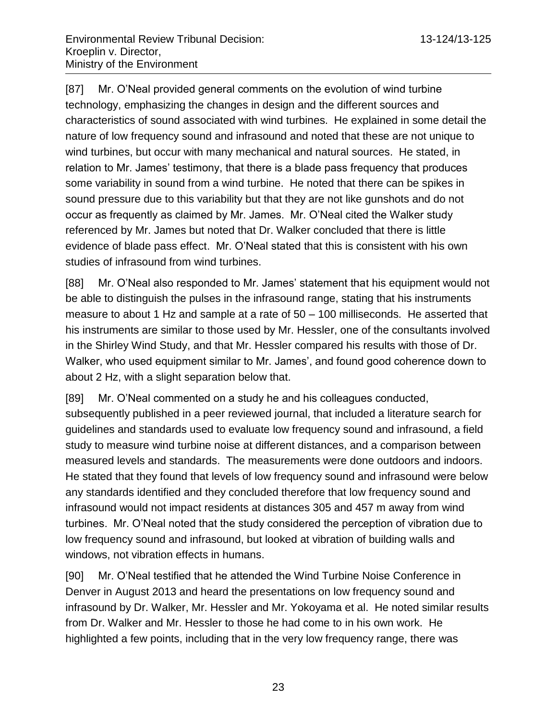[87] Mr. O'Neal provided general comments on the evolution of wind turbine technology, emphasizing the changes in design and the different sources and characteristics of sound associated with wind turbines. He explained in some detail the nature of low frequency sound and infrasound and noted that these are not unique to wind turbines, but occur with many mechanical and natural sources. He stated, in relation to Mr. James' testimony, that there is a blade pass frequency that produces some variability in sound from a wind turbine. He noted that there can be spikes in sound pressure due to this variability but that they are not like gunshots and do not occur as frequently as claimed by Mr. James. Mr. O'Neal cited the Walker study referenced by Mr. James but noted that Dr. Walker concluded that there is little evidence of blade pass effect. Mr. O'Neal stated that this is consistent with his own studies of infrasound from wind turbines.

[88] Mr. O'Neal also responded to Mr. James' statement that his equipment would not be able to distinguish the pulses in the infrasound range, stating that his instruments measure to about 1 Hz and sample at a rate of 50 – 100 milliseconds. He asserted that his instruments are similar to those used by Mr. Hessler, one of the consultants involved in the Shirley Wind Study, and that Mr. Hessler compared his results with those of Dr. Walker, who used equipment similar to Mr. James', and found good coherence down to about 2 Hz, with a slight separation below that.

[89] Mr. O'Neal commented on a study he and his colleagues conducted, subsequently published in a peer reviewed journal, that included a literature search for guidelines and standards used to evaluate low frequency sound and infrasound, a field study to measure wind turbine noise at different distances, and a comparison between measured levels and standards. The measurements were done outdoors and indoors. He stated that they found that levels of low frequency sound and infrasound were below any standards identified and they concluded therefore that low frequency sound and infrasound would not impact residents at distances 305 and 457 m away from wind turbines. Mr. O'Neal noted that the study considered the perception of vibration due to low frequency sound and infrasound, but looked at vibration of building walls and windows, not vibration effects in humans.

[90] Mr. O'Neal testified that he attended the Wind Turbine Noise Conference in Denver in August 2013 and heard the presentations on low frequency sound and infrasound by Dr. Walker, Mr. Hessler and Mr. Yokoyama et al. He noted similar results from Dr. Walker and Mr. Hessler to those he had come to in his own work. He highlighted a few points, including that in the very low frequency range, there was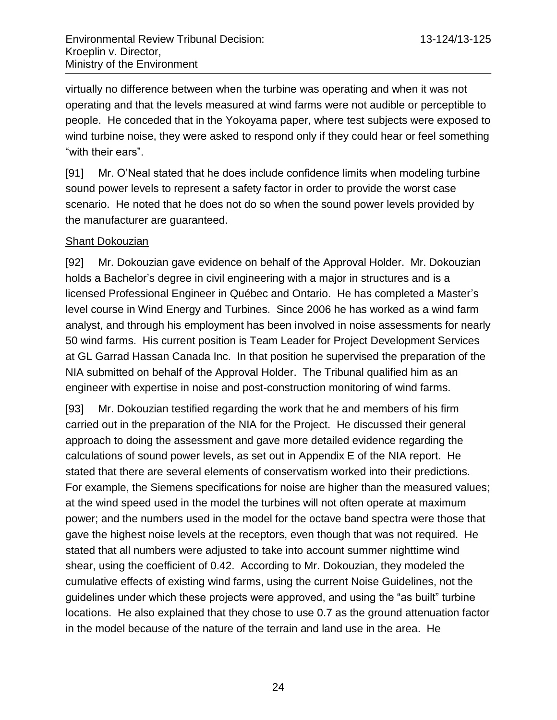virtually no difference between when the turbine was operating and when it was not operating and that the levels measured at wind farms were not audible or perceptible to people. He conceded that in the Yokoyama paper, where test subjects were exposed to wind turbine noise, they were asked to respond only if they could hear or feel something "with their ears".

[91] Mr. O'Neal stated that he does include confidence limits when modeling turbine sound power levels to represent a safety factor in order to provide the worst case scenario. He noted that he does not do so when the sound power levels provided by the manufacturer are guaranteed.

## Shant Dokouzian

[92] Mr. Dokouzian gave evidence on behalf of the Approval Holder. Mr. Dokouzian holds a Bachelor's degree in civil engineering with a major in structures and is a licensed Professional Engineer in Québec and Ontario. He has completed a Master's level course in Wind Energy and Turbines. Since 2006 he has worked as a wind farm analyst, and through his employment has been involved in noise assessments for nearly 50 wind farms. His current position is Team Leader for Project Development Services at GL Garrad Hassan Canada Inc. In that position he supervised the preparation of the NIA submitted on behalf of the Approval Holder. The Tribunal qualified him as an engineer with expertise in noise and post-construction monitoring of wind farms.

[93] Mr. Dokouzian testified regarding the work that he and members of his firm carried out in the preparation of the NIA for the Project. He discussed their general approach to doing the assessment and gave more detailed evidence regarding the calculations of sound power levels, as set out in Appendix E of the NIA report. He stated that there are several elements of conservatism worked into their predictions. For example, the Siemens specifications for noise are higher than the measured values; at the wind speed used in the model the turbines will not often operate at maximum power; and the numbers used in the model for the octave band spectra were those that gave the highest noise levels at the receptors, even though that was not required. He stated that all numbers were adjusted to take into account summer nighttime wind shear, using the coefficient of 0.42. According to Mr. Dokouzian, they modeled the cumulative effects of existing wind farms, using the current Noise Guidelines, not the guidelines under which these projects were approved, and using the "as built" turbine locations. He also explained that they chose to use 0.7 as the ground attenuation factor in the model because of the nature of the terrain and land use in the area. He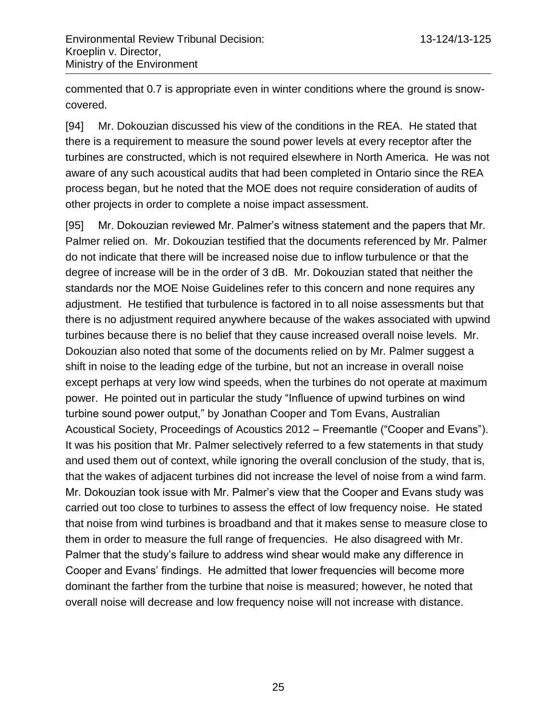commented that 0.7 is appropriate even in winter conditions where the ground is snowcovered.

[94] Mr. Dokouzian discussed his view of the conditions in the REA. He stated that there is a requirement to measure the sound power levels at every receptor after the turbines are constructed, which is not required elsewhere in North America. He was not aware of any such acoustical audits that had been completed in Ontario since the REA process began, but he noted that the MOE does not require consideration of audits of other projects in order to complete a noise impact assessment.

[95] Mr. Dokouzian reviewed Mr. Palmer's witness statement and the papers that Mr. Palmer relied on. Mr. Dokouzian testified that the documents referenced by Mr. Palmer do not indicate that there will be increased noise due to inflow turbulence or that the degree of increase will be in the order of 3 dB. Mr. Dokouzian stated that neither the standards nor the MOE Noise Guidelines refer to this concern and none requires any adjustment. He testified that turbulence is factored in to all noise assessments but that there is no adjustment required anywhere because of the wakes associated with upwind turbines because there is no belief that they cause increased overall noise levels. Mr. Dokouzian also noted that some of the documents relied on by Mr. Palmer suggest a shift in noise to the leading edge of the turbine, but not an increase in overall noise except perhaps at very low wind speeds, when the turbines do not operate at maximum power. He pointed out in particular the study "Influence of upwind turbines on wind turbine sound power output," by Jonathan Cooper and Tom Evans, Australian Acoustical Society, Proceedings of Acoustics 2012 – Freemantle ("Cooper and Evans"). It was his position that Mr. Palmer selectively referred to a few statements in that study and used them out of context, while ignoring the overall conclusion of the study, that is, that the wakes of adjacent turbines did not increase the level of noise from a wind farm. Mr. Dokouzian took issue with Mr. Palmer's view that the Cooper and Evans study was carried out too close to turbines to assess the effect of low frequency noise. He stated that noise from wind turbines is broadband and that it makes sense to measure close to them in order to measure the full range of frequencies. He also disagreed with Mr. Palmer that the study's failure to address wind shear would make any difference in Cooper and Evans' findings. He admitted that lower frequencies will become more dominant the farther from the turbine that noise is measured; however, he noted that overall noise will decrease and low frequency noise will not increase with distance.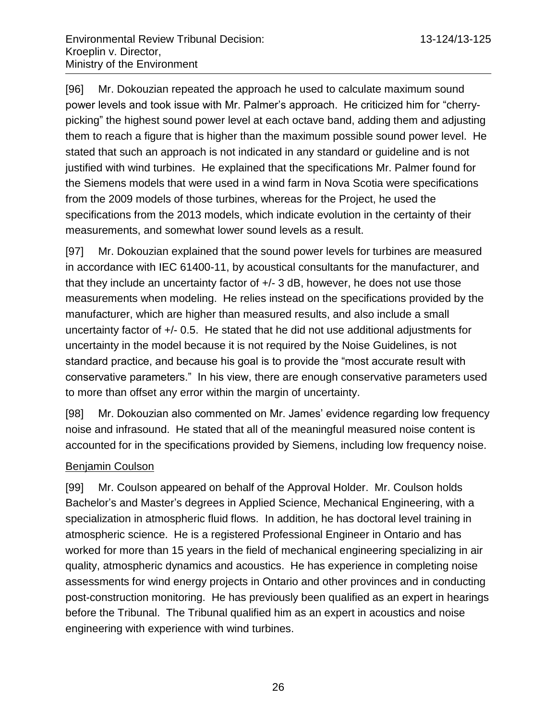[96] Mr. Dokouzian repeated the approach he used to calculate maximum sound power levels and took issue with Mr. Palmer's approach. He criticized him for "cherrypicking" the highest sound power level at each octave band, adding them and adjusting them to reach a figure that is higher than the maximum possible sound power level. He stated that such an approach is not indicated in any standard or guideline and is not justified with wind turbines. He explained that the specifications Mr. Palmer found for the Siemens models that were used in a wind farm in Nova Scotia were specifications from the 2009 models of those turbines, whereas for the Project, he used the specifications from the 2013 models, which indicate evolution in the certainty of their measurements, and somewhat lower sound levels as a result.

[97] Mr. Dokouzian explained that the sound power levels for turbines are measured in accordance with IEC 61400-11, by acoustical consultants for the manufacturer, and that they include an uncertainty factor of +/- 3 dB, however, he does not use those measurements when modeling. He relies instead on the specifications provided by the manufacturer, which are higher than measured results, and also include a small uncertainty factor of +/- 0.5. He stated that he did not use additional adjustments for uncertainty in the model because it is not required by the Noise Guidelines, is not standard practice, and because his goal is to provide the "most accurate result with conservative parameters." In his view, there are enough conservative parameters used to more than offset any error within the margin of uncertainty.

[98] Mr. Dokouzian also commented on Mr. James' evidence regarding low frequency noise and infrasound. He stated that all of the meaningful measured noise content is accounted for in the specifications provided by Siemens, including low frequency noise.

## Benjamin Coulson

[99] Mr. Coulson appeared on behalf of the Approval Holder. Mr. Coulson holds Bachelor's and Master's degrees in Applied Science, Mechanical Engineering, with a specialization in atmospheric fluid flows. In addition, he has doctoral level training in atmospheric science. He is a registered Professional Engineer in Ontario and has worked for more than 15 years in the field of mechanical engineering specializing in air quality, atmospheric dynamics and acoustics. He has experience in completing noise assessments for wind energy projects in Ontario and other provinces and in conducting post-construction monitoring. He has previously been qualified as an expert in hearings before the Tribunal. The Tribunal qualified him as an expert in acoustics and noise engineering with experience with wind turbines.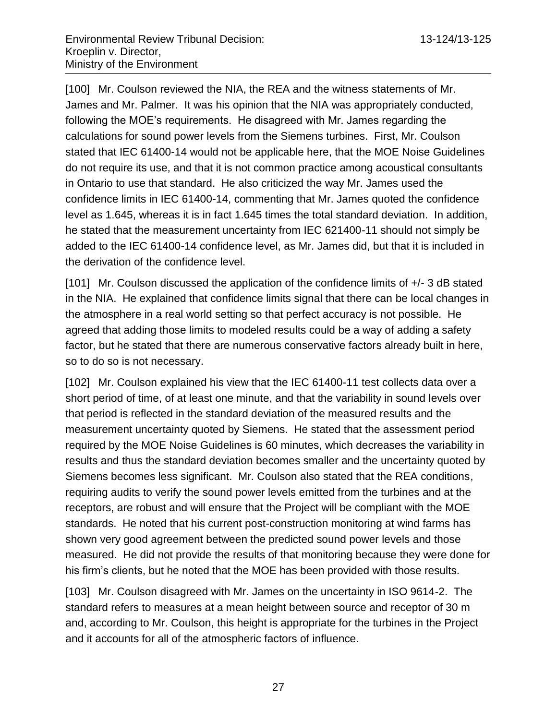[100] Mr. Coulson reviewed the NIA, the REA and the witness statements of Mr. James and Mr. Palmer. It was his opinion that the NIA was appropriately conducted, following the MOE's requirements. He disagreed with Mr. James regarding the calculations for sound power levels from the Siemens turbines. First, Mr. Coulson stated that IEC 61400-14 would not be applicable here, that the MOE Noise Guidelines do not require its use, and that it is not common practice among acoustical consultants in Ontario to use that standard. He also criticized the way Mr. James used the confidence limits in IEC 61400-14, commenting that Mr. James quoted the confidence level as 1.645, whereas it is in fact 1.645 times the total standard deviation. In addition, he stated that the measurement uncertainty from IEC 621400-11 should not simply be added to the IEC 61400-14 confidence level, as Mr. James did, but that it is included in the derivation of the confidence level.

[101] Mr. Coulson discussed the application of the confidence limits of +/- 3 dB stated in the NIA. He explained that confidence limits signal that there can be local changes in the atmosphere in a real world setting so that perfect accuracy is not possible. He agreed that adding those limits to modeled results could be a way of adding a safety factor, but he stated that there are numerous conservative factors already built in here, so to do so is not necessary.

[102] Mr. Coulson explained his view that the IEC 61400-11 test collects data over a short period of time, of at least one minute, and that the variability in sound levels over that period is reflected in the standard deviation of the measured results and the measurement uncertainty quoted by Siemens. He stated that the assessment period required by the MOE Noise Guidelines is 60 minutes, which decreases the variability in results and thus the standard deviation becomes smaller and the uncertainty quoted by Siemens becomes less significant. Mr. Coulson also stated that the REA conditions, requiring audits to verify the sound power levels emitted from the turbines and at the receptors, are robust and will ensure that the Project will be compliant with the MOE standards. He noted that his current post-construction monitoring at wind farms has shown very good agreement between the predicted sound power levels and those measured. He did not provide the results of that monitoring because they were done for his firm's clients, but he noted that the MOE has been provided with those results.

[103] Mr. Coulson disagreed with Mr. James on the uncertainty in ISO 9614-2. The standard refers to measures at a mean height between source and receptor of 30 m and, according to Mr. Coulson, this height is appropriate for the turbines in the Project and it accounts for all of the atmospheric factors of influence.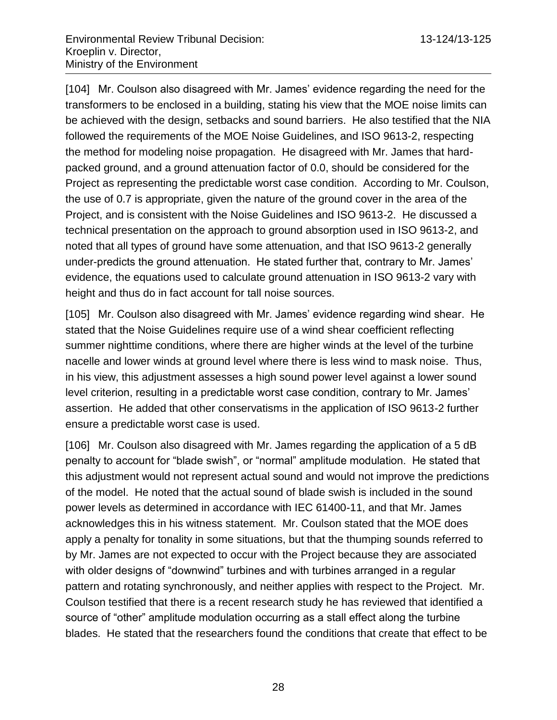[104] Mr. Coulson also disagreed with Mr. James' evidence regarding the need for the transformers to be enclosed in a building, stating his view that the MOE noise limits can be achieved with the design, setbacks and sound barriers. He also testified that the NIA followed the requirements of the MOE Noise Guidelines, and ISO 9613-2, respecting the method for modeling noise propagation. He disagreed with Mr. James that hardpacked ground, and a ground attenuation factor of 0.0, should be considered for the Project as representing the predictable worst case condition. According to Mr. Coulson, the use of 0.7 is appropriate, given the nature of the ground cover in the area of the Project, and is consistent with the Noise Guidelines and ISO 9613-2. He discussed a technical presentation on the approach to ground absorption used in ISO 9613-2, and noted that all types of ground have some attenuation, and that ISO 9613-2 generally under-predicts the ground attenuation. He stated further that, contrary to Mr. James' evidence, the equations used to calculate ground attenuation in ISO 9613-2 vary with height and thus do in fact account for tall noise sources.

[105] Mr. Coulson also disagreed with Mr. James' evidence regarding wind shear. He stated that the Noise Guidelines require use of a wind shear coefficient reflecting summer nighttime conditions, where there are higher winds at the level of the turbine nacelle and lower winds at ground level where there is less wind to mask noise. Thus, in his view, this adjustment assesses a high sound power level against a lower sound level criterion, resulting in a predictable worst case condition, contrary to Mr. James' assertion. He added that other conservatisms in the application of ISO 9613-2 further ensure a predictable worst case is used.

[106] Mr. Coulson also disagreed with Mr. James regarding the application of a 5 dB penalty to account for "blade swish", or "normal" amplitude modulation. He stated that this adjustment would not represent actual sound and would not improve the predictions of the model. He noted that the actual sound of blade swish is included in the sound power levels as determined in accordance with IEC 61400-11, and that Mr. James acknowledges this in his witness statement. Mr. Coulson stated that the MOE does apply a penalty for tonality in some situations, but that the thumping sounds referred to by Mr. James are not expected to occur with the Project because they are associated with older designs of "downwind" turbines and with turbines arranged in a regular pattern and rotating synchronously, and neither applies with respect to the Project. Mr. Coulson testified that there is a recent research study he has reviewed that identified a source of "other" amplitude modulation occurring as a stall effect along the turbine blades. He stated that the researchers found the conditions that create that effect to be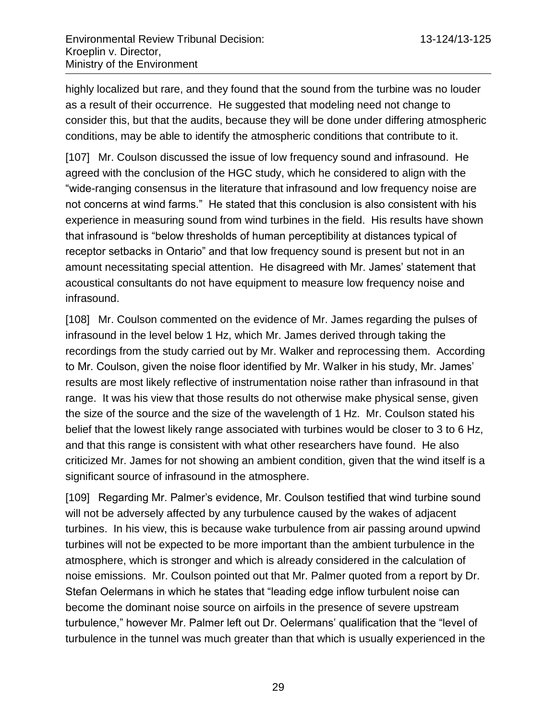highly localized but rare, and they found that the sound from the turbine was no louder as a result of their occurrence. He suggested that modeling need not change to consider this, but that the audits, because they will be done under differing atmospheric conditions, may be able to identify the atmospheric conditions that contribute to it.

[107] Mr. Coulson discussed the issue of low frequency sound and infrasound. He agreed with the conclusion of the HGC study, which he considered to align with the "wide-ranging consensus in the literature that infrasound and low frequency noise are not concerns at wind farms." He stated that this conclusion is also consistent with his experience in measuring sound from wind turbines in the field. His results have shown that infrasound is "below thresholds of human perceptibility at distances typical of receptor setbacks in Ontario" and that low frequency sound is present but not in an amount necessitating special attention. He disagreed with Mr. James' statement that acoustical consultants do not have equipment to measure low frequency noise and infrasound.

[108] Mr. Coulson commented on the evidence of Mr. James regarding the pulses of infrasound in the level below 1 Hz, which Mr. James derived through taking the recordings from the study carried out by Mr. Walker and reprocessing them. According to Mr. Coulson, given the noise floor identified by Mr. Walker in his study, Mr. James' results are most likely reflective of instrumentation noise rather than infrasound in that range. It was his view that those results do not otherwise make physical sense, given the size of the source and the size of the wavelength of 1 Hz. Mr. Coulson stated his belief that the lowest likely range associated with turbines would be closer to 3 to 6 Hz, and that this range is consistent with what other researchers have found. He also criticized Mr. James for not showing an ambient condition, given that the wind itself is a significant source of infrasound in the atmosphere.

[109] Regarding Mr. Palmer's evidence, Mr. Coulson testified that wind turbine sound will not be adversely affected by any turbulence caused by the wakes of adjacent turbines. In his view, this is because wake turbulence from air passing around upwind turbines will not be expected to be more important than the ambient turbulence in the atmosphere, which is stronger and which is already considered in the calculation of noise emissions. Mr. Coulson pointed out that Mr. Palmer quoted from a report by Dr. Stefan Oelermans in which he states that "leading edge inflow turbulent noise can become the dominant noise source on airfoils in the presence of severe upstream turbulence," however Mr. Palmer left out Dr. Oelermans' qualification that the "level of turbulence in the tunnel was much greater than that which is usually experienced in the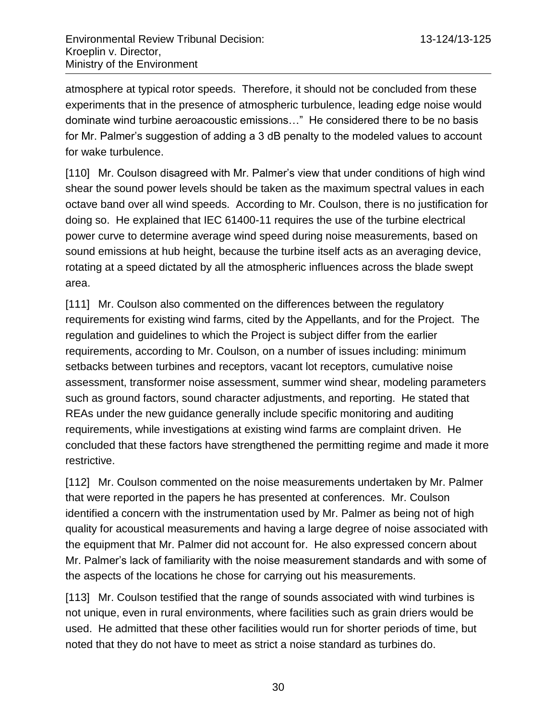atmosphere at typical rotor speeds. Therefore, it should not be concluded from these experiments that in the presence of atmospheric turbulence, leading edge noise would dominate wind turbine aeroacoustic emissions…" He considered there to be no basis for Mr. Palmer's suggestion of adding a 3 dB penalty to the modeled values to account for wake turbulence.

[110] Mr. Coulson disagreed with Mr. Palmer's view that under conditions of high wind shear the sound power levels should be taken as the maximum spectral values in each octave band over all wind speeds. According to Mr. Coulson, there is no justification for doing so. He explained that IEC 61400-11 requires the use of the turbine electrical power curve to determine average wind speed during noise measurements, based on sound emissions at hub height, because the turbine itself acts as an averaging device, rotating at a speed dictated by all the atmospheric influences across the blade swept area.

[111] Mr. Coulson also commented on the differences between the regulatory requirements for existing wind farms, cited by the Appellants, and for the Project. The regulation and guidelines to which the Project is subject differ from the earlier requirements, according to Mr. Coulson, on a number of issues including: minimum setbacks between turbines and receptors, vacant lot receptors, cumulative noise assessment, transformer noise assessment, summer wind shear, modeling parameters such as ground factors, sound character adjustments, and reporting. He stated that REAs under the new guidance generally include specific monitoring and auditing requirements, while investigations at existing wind farms are complaint driven. He concluded that these factors have strengthened the permitting regime and made it more restrictive.

[112] Mr. Coulson commented on the noise measurements undertaken by Mr. Palmer that were reported in the papers he has presented at conferences. Mr. Coulson identified a concern with the instrumentation used by Mr. Palmer as being not of high quality for acoustical measurements and having a large degree of noise associated with the equipment that Mr. Palmer did not account for. He also expressed concern about Mr. Palmer's lack of familiarity with the noise measurement standards and with some of the aspects of the locations he chose for carrying out his measurements.

[113] Mr. Coulson testified that the range of sounds associated with wind turbines is not unique, even in rural environments, where facilities such as grain driers would be used. He admitted that these other facilities would run for shorter periods of time, but noted that they do not have to meet as strict a noise standard as turbines do.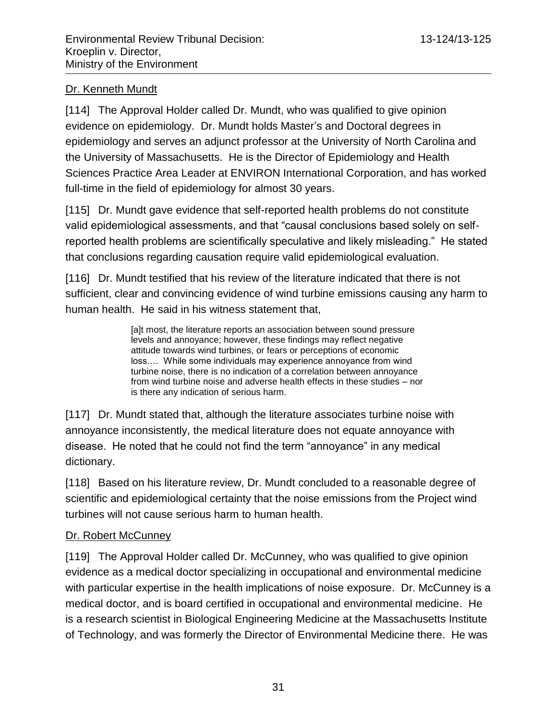# Dr. Kenneth Mundt

[114] The Approval Holder called Dr. Mundt, who was qualified to give opinion evidence on epidemiology. Dr. Mundt holds Master's and Doctoral degrees in epidemiology and serves an adjunct professor at the University of North Carolina and the University of Massachusetts. He is the Director of Epidemiology and Health Sciences Practice Area Leader at ENVIRON International Corporation, and has worked full-time in the field of epidemiology for almost 30 years.

[115] Dr. Mundt gave evidence that self-reported health problems do not constitute valid epidemiological assessments, and that "causal conclusions based solely on selfreported health problems are scientifically speculative and likely misleading." He stated that conclusions regarding causation require valid epidemiological evaluation.

[116] Dr. Mundt testified that his review of the literature indicated that there is not sufficient, clear and convincing evidence of wind turbine emissions causing any harm to human health. He said in his witness statement that,

> [a]t most, the literature reports an association between sound pressure levels and annoyance; however, these findings may reflect negative attitude towards wind turbines, or fears or perceptions of economic loss.… While some individuals may experience annoyance from wind turbine noise, there is no indication of a correlation between annoyance from wind turbine noise and adverse health effects in these studies – nor is there any indication of serious harm.

[117] Dr. Mundt stated that, although the literature associates turbine noise with annoyance inconsistently, the medical literature does not equate annoyance with disease. He noted that he could not find the term "annoyance" in any medical dictionary.

[118] Based on his literature review, Dr. Mundt concluded to a reasonable degree of scientific and epidemiological certainty that the noise emissions from the Project wind turbines will not cause serious harm to human health.

# Dr. Robert McCunney

[119] The Approval Holder called Dr. McCunney, who was qualified to give opinion evidence as a medical doctor specializing in occupational and environmental medicine with particular expertise in the health implications of noise exposure. Dr. McCunney is a medical doctor, and is board certified in occupational and environmental medicine. He is a research scientist in Biological Engineering Medicine at the Massachusetts Institute of Technology, and was formerly the Director of Environmental Medicine there. He was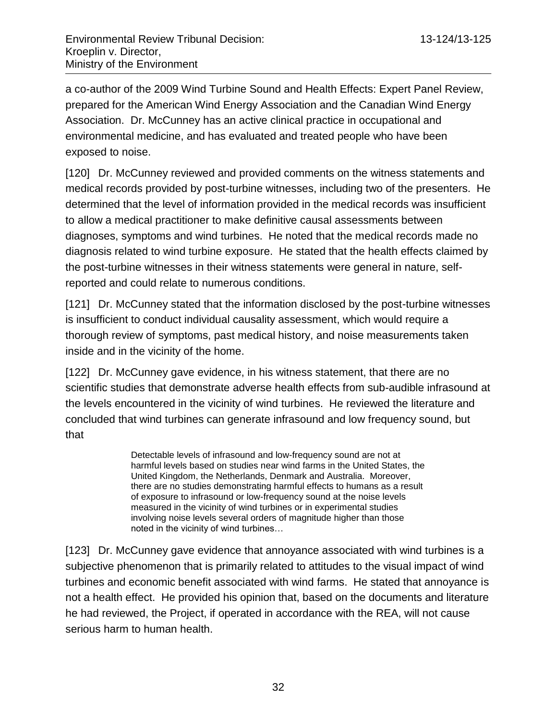a co-author of the 2009 Wind Turbine Sound and Health Effects: Expert Panel Review, prepared for the American Wind Energy Association and the Canadian Wind Energy Association. Dr. McCunney has an active clinical practice in occupational and environmental medicine, and has evaluated and treated people who have been exposed to noise.

[120] Dr. McCunney reviewed and provided comments on the witness statements and medical records provided by post-turbine witnesses, including two of the presenters. He determined that the level of information provided in the medical records was insufficient to allow a medical practitioner to make definitive causal assessments between diagnoses, symptoms and wind turbines. He noted that the medical records made no diagnosis related to wind turbine exposure. He stated that the health effects claimed by the post-turbine witnesses in their witness statements were general in nature, selfreported and could relate to numerous conditions.

[121] Dr. McCunney stated that the information disclosed by the post-turbine witnesses is insufficient to conduct individual causality assessment, which would require a thorough review of symptoms, past medical history, and noise measurements taken inside and in the vicinity of the home.

[122] Dr. McCunney gave evidence, in his witness statement, that there are no scientific studies that demonstrate adverse health effects from sub-audible infrasound at the levels encountered in the vicinity of wind turbines. He reviewed the literature and concluded that wind turbines can generate infrasound and low frequency sound, but that

> Detectable levels of infrasound and low-frequency sound are not at harmful levels based on studies near wind farms in the United States, the United Kingdom, the Netherlands, Denmark and Australia. Moreover, there are no studies demonstrating harmful effects to humans as a result of exposure to infrasound or low-frequency sound at the noise levels measured in the vicinity of wind turbines or in experimental studies involving noise levels several orders of magnitude higher than those noted in the vicinity of wind turbines…

[123] Dr. McCunney gave evidence that annoyance associated with wind turbines is a subjective phenomenon that is primarily related to attitudes to the visual impact of wind turbines and economic benefit associated with wind farms. He stated that annoyance is not a health effect. He provided his opinion that, based on the documents and literature he had reviewed, the Project, if operated in accordance with the REA, will not cause serious harm to human health.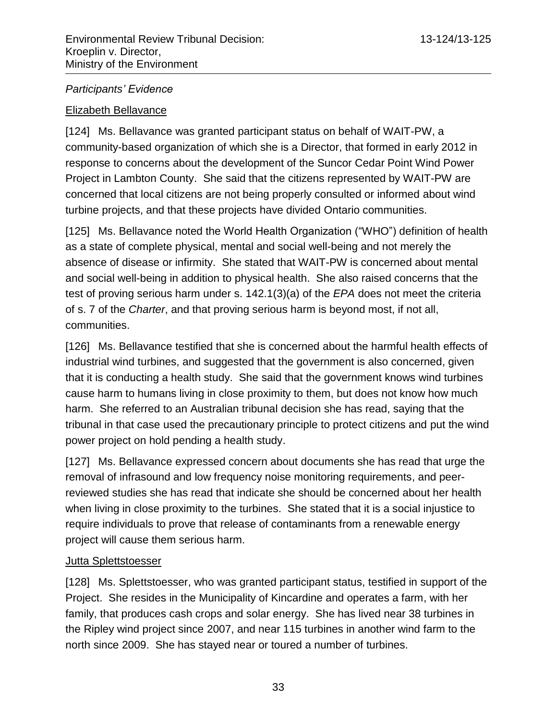## *Participants' Evidence*

## Elizabeth Bellavance

[124] Ms. Bellavance was granted participant status on behalf of WAIT-PW, a community-based organization of which she is a Director, that formed in early 2012 in response to concerns about the development of the Suncor Cedar Point Wind Power Project in Lambton County. She said that the citizens represented by WAIT-PW are concerned that local citizens are not being properly consulted or informed about wind turbine projects, and that these projects have divided Ontario communities.

[125] Ms. Bellavance noted the World Health Organization ("WHO") definition of health as a state of complete physical, mental and social well-being and not merely the absence of disease or infirmity. She stated that WAIT-PW is concerned about mental and social well-being in addition to physical health. She also raised concerns that the test of proving serious harm under s. 142.1(3)(a) of the *EPA* does not meet the criteria of s. 7 of the *Charter*, and that proving serious harm is beyond most, if not all, communities.

[126] Ms. Bellavance testified that she is concerned about the harmful health effects of industrial wind turbines, and suggested that the government is also concerned, given that it is conducting a health study. She said that the government knows wind turbines cause harm to humans living in close proximity to them, but does not know how much harm. She referred to an Australian tribunal decision she has read, saying that the tribunal in that case used the precautionary principle to protect citizens and put the wind power project on hold pending a health study.

[127] Ms. Bellavance expressed concern about documents she has read that urge the removal of infrasound and low frequency noise monitoring requirements, and peerreviewed studies she has read that indicate she should be concerned about her health when living in close proximity to the turbines. She stated that it is a social injustice to require individuals to prove that release of contaminants from a renewable energy project will cause them serious harm.

## Jutta Splettstoesser

[128] Ms. Splettstoesser, who was granted participant status, testified in support of the Project. She resides in the Municipality of Kincardine and operates a farm, with her family, that produces cash crops and solar energy. She has lived near 38 turbines in the Ripley wind project since 2007, and near 115 turbines in another wind farm to the north since 2009. She has stayed near or toured a number of turbines.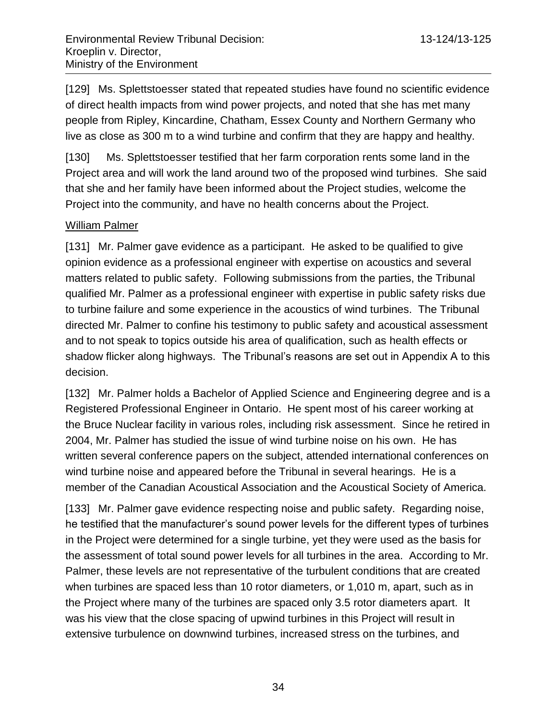[129] Ms. Splettstoesser stated that repeated studies have found no scientific evidence of direct health impacts from wind power projects, and noted that she has met many people from Ripley, Kincardine, Chatham, Essex County and Northern Germany who live as close as 300 m to a wind turbine and confirm that they are happy and healthy.

[130] Ms. Splettstoesser testified that her farm corporation rents some land in the Project area and will work the land around two of the proposed wind turbines. She said that she and her family have been informed about the Project studies, welcome the Project into the community, and have no health concerns about the Project.

## William Palmer

[131] Mr. Palmer gave evidence as a participant. He asked to be qualified to give opinion evidence as a professional engineer with expertise on acoustics and several matters related to public safety. Following submissions from the parties, the Tribunal qualified Mr. Palmer as a professional engineer with expertise in public safety risks due to turbine failure and some experience in the acoustics of wind turbines. The Tribunal directed Mr. Palmer to confine his testimony to public safety and acoustical assessment and to not speak to topics outside his area of qualification, such as health effects or shadow flicker along highways. The Tribunal's reasons are set out in Appendix A to this decision.

[132] Mr. Palmer holds a Bachelor of Applied Science and Engineering degree and is a Registered Professional Engineer in Ontario. He spent most of his career working at the Bruce Nuclear facility in various roles, including risk assessment. Since he retired in 2004, Mr. Palmer has studied the issue of wind turbine noise on his own. He has written several conference papers on the subject, attended international conferences on wind turbine noise and appeared before the Tribunal in several hearings. He is a member of the Canadian Acoustical Association and the Acoustical Society of America.

[133] Mr. Palmer gave evidence respecting noise and public safety. Regarding noise, he testified that the manufacturer's sound power levels for the different types of turbines in the Project were determined for a single turbine, yet they were used as the basis for the assessment of total sound power levels for all turbines in the area. According to Mr. Palmer, these levels are not representative of the turbulent conditions that are created when turbines are spaced less than 10 rotor diameters, or 1,010 m, apart, such as in the Project where many of the turbines are spaced only 3.5 rotor diameters apart. It was his view that the close spacing of upwind turbines in this Project will result in extensive turbulence on downwind turbines, increased stress on the turbines, and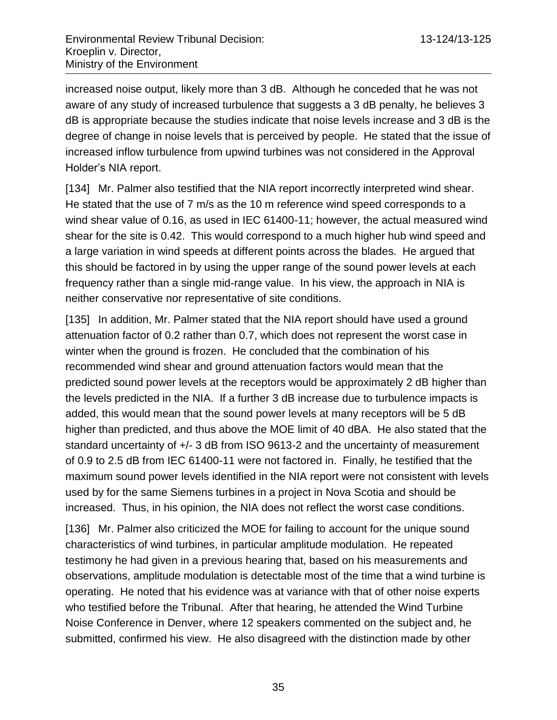increased noise output, likely more than 3 dB. Although he conceded that he was not aware of any study of increased turbulence that suggests a 3 dB penalty, he believes 3 dB is appropriate because the studies indicate that noise levels increase and 3 dB is the degree of change in noise levels that is perceived by people. He stated that the issue of increased inflow turbulence from upwind turbines was not considered in the Approval Holder's NIA report.

[134] Mr. Palmer also testified that the NIA report incorrectly interpreted wind shear. He stated that the use of 7 m/s as the 10 m reference wind speed corresponds to a wind shear value of 0.16, as used in IEC 61400-11; however, the actual measured wind shear for the site is 0.42. This would correspond to a much higher hub wind speed and a large variation in wind speeds at different points across the blades. He argued that this should be factored in by using the upper range of the sound power levels at each frequency rather than a single mid-range value. In his view, the approach in NIA is neither conservative nor representative of site conditions.

[135] In addition, Mr. Palmer stated that the NIA report should have used a ground attenuation factor of 0.2 rather than 0.7, which does not represent the worst case in winter when the ground is frozen. He concluded that the combination of his recommended wind shear and ground attenuation factors would mean that the predicted sound power levels at the receptors would be approximately 2 dB higher than the levels predicted in the NIA. If a further 3 dB increase due to turbulence impacts is added, this would mean that the sound power levels at many receptors will be 5 dB higher than predicted, and thus above the MOE limit of 40 dBA. He also stated that the standard uncertainty of  $+/- 3$  dB from ISO 9613-2 and the uncertainty of measurement of 0.9 to 2.5 dB from IEC 61400-11 were not factored in. Finally, he testified that the maximum sound power levels identified in the NIA report were not consistent with levels used by for the same Siemens turbines in a project in Nova Scotia and should be increased. Thus, in his opinion, the NIA does not reflect the worst case conditions.

[136] Mr. Palmer also criticized the MOE for failing to account for the unique sound characteristics of wind turbines, in particular amplitude modulation. He repeated testimony he had given in a previous hearing that, based on his measurements and observations, amplitude modulation is detectable most of the time that a wind turbine is operating. He noted that his evidence was at variance with that of other noise experts who testified before the Tribunal. After that hearing, he attended the Wind Turbine Noise Conference in Denver, where 12 speakers commented on the subject and, he submitted, confirmed his view. He also disagreed with the distinction made by other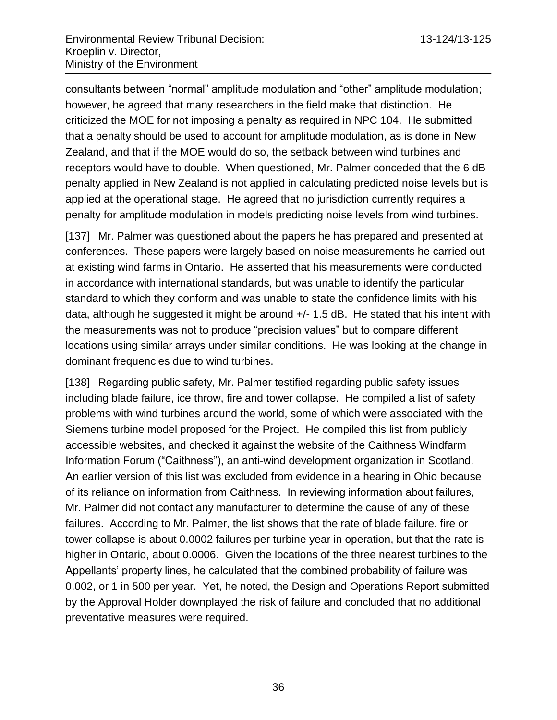consultants between "normal" amplitude modulation and "other" amplitude modulation; however, he agreed that many researchers in the field make that distinction. He criticized the MOE for not imposing a penalty as required in NPC 104. He submitted that a penalty should be used to account for amplitude modulation, as is done in New Zealand, and that if the MOE would do so, the setback between wind turbines and receptors would have to double. When questioned, Mr. Palmer conceded that the 6 dB penalty applied in New Zealand is not applied in calculating predicted noise levels but is applied at the operational stage. He agreed that no jurisdiction currently requires a penalty for amplitude modulation in models predicting noise levels from wind turbines.

[137] Mr. Palmer was questioned about the papers he has prepared and presented at conferences. These papers were largely based on noise measurements he carried out at existing wind farms in Ontario. He asserted that his measurements were conducted in accordance with international standards, but was unable to identify the particular standard to which they conform and was unable to state the confidence limits with his data, although he suggested it might be around +/- 1.5 dB. He stated that his intent with the measurements was not to produce "precision values" but to compare different locations using similar arrays under similar conditions. He was looking at the change in dominant frequencies due to wind turbines.

[138] Regarding public safety, Mr. Palmer testified regarding public safety issues including blade failure, ice throw, fire and tower collapse. He compiled a list of safety problems with wind turbines around the world, some of which were associated with the Siemens turbine model proposed for the Project. He compiled this list from publicly accessible websites, and checked it against the website of the Caithness Windfarm Information Forum ("Caithness"), an anti-wind development organization in Scotland. An earlier version of this list was excluded from evidence in a hearing in Ohio because of its reliance on information from Caithness. In reviewing information about failures, Mr. Palmer did not contact any manufacturer to determine the cause of any of these failures. According to Mr. Palmer, the list shows that the rate of blade failure, fire or tower collapse is about 0.0002 failures per turbine year in operation, but that the rate is higher in Ontario, about 0.0006. Given the locations of the three nearest turbines to the Appellants' property lines, he calculated that the combined probability of failure was 0.002, or 1 in 500 per year. Yet, he noted, the Design and Operations Report submitted by the Approval Holder downplayed the risk of failure and concluded that no additional preventative measures were required.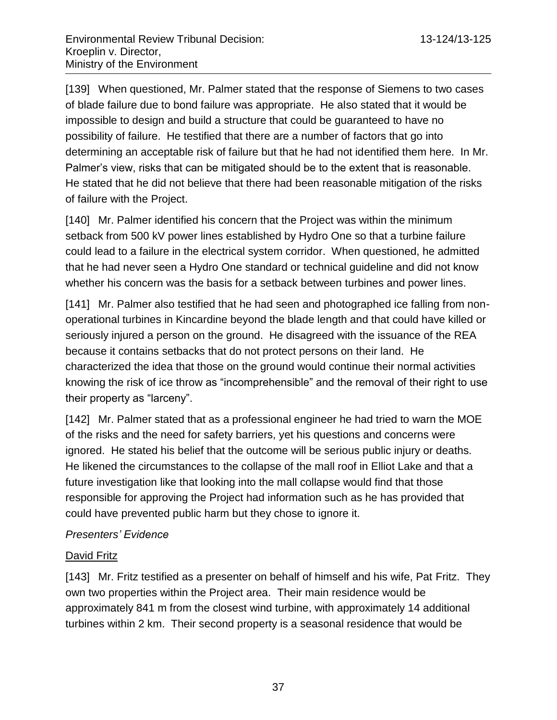[139] When questioned, Mr. Palmer stated that the response of Siemens to two cases of blade failure due to bond failure was appropriate. He also stated that it would be impossible to design and build a structure that could be guaranteed to have no possibility of failure. He testified that there are a number of factors that go into determining an acceptable risk of failure but that he had not identified them here. In Mr. Palmer's view, risks that can be mitigated should be to the extent that is reasonable. He stated that he did not believe that there had been reasonable mitigation of the risks of failure with the Project.

[140] Mr. Palmer identified his concern that the Project was within the minimum setback from 500 kV power lines established by Hydro One so that a turbine failure could lead to a failure in the electrical system corridor. When questioned, he admitted that he had never seen a Hydro One standard or technical guideline and did not know whether his concern was the basis for a setback between turbines and power lines.

[141] Mr. Palmer also testified that he had seen and photographed ice falling from nonoperational turbines in Kincardine beyond the blade length and that could have killed or seriously injured a person on the ground. He disagreed with the issuance of the REA because it contains setbacks that do not protect persons on their land. He characterized the idea that those on the ground would continue their normal activities knowing the risk of ice throw as "incomprehensible" and the removal of their right to use their property as "larceny".

[142] Mr. Palmer stated that as a professional engineer he had tried to warn the MOE of the risks and the need for safety barriers, yet his questions and concerns were ignored. He stated his belief that the outcome will be serious public injury or deaths. He likened the circumstances to the collapse of the mall roof in Elliot Lake and that a future investigation like that looking into the mall collapse would find that those responsible for approving the Project had information such as he has provided that could have prevented public harm but they chose to ignore it.

## *Presenters' Evidence*

#### David Fritz

[143] Mr. Fritz testified as a presenter on behalf of himself and his wife, Pat Fritz. They own two properties within the Project area. Their main residence would be approximately 841 m from the closest wind turbine, with approximately 14 additional turbines within 2 km. Their second property is a seasonal residence that would be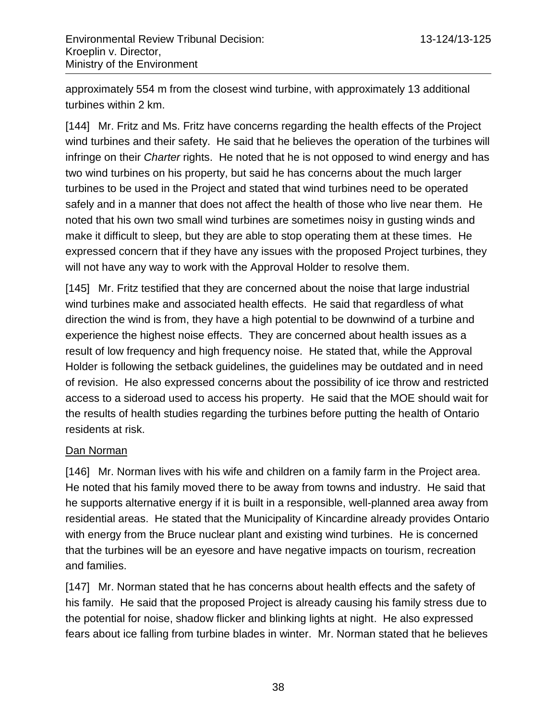approximately 554 m from the closest wind turbine, with approximately 13 additional turbines within 2 km.

[144] Mr. Fritz and Ms. Fritz have concerns regarding the health effects of the Project wind turbines and their safety. He said that he believes the operation of the turbines will infringe on their *Charter* rights. He noted that he is not opposed to wind energy and has two wind turbines on his property, but said he has concerns about the much larger turbines to be used in the Project and stated that wind turbines need to be operated safely and in a manner that does not affect the health of those who live near them. He noted that his own two small wind turbines are sometimes noisy in gusting winds and make it difficult to sleep, but they are able to stop operating them at these times. He expressed concern that if they have any issues with the proposed Project turbines, they will not have any way to work with the Approval Holder to resolve them.

[145] Mr. Fritz testified that they are concerned about the noise that large industrial wind turbines make and associated health effects. He said that regardless of what direction the wind is from, they have a high potential to be downwind of a turbine and experience the highest noise effects. They are concerned about health issues as a result of low frequency and high frequency noise. He stated that, while the Approval Holder is following the setback guidelines, the guidelines may be outdated and in need of revision. He also expressed concerns about the possibility of ice throw and restricted access to a sideroad used to access his property. He said that the MOE should wait for the results of health studies regarding the turbines before putting the health of Ontario residents at risk.

#### Dan Norman

[146] Mr. Norman lives with his wife and children on a family farm in the Project area. He noted that his family moved there to be away from towns and industry. He said that he supports alternative energy if it is built in a responsible, well-planned area away from residential areas. He stated that the Municipality of Kincardine already provides Ontario with energy from the Bruce nuclear plant and existing wind turbines. He is concerned that the turbines will be an eyesore and have negative impacts on tourism, recreation and families.

[147] Mr. Norman stated that he has concerns about health effects and the safety of his family. He said that the proposed Project is already causing his family stress due to the potential for noise, shadow flicker and blinking lights at night. He also expressed fears about ice falling from turbine blades in winter. Mr. Norman stated that he believes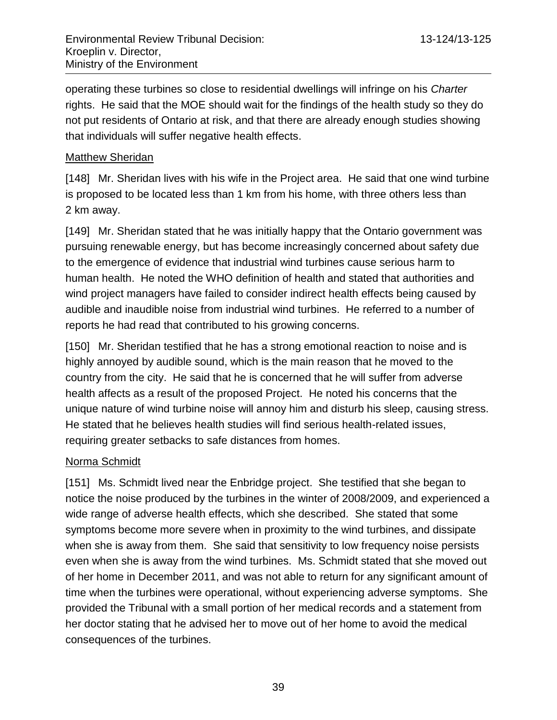operating these turbines so close to residential dwellings will infringe on his *Charter* rights. He said that the MOE should wait for the findings of the health study so they do not put residents of Ontario at risk, and that there are already enough studies showing that individuals will suffer negative health effects.

#### Matthew Sheridan

[148] Mr. Sheridan lives with his wife in the Project area. He said that one wind turbine is proposed to be located less than 1 km from his home, with three others less than 2 km away.

[149] Mr. Sheridan stated that he was initially happy that the Ontario government was pursuing renewable energy, but has become increasingly concerned about safety due to the emergence of evidence that industrial wind turbines cause serious harm to human health. He noted the WHO definition of health and stated that authorities and wind project managers have failed to consider indirect health effects being caused by audible and inaudible noise from industrial wind turbines. He referred to a number of reports he had read that contributed to his growing concerns.

[150] Mr. Sheridan testified that he has a strong emotional reaction to noise and is highly annoyed by audible sound, which is the main reason that he moved to the country from the city. He said that he is concerned that he will suffer from adverse health affects as a result of the proposed Project. He noted his concerns that the unique nature of wind turbine noise will annoy him and disturb his sleep, causing stress. He stated that he believes health studies will find serious health-related issues, requiring greater setbacks to safe distances from homes.

## Norma Schmidt

[151] Ms. Schmidt lived near the Enbridge project. She testified that she began to notice the noise produced by the turbines in the winter of 2008/2009, and experienced a wide range of adverse health effects, which she described. She stated that some symptoms become more severe when in proximity to the wind turbines, and dissipate when she is away from them. She said that sensitivity to low frequency noise persists even when she is away from the wind turbines. Ms. Schmidt stated that she moved out of her home in December 2011, and was not able to return for any significant amount of time when the turbines were operational, without experiencing adverse symptoms. She provided the Tribunal with a small portion of her medical records and a statement from her doctor stating that he advised her to move out of her home to avoid the medical consequences of the turbines.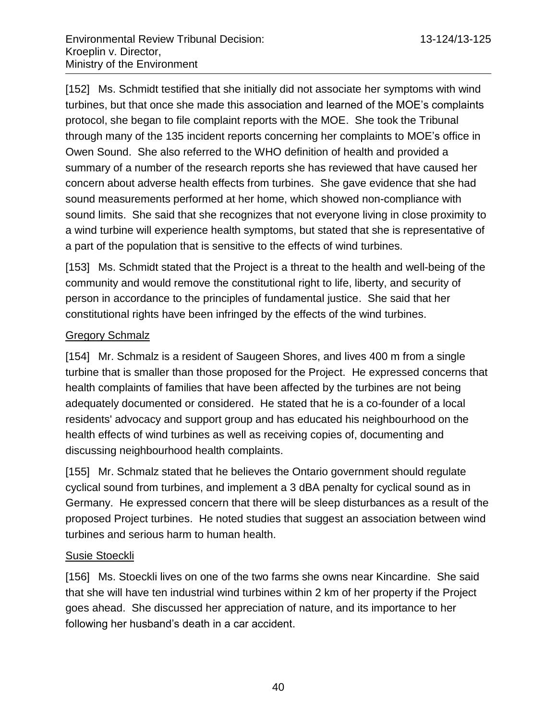[152] Ms. Schmidt testified that she initially did not associate her symptoms with wind turbines, but that once she made this association and learned of the MOE's complaints protocol, she began to file complaint reports with the MOE. She took the Tribunal through many of the 135 incident reports concerning her complaints to MOE's office in Owen Sound. She also referred to the WHO definition of health and provided a summary of a number of the research reports she has reviewed that have caused her concern about adverse health effects from turbines. She gave evidence that she had sound measurements performed at her home, which showed non-compliance with sound limits. She said that she recognizes that not everyone living in close proximity to a wind turbine will experience health symptoms, but stated that she is representative of a part of the population that is sensitive to the effects of wind turbines.

[153] Ms. Schmidt stated that the Project is a threat to the health and well-being of the community and would remove the constitutional right to life, liberty, and security of person in accordance to the principles of fundamental justice. She said that her constitutional rights have been infringed by the effects of the wind turbines.

### Gregory Schmalz

[154] Mr. Schmalz is a resident of Saugeen Shores, and lives 400 m from a single turbine that is smaller than those proposed for the Project. He expressed concerns that health complaints of families that have been affected by the turbines are not being adequately documented or considered. He stated that he is a co-founder of a local residents' advocacy and support group and has educated his neighbourhood on the health effects of wind turbines as well as receiving copies of, documenting and discussing neighbourhood health complaints.

[155] Mr. Schmalz stated that he believes the Ontario government should regulate cyclical sound from turbines, and implement a 3 dBA penalty for cyclical sound as in Germany. He expressed concern that there will be sleep disturbances as a result of the proposed Project turbines. He noted studies that suggest an association between wind turbines and serious harm to human health.

#### Susie Stoeckli

[156] Ms. Stoeckli lives on one of the two farms she owns near Kincardine. She said that she will have ten industrial wind turbines within 2 km of her property if the Project goes ahead. She discussed her appreciation of nature, and its importance to her following her husband's death in a car accident.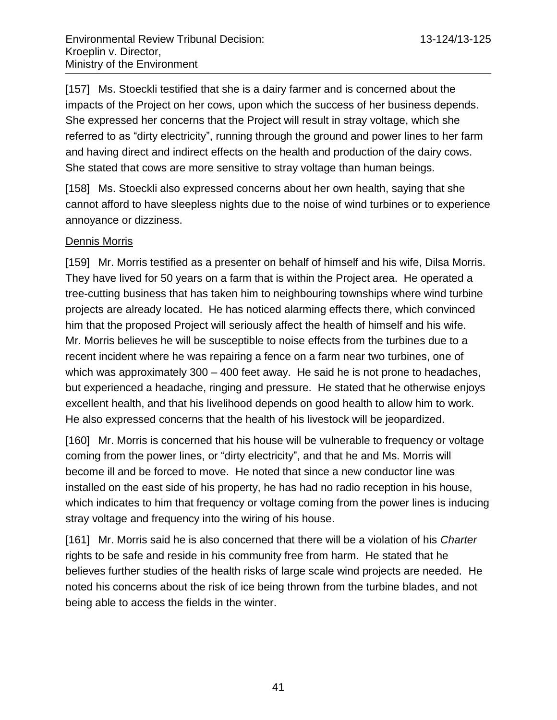[157] Ms. Stoeckli testified that she is a dairy farmer and is concerned about the impacts of the Project on her cows, upon which the success of her business depends. She expressed her concerns that the Project will result in stray voltage, which she referred to as "dirty electricity", running through the ground and power lines to her farm and having direct and indirect effects on the health and production of the dairy cows. She stated that cows are more sensitive to stray voltage than human beings.

[158] Ms. Stoeckli also expressed concerns about her own health, saying that she cannot afford to have sleepless nights due to the noise of wind turbines or to experience annoyance or dizziness.

### Dennis Morris

[159] Mr. Morris testified as a presenter on behalf of himself and his wife, Dilsa Morris. They have lived for 50 years on a farm that is within the Project area. He operated a tree-cutting business that has taken him to neighbouring townships where wind turbine projects are already located. He has noticed alarming effects there, which convinced him that the proposed Project will seriously affect the health of himself and his wife. Mr. Morris believes he will be susceptible to noise effects from the turbines due to a recent incident where he was repairing a fence on a farm near two turbines, one of which was approximately 300 – 400 feet away. He said he is not prone to headaches, but experienced a headache, ringing and pressure. He stated that he otherwise enjoys excellent health, and that his livelihood depends on good health to allow him to work. He also expressed concerns that the health of his livestock will be jeopardized.

[160] Mr. Morris is concerned that his house will be vulnerable to frequency or voltage coming from the power lines, or "dirty electricity", and that he and Ms. Morris will become ill and be forced to move. He noted that since a new conductor line was installed on the east side of his property, he has had no radio reception in his house, which indicates to him that frequency or voltage coming from the power lines is inducing stray voltage and frequency into the wiring of his house.

[161] Mr. Morris said he is also concerned that there will be a violation of his *Charter* rights to be safe and reside in his community free from harm. He stated that he believes further studies of the health risks of large scale wind projects are needed. He noted his concerns about the risk of ice being thrown from the turbine blades, and not being able to access the fields in the winter.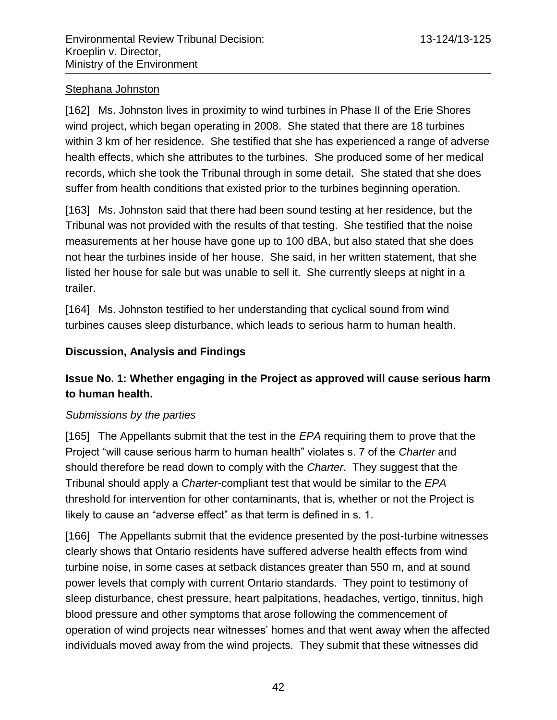### Stephana Johnston

[162] Ms. Johnston lives in proximity to wind turbines in Phase II of the Erie Shores wind project, which began operating in 2008. She stated that there are 18 turbines within 3 km of her residence. She testified that she has experienced a range of adverse health effects, which she attributes to the turbines. She produced some of her medical records, which she took the Tribunal through in some detail. She stated that she does suffer from health conditions that existed prior to the turbines beginning operation.

[163] Ms. Johnston said that there had been sound testing at her residence, but the Tribunal was not provided with the results of that testing. She testified that the noise measurements at her house have gone up to 100 dBA, but also stated that she does not hear the turbines inside of her house. She said, in her written statement, that she listed her house for sale but was unable to sell it. She currently sleeps at night in a trailer.

[164] Ms. Johnston testified to her understanding that cyclical sound from wind turbines causes sleep disturbance, which leads to serious harm to human health.

### **Discussion, Analysis and Findings**

# **Issue No. 1: Whether engaging in the Project as approved will cause serious harm to human health.**

#### *Submissions by the parties*

[165] The Appellants submit that the test in the *EPA* requiring them to prove that the Project "will cause serious harm to human health" violates s. 7 of the *Charter* and should therefore be read down to comply with the *Charter*. They suggest that the Tribunal should apply a *Charter*-compliant test that would be similar to the *EPA* threshold for intervention for other contaminants, that is, whether or not the Project is likely to cause an "adverse effect" as that term is defined in s. 1.

[166] The Appellants submit that the evidence presented by the post-turbine witnesses clearly shows that Ontario residents have suffered adverse health effects from wind turbine noise, in some cases at setback distances greater than 550 m, and at sound power levels that comply with current Ontario standards. They point to testimony of sleep disturbance, chest pressure, heart palpitations, headaches, vertigo, tinnitus, high blood pressure and other symptoms that arose following the commencement of operation of wind projects near witnesses' homes and that went away when the affected individuals moved away from the wind projects. They submit that these witnesses did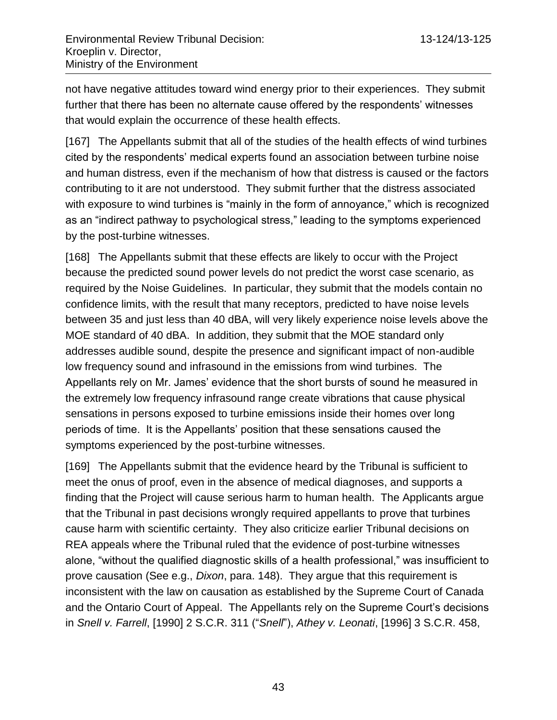not have negative attitudes toward wind energy prior to their experiences. They submit further that there has been no alternate cause offered by the respondents' witnesses that would explain the occurrence of these health effects.

[167] The Appellants submit that all of the studies of the health effects of wind turbines cited by the respondents' medical experts found an association between turbine noise and human distress, even if the mechanism of how that distress is caused or the factors contributing to it are not understood. They submit further that the distress associated with exposure to wind turbines is "mainly in the form of annoyance," which is recognized as an "indirect pathway to psychological stress," leading to the symptoms experienced by the post-turbine witnesses.

[168] The Appellants submit that these effects are likely to occur with the Project because the predicted sound power levels do not predict the worst case scenario, as required by the Noise Guidelines. In particular, they submit that the models contain no confidence limits, with the result that many receptors, predicted to have noise levels between 35 and just less than 40 dBA, will very likely experience noise levels above the MOE standard of 40 dBA. In addition, they submit that the MOE standard only addresses audible sound, despite the presence and significant impact of non-audible low frequency sound and infrasound in the emissions from wind turbines. The Appellants rely on Mr. James' evidence that the short bursts of sound he measured in the extremely low frequency infrasound range create vibrations that cause physical sensations in persons exposed to turbine emissions inside their homes over long periods of time. It is the Appellants' position that these sensations caused the symptoms experienced by the post-turbine witnesses.

[169] The Appellants submit that the evidence heard by the Tribunal is sufficient to meet the onus of proof, even in the absence of medical diagnoses, and supports a finding that the Project will cause serious harm to human health. The Applicants argue that the Tribunal in past decisions wrongly required appellants to prove that turbines cause harm with scientific certainty. They also criticize earlier Tribunal decisions on REA appeals where the Tribunal ruled that the evidence of post-turbine witnesses alone, "without the qualified diagnostic skills of a health professional," was insufficient to prove causation (See e.g., *Dixon*, para. 148). They argue that this requirement is inconsistent with the law on causation as established by the Supreme Court of Canada and the Ontario Court of Appeal. The Appellants rely on the Supreme Court's decisions in *Snell v. Farrell*, [1990] 2 S.C.R. 311 ("*Snell*"), *Athey v. Leonati*, [1996] 3 S.C.R. 458,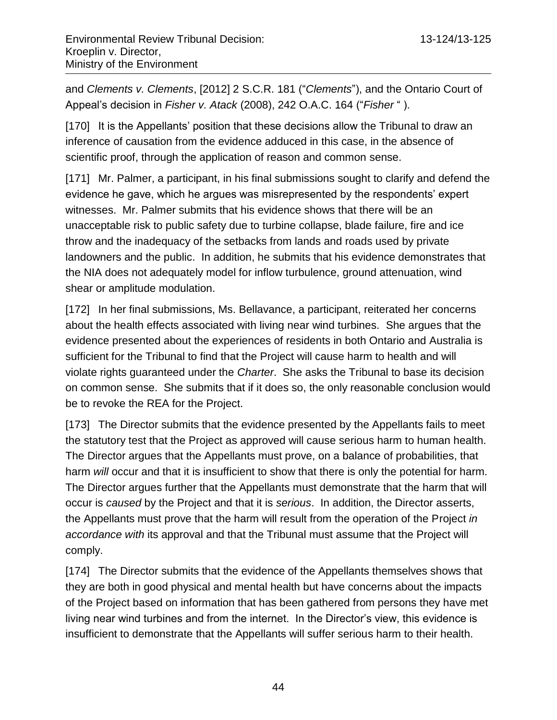and *Clements v. Clements*, [2012] 2 S.C.R. 181 ("*Clements*"), and the Ontario Court of Appeal's decision in *Fisher v. Atack* (2008), 242 O.A.C. 164 ("*Fisher* " ).

[170] It is the Appellants' position that these decisions allow the Tribunal to draw an inference of causation from the evidence adduced in this case, in the absence of scientific proof, through the application of reason and common sense.

[171] Mr. Palmer, a participant, in his final submissions sought to clarify and defend the evidence he gave, which he argues was misrepresented by the respondents' expert witnesses. Mr. Palmer submits that his evidence shows that there will be an unacceptable risk to public safety due to turbine collapse, blade failure, fire and ice throw and the inadequacy of the setbacks from lands and roads used by private landowners and the public. In addition, he submits that his evidence demonstrates that the NIA does not adequately model for inflow turbulence, ground attenuation, wind shear or amplitude modulation.

[172] In her final submissions, Ms. Bellavance, a participant, reiterated her concerns about the health effects associated with living near wind turbines. She argues that the evidence presented about the experiences of residents in both Ontario and Australia is sufficient for the Tribunal to find that the Project will cause harm to health and will violate rights guaranteed under the *Charter*. She asks the Tribunal to base its decision on common sense. She submits that if it does so, the only reasonable conclusion would be to revoke the REA for the Project.

[173] The Director submits that the evidence presented by the Appellants fails to meet the statutory test that the Project as approved will cause serious harm to human health. The Director argues that the Appellants must prove, on a balance of probabilities, that harm *will* occur and that it is insufficient to show that there is only the potential for harm. The Director argues further that the Appellants must demonstrate that the harm that will occur is *caused* by the Project and that it is *serious*. In addition, the Director asserts, the Appellants must prove that the harm will result from the operation of the Project *in accordance with* its approval and that the Tribunal must assume that the Project will comply.

[174] The Director submits that the evidence of the Appellants themselves shows that they are both in good physical and mental health but have concerns about the impacts of the Project based on information that has been gathered from persons they have met living near wind turbines and from the internet. In the Director's view, this evidence is insufficient to demonstrate that the Appellants will suffer serious harm to their health.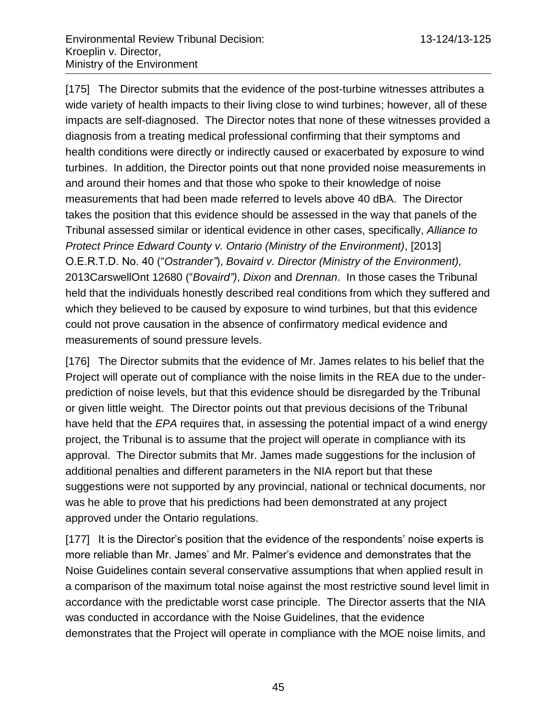[175] The Director submits that the evidence of the post-turbine witnesses attributes a wide variety of health impacts to their living close to wind turbines; however, all of these impacts are self-diagnosed. The Director notes that none of these witnesses provided a diagnosis from a treating medical professional confirming that their symptoms and health conditions were directly or indirectly caused or exacerbated by exposure to wind turbines. In addition, the Director points out that none provided noise measurements in and around their homes and that those who spoke to their knowledge of noise measurements that had been made referred to levels above 40 dBA. The Director takes the position that this evidence should be assessed in the way that panels of the Tribunal assessed similar or identical evidence in other cases, specifically, *Alliance to Protect Prince Edward County v. Ontario (Ministry of the Environment)*, [2013] O.E.R.T.D. No. 40 ("*Ostrander"*), *Bovaird v. Director (Ministry of the Environment),* 2013CarswellOnt 12680 ("*Bovaird")*, *Dixon* and *Drennan*. In those cases the Tribunal held that the individuals honestly described real conditions from which they suffered and which they believed to be caused by exposure to wind turbines, but that this evidence could not prove causation in the absence of confirmatory medical evidence and measurements of sound pressure levels.

[176] The Director submits that the evidence of Mr. James relates to his belief that the Project will operate out of compliance with the noise limits in the REA due to the underprediction of noise levels, but that this evidence should be disregarded by the Tribunal or given little weight. The Director points out that previous decisions of the Tribunal have held that the *EPA* requires that, in assessing the potential impact of a wind energy project, the Tribunal is to assume that the project will operate in compliance with its approval. The Director submits that Mr. James made suggestions for the inclusion of additional penalties and different parameters in the NIA report but that these suggestions were not supported by any provincial, national or technical documents, nor was he able to prove that his predictions had been demonstrated at any project approved under the Ontario regulations.

[177] It is the Director's position that the evidence of the respondents' noise experts is more reliable than Mr. James' and Mr. Palmer's evidence and demonstrates that the Noise Guidelines contain several conservative assumptions that when applied result in a comparison of the maximum total noise against the most restrictive sound level limit in accordance with the predictable worst case principle. The Director asserts that the NIA was conducted in accordance with the Noise Guidelines, that the evidence demonstrates that the Project will operate in compliance with the MOE noise limits, and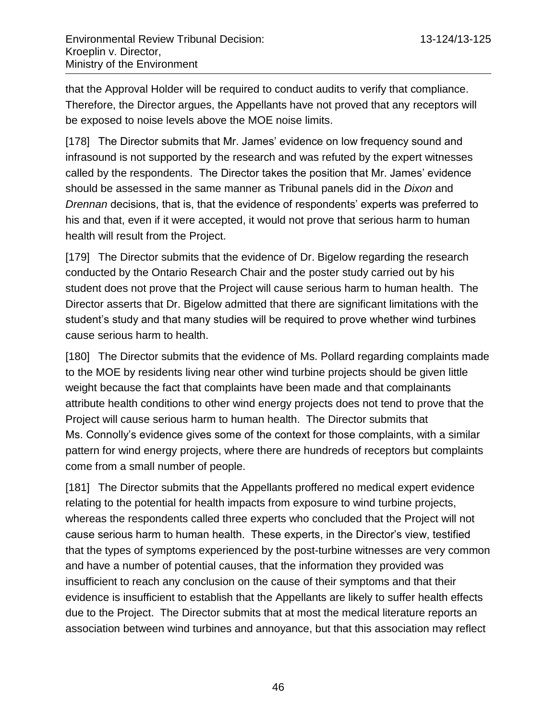that the Approval Holder will be required to conduct audits to verify that compliance. Therefore, the Director argues, the Appellants have not proved that any receptors will be exposed to noise levels above the MOE noise limits.

[178] The Director submits that Mr. James' evidence on low frequency sound and infrasound is not supported by the research and was refuted by the expert witnesses called by the respondents. The Director takes the position that Mr. James' evidence should be assessed in the same manner as Tribunal panels did in the *Dixon* and *Drennan* decisions, that is, that the evidence of respondents' experts was preferred to his and that, even if it were accepted, it would not prove that serious harm to human health will result from the Project.

[179] The Director submits that the evidence of Dr. Bigelow regarding the research conducted by the Ontario Research Chair and the poster study carried out by his student does not prove that the Project will cause serious harm to human health. The Director asserts that Dr. Bigelow admitted that there are significant limitations with the student's study and that many studies will be required to prove whether wind turbines cause serious harm to health.

[180] The Director submits that the evidence of Ms. Pollard regarding complaints made to the MOE by residents living near other wind turbine projects should be given little weight because the fact that complaints have been made and that complainants attribute health conditions to other wind energy projects does not tend to prove that the Project will cause serious harm to human health. The Director submits that Ms. Connolly's evidence gives some of the context for those complaints, with a similar pattern for wind energy projects, where there are hundreds of receptors but complaints come from a small number of people.

[181] The Director submits that the Appellants proffered no medical expert evidence relating to the potential for health impacts from exposure to wind turbine projects, whereas the respondents called three experts who concluded that the Project will not cause serious harm to human health. These experts, in the Director's view, testified that the types of symptoms experienced by the post-turbine witnesses are very common and have a number of potential causes, that the information they provided was insufficient to reach any conclusion on the cause of their symptoms and that their evidence is insufficient to establish that the Appellants are likely to suffer health effects due to the Project. The Director submits that at most the medical literature reports an association between wind turbines and annoyance, but that this association may reflect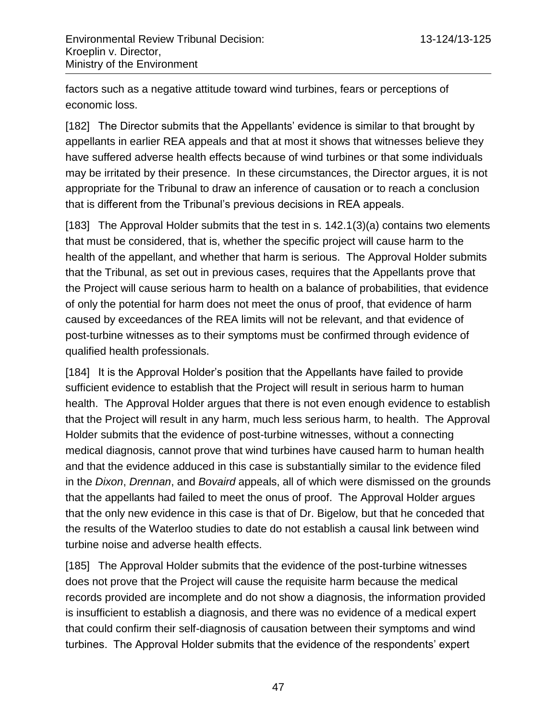factors such as a negative attitude toward wind turbines, fears or perceptions of economic loss.

[182] The Director submits that the Appellants' evidence is similar to that brought by appellants in earlier REA appeals and that at most it shows that witnesses believe they have suffered adverse health effects because of wind turbines or that some individuals may be irritated by their presence. In these circumstances, the Director argues, it is not appropriate for the Tribunal to draw an inference of causation or to reach a conclusion that is different from the Tribunal's previous decisions in REA appeals.

[183] The Approval Holder submits that the test in s. 142.1(3)(a) contains two elements that must be considered, that is, whether the specific project will cause harm to the health of the appellant, and whether that harm is serious. The Approval Holder submits that the Tribunal, as set out in previous cases, requires that the Appellants prove that the Project will cause serious harm to health on a balance of probabilities, that evidence of only the potential for harm does not meet the onus of proof, that evidence of harm caused by exceedances of the REA limits will not be relevant, and that evidence of post-turbine witnesses as to their symptoms must be confirmed through evidence of qualified health professionals.

[184] It is the Approval Holder's position that the Appellants have failed to provide sufficient evidence to establish that the Project will result in serious harm to human health. The Approval Holder argues that there is not even enough evidence to establish that the Project will result in any harm, much less serious harm, to health. The Approval Holder submits that the evidence of post-turbine witnesses, without a connecting medical diagnosis, cannot prove that wind turbines have caused harm to human health and that the evidence adduced in this case is substantially similar to the evidence filed in the *Dixon*, *Drennan*, and *Bovaird* appeals, all of which were dismissed on the grounds that the appellants had failed to meet the onus of proof. The Approval Holder argues that the only new evidence in this case is that of Dr. Bigelow, but that he conceded that the results of the Waterloo studies to date do not establish a causal link between wind turbine noise and adverse health effects.

[185] The Approval Holder submits that the evidence of the post-turbine witnesses does not prove that the Project will cause the requisite harm because the medical records provided are incomplete and do not show a diagnosis, the information provided is insufficient to establish a diagnosis, and there was no evidence of a medical expert that could confirm their self-diagnosis of causation between their symptoms and wind turbines. The Approval Holder submits that the evidence of the respondents' expert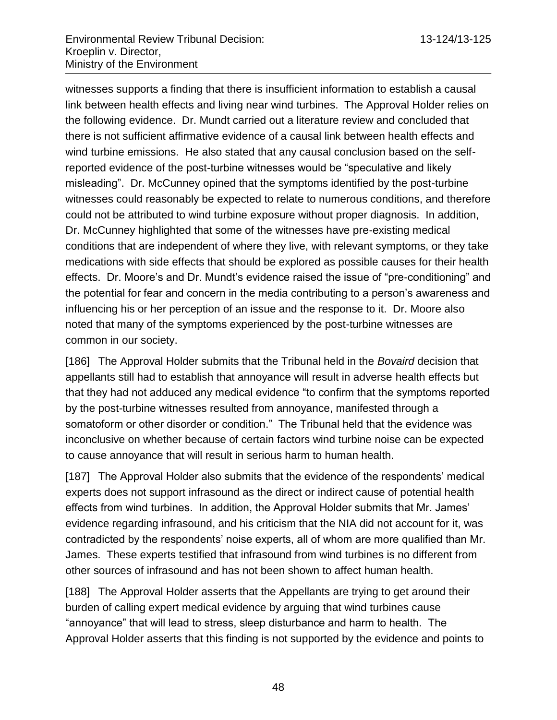witnesses supports a finding that there is insufficient information to establish a causal link between health effects and living near wind turbines. The Approval Holder relies on the following evidence. Dr. Mundt carried out a literature review and concluded that there is not sufficient affirmative evidence of a causal link between health effects and wind turbine emissions. He also stated that any causal conclusion based on the selfreported evidence of the post-turbine witnesses would be "speculative and likely misleading". Dr. McCunney opined that the symptoms identified by the post-turbine witnesses could reasonably be expected to relate to numerous conditions, and therefore could not be attributed to wind turbine exposure without proper diagnosis. In addition, Dr. McCunney highlighted that some of the witnesses have pre-existing medical conditions that are independent of where they live, with relevant symptoms, or they take medications with side effects that should be explored as possible causes for their health effects. Dr. Moore's and Dr. Mundt's evidence raised the issue of "pre-conditioning" and the potential for fear and concern in the media contributing to a person's awareness and influencing his or her perception of an issue and the response to it. Dr. Moore also noted that many of the symptoms experienced by the post-turbine witnesses are common in our society.

[186] The Approval Holder submits that the Tribunal held in the *Bovaird* decision that appellants still had to establish that annoyance will result in adverse health effects but that they had not adduced any medical evidence "to confirm that the symptoms reported by the post-turbine witnesses resulted from annoyance, manifested through a somatoform or other disorder or condition." The Tribunal held that the evidence was inconclusive on whether because of certain factors wind turbine noise can be expected to cause annoyance that will result in serious harm to human health.

[187] The Approval Holder also submits that the evidence of the respondents' medical experts does not support infrasound as the direct or indirect cause of potential health effects from wind turbines. In addition, the Approval Holder submits that Mr. James' evidence regarding infrasound, and his criticism that the NIA did not account for it, was contradicted by the respondents' noise experts, all of whom are more qualified than Mr. James. These experts testified that infrasound from wind turbines is no different from other sources of infrasound and has not been shown to affect human health.

[188] The Approval Holder asserts that the Appellants are trying to get around their burden of calling expert medical evidence by arguing that wind turbines cause "annoyance" that will lead to stress, sleep disturbance and harm to health. The Approval Holder asserts that this finding is not supported by the evidence and points to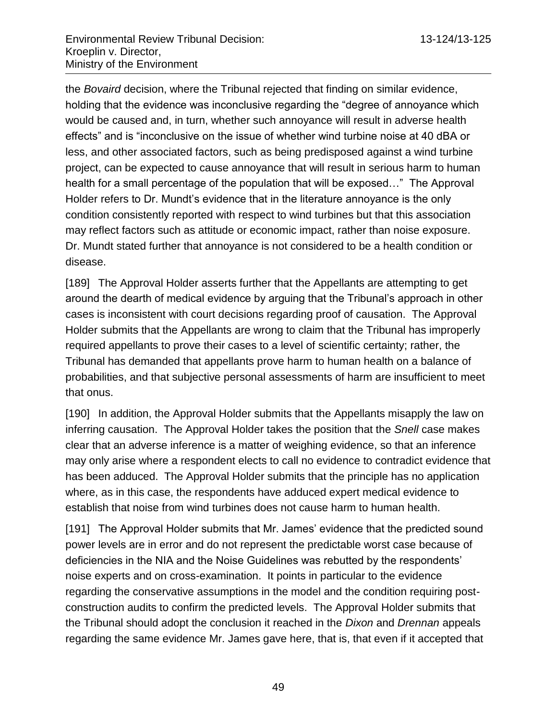the *Bovaird* decision, where the Tribunal rejected that finding on similar evidence, holding that the evidence was inconclusive regarding the "degree of annoyance which would be caused and, in turn, whether such annoyance will result in adverse health effects" and is "inconclusive on the issue of whether wind turbine noise at 40 dBA or less, and other associated factors, such as being predisposed against a wind turbine project, can be expected to cause annoyance that will result in serious harm to human health for a small percentage of the population that will be exposed…" The Approval Holder refers to Dr. Mundt's evidence that in the literature annoyance is the only condition consistently reported with respect to wind turbines but that this association may reflect factors such as attitude or economic impact, rather than noise exposure. Dr. Mundt stated further that annoyance is not considered to be a health condition or disease.

[189] The Approval Holder asserts further that the Appellants are attempting to get around the dearth of medical evidence by arguing that the Tribunal's approach in other cases is inconsistent with court decisions regarding proof of causation. The Approval Holder submits that the Appellants are wrong to claim that the Tribunal has improperly required appellants to prove their cases to a level of scientific certainty; rather, the Tribunal has demanded that appellants prove harm to human health on a balance of probabilities, and that subjective personal assessments of harm are insufficient to meet that onus.

[190] In addition, the Approval Holder submits that the Appellants misapply the law on inferring causation. The Approval Holder takes the position that the *Snell* case makes clear that an adverse inference is a matter of weighing evidence, so that an inference may only arise where a respondent elects to call no evidence to contradict evidence that has been adduced. The Approval Holder submits that the principle has no application where, as in this case, the respondents have adduced expert medical evidence to establish that noise from wind turbines does not cause harm to human health.

[191] The Approval Holder submits that Mr. James' evidence that the predicted sound power levels are in error and do not represent the predictable worst case because of deficiencies in the NIA and the Noise Guidelines was rebutted by the respondents' noise experts and on cross-examination. It points in particular to the evidence regarding the conservative assumptions in the model and the condition requiring postconstruction audits to confirm the predicted levels. The Approval Holder submits that the Tribunal should adopt the conclusion it reached in the *Dixon* and *Drennan* appeals regarding the same evidence Mr. James gave here, that is, that even if it accepted that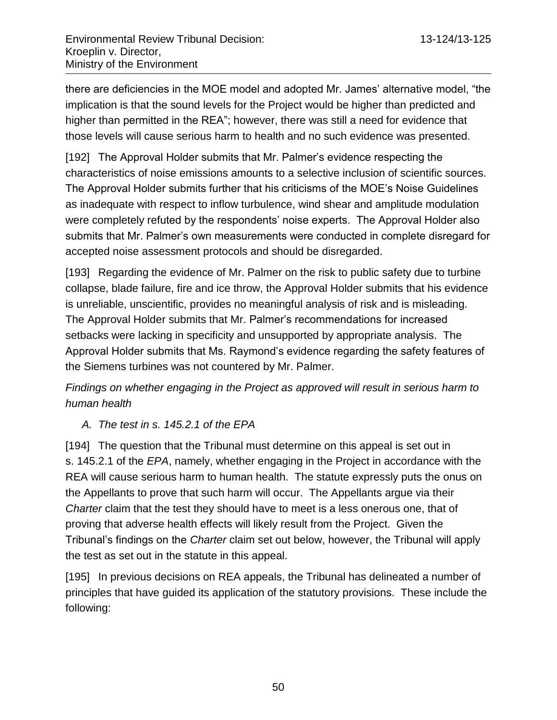there are deficiencies in the MOE model and adopted Mr. James' alternative model, "the implication is that the sound levels for the Project would be higher than predicted and higher than permitted in the REA"; however, there was still a need for evidence that those levels will cause serious harm to health and no such evidence was presented.

[192] The Approval Holder submits that Mr. Palmer's evidence respecting the characteristics of noise emissions amounts to a selective inclusion of scientific sources. The Approval Holder submits further that his criticisms of the MOE's Noise Guidelines as inadequate with respect to inflow turbulence, wind shear and amplitude modulation were completely refuted by the respondents' noise experts. The Approval Holder also submits that Mr. Palmer's own measurements were conducted in complete disregard for accepted noise assessment protocols and should be disregarded.

[193] Regarding the evidence of Mr. Palmer on the risk to public safety due to turbine collapse, blade failure, fire and ice throw, the Approval Holder submits that his evidence is unreliable, unscientific, provides no meaningful analysis of risk and is misleading. The Approval Holder submits that Mr. Palmer's recommendations for increased setbacks were lacking in specificity and unsupported by appropriate analysis. The Approval Holder submits that Ms. Raymond's evidence regarding the safety features of the Siemens turbines was not countered by Mr. Palmer.

# *Findings on whether engaging in the Project as approved will result in serious harm to human health*

# *A. The test in s. 145.2.1 of the EPA*

[194] The question that the Tribunal must determine on this appeal is set out in s. 145.2.1 of the *EPA*, namely, whether engaging in the Project in accordance with the REA will cause serious harm to human health. The statute expressly puts the onus on the Appellants to prove that such harm will occur. The Appellants argue via their *Charter* claim that the test they should have to meet is a less onerous one, that of proving that adverse health effects will likely result from the Project. Given the Tribunal's findings on the *Charter* claim set out below, however, the Tribunal will apply the test as set out in the statute in this appeal.

[195] In previous decisions on REA appeals, the Tribunal has delineated a number of principles that have guided its application of the statutory provisions. These include the following: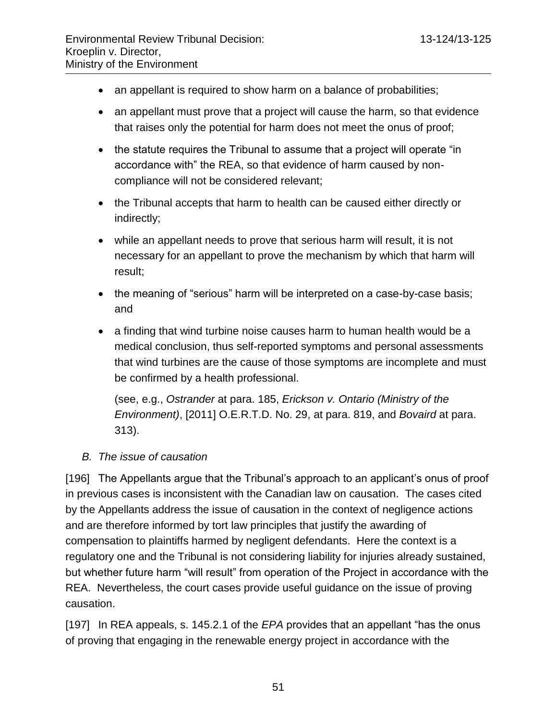- an appellant is required to show harm on a balance of probabilities;
- an appellant must prove that a project will cause the harm, so that evidence that raises only the potential for harm does not meet the onus of proof;
- the statute requires the Tribunal to assume that a project will operate "in accordance with" the REA, so that evidence of harm caused by noncompliance will not be considered relevant;
- the Tribunal accepts that harm to health can be caused either directly or indirectly;
- while an appellant needs to prove that serious harm will result, it is not necessary for an appellant to prove the mechanism by which that harm will result;
- the meaning of "serious" harm will be interpreted on a case-by-case basis; and
- a finding that wind turbine noise causes harm to human health would be a medical conclusion, thus self-reported symptoms and personal assessments that wind turbines are the cause of those symptoms are incomplete and must be confirmed by a health professional.

(see, e.g., *Ostrander* at para. 185, *Erickson v. Ontario (Ministry of the Environment)*, [2011] O.E.R.T.D. No. 29, at para. 819, and *Bovaird* at para. 313).

## *B. The issue of causation*

[196] The Appellants argue that the Tribunal's approach to an applicant's onus of proof in previous cases is inconsistent with the Canadian law on causation. The cases cited by the Appellants address the issue of causation in the context of negligence actions and are therefore informed by tort law principles that justify the awarding of compensation to plaintiffs harmed by negligent defendants. Here the context is a regulatory one and the Tribunal is not considering liability for injuries already sustained, but whether future harm "will result" from operation of the Project in accordance with the REA. Nevertheless, the court cases provide useful guidance on the issue of proving causation.

[197] In REA appeals, s. 145.2.1 of the *EPA* provides that an appellant "has the onus of proving that engaging in the renewable energy project in accordance with the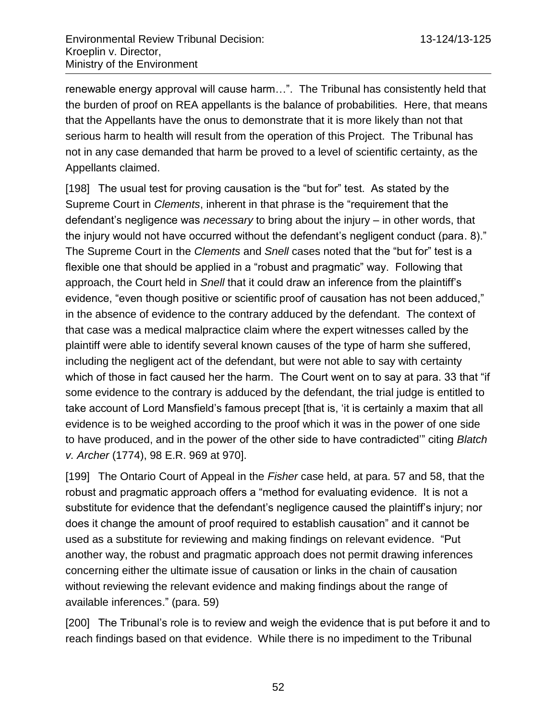renewable energy approval will cause harm…". The Tribunal has consistently held that the burden of proof on REA appellants is the balance of probabilities. Here, that means that the Appellants have the onus to demonstrate that it is more likely than not that serious harm to health will result from the operation of this Project. The Tribunal has not in any case demanded that harm be proved to a level of scientific certainty, as the Appellants claimed.

[198] The usual test for proving causation is the "but for" test. As stated by the Supreme Court in *Clements*, inherent in that phrase is the "requirement that the defendant's negligence was *necessary* to bring about the injury – in other words, that the injury would not have occurred without the defendant's negligent conduct (para. 8)." The Supreme Court in the *Clements* and *Snell* cases noted that the "but for" test is a flexible one that should be applied in a "robust and pragmatic" way. Following that approach, the Court held in *Snell* that it could draw an inference from the plaintiff's evidence, "even though positive or scientific proof of causation has not been adduced," in the absence of evidence to the contrary adduced by the defendant. The context of that case was a medical malpractice claim where the expert witnesses called by the plaintiff were able to identify several known causes of the type of harm she suffered, including the negligent act of the defendant, but were not able to say with certainty which of those in fact caused her the harm. The Court went on to say at para. 33 that "if some evidence to the contrary is adduced by the defendant, the trial judge is entitled to take account of Lord Mansfield's famous precept [that is, 'it is certainly a maxim that all evidence is to be weighed according to the proof which it was in the power of one side to have produced, and in the power of the other side to have contradicted'" citing *Blatch v. Archer* (1774), 98 E.R. 969 at 970].

[199] The Ontario Court of Appeal in the *Fisher* case held, at para. 57 and 58, that the robust and pragmatic approach offers a "method for evaluating evidence. It is not a substitute for evidence that the defendant's negligence caused the plaintiff's injury; nor does it change the amount of proof required to establish causation" and it cannot be used as a substitute for reviewing and making findings on relevant evidence. "Put another way, the robust and pragmatic approach does not permit drawing inferences concerning either the ultimate issue of causation or links in the chain of causation without reviewing the relevant evidence and making findings about the range of available inferences." (para. 59)

[200] The Tribunal's role is to review and weigh the evidence that is put before it and to reach findings based on that evidence. While there is no impediment to the Tribunal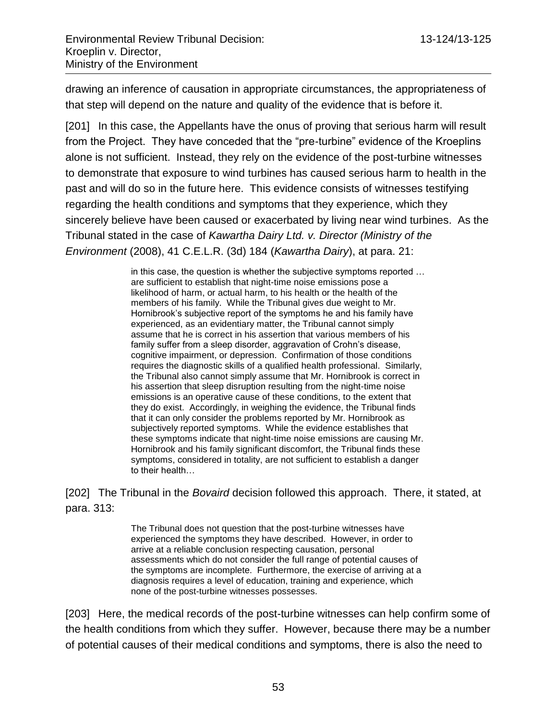drawing an inference of causation in appropriate circumstances, the appropriateness of that step will depend on the nature and quality of the evidence that is before it.

[201] In this case, the Appellants have the onus of proving that serious harm will result from the Project. They have conceded that the "pre-turbine" evidence of the Kroeplins alone is not sufficient. Instead, they rely on the evidence of the post-turbine witnesses to demonstrate that exposure to wind turbines has caused serious harm to health in the past and will do so in the future here. This evidence consists of witnesses testifying regarding the health conditions and symptoms that they experience, which they sincerely believe have been caused or exacerbated by living near wind turbines. As the Tribunal stated in the case of *Kawartha Dairy Ltd. v. Director (Ministry of the Environment* (2008), 41 C.E.L.R. (3d) 184 (*Kawartha Dairy*), at para. 21:

> in this case, the question is whether the subjective symptoms reported … are sufficient to establish that night-time noise emissions pose a likelihood of harm, or actual harm, to his health or the health of the members of his family. While the Tribunal gives due weight to Mr. Hornibrook's subjective report of the symptoms he and his family have experienced, as an evidentiary matter, the Tribunal cannot simply assume that he is correct in his assertion that various members of his family suffer from a sleep disorder, aggravation of Crohn's disease, cognitive impairment, or depression. Confirmation of those conditions requires the diagnostic skills of a qualified health professional. Similarly, the Tribunal also cannot simply assume that Mr. Hornibrook is correct in his assertion that sleep disruption resulting from the night-time noise emissions is an operative cause of these conditions, to the extent that they do exist. Accordingly, in weighing the evidence, the Tribunal finds that it can only consider the problems reported by Mr. Hornibrook as subjectively reported symptoms. While the evidence establishes that these symptoms indicate that night-time noise emissions are causing Mr. Hornibrook and his family significant discomfort, the Tribunal finds these symptoms, considered in totality, are not sufficient to establish a danger to their health…

[202] The Tribunal in the *Bovaird* decision followed this approach. There, it stated, at para. 313:

> The Tribunal does not question that the post-turbine witnesses have experienced the symptoms they have described. However, in order to arrive at a reliable conclusion respecting causation, personal assessments which do not consider the full range of potential causes of the symptoms are incomplete. Furthermore, the exercise of arriving at a diagnosis requires a level of education, training and experience, which none of the post-turbine witnesses possesses.

[203] Here, the medical records of the post-turbine witnesses can help confirm some of the health conditions from which they suffer. However, because there may be a number of potential causes of their medical conditions and symptoms, there is also the need to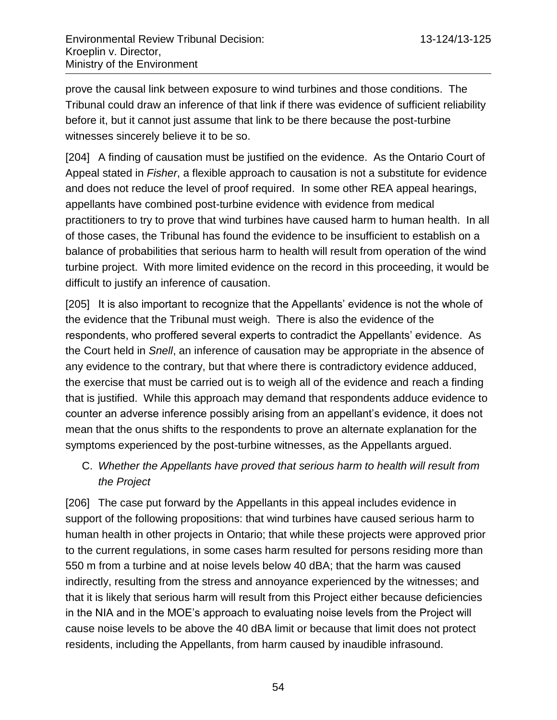prove the causal link between exposure to wind turbines and those conditions. The Tribunal could draw an inference of that link if there was evidence of sufficient reliability before it, but it cannot just assume that link to be there because the post-turbine witnesses sincerely believe it to be so.

[204] A finding of causation must be justified on the evidence. As the Ontario Court of Appeal stated in *Fisher*, a flexible approach to causation is not a substitute for evidence and does not reduce the level of proof required. In some other REA appeal hearings, appellants have combined post-turbine evidence with evidence from medical practitioners to try to prove that wind turbines have caused harm to human health. In all of those cases, the Tribunal has found the evidence to be insufficient to establish on a balance of probabilities that serious harm to health will result from operation of the wind turbine project. With more limited evidence on the record in this proceeding, it would be difficult to justify an inference of causation.

[205] It is also important to recognize that the Appellants' evidence is not the whole of the evidence that the Tribunal must weigh. There is also the evidence of the respondents, who proffered several experts to contradict the Appellants' evidence. As the Court held in *Snell*, an inference of causation may be appropriate in the absence of any evidence to the contrary, but that where there is contradictory evidence adduced, the exercise that must be carried out is to weigh all of the evidence and reach a finding that is justified. While this approach may demand that respondents adduce evidence to counter an adverse inference possibly arising from an appellant's evidence, it does not mean that the onus shifts to the respondents to prove an alternate explanation for the symptoms experienced by the post-turbine witnesses, as the Appellants argued.

C. *Whether the Appellants have proved that serious harm to health will result from the Project* 

[206] The case put forward by the Appellants in this appeal includes evidence in support of the following propositions: that wind turbines have caused serious harm to human health in other projects in Ontario; that while these projects were approved prior to the current regulations, in some cases harm resulted for persons residing more than 550 m from a turbine and at noise levels below 40 dBA; that the harm was caused indirectly, resulting from the stress and annoyance experienced by the witnesses; and that it is likely that serious harm will result from this Project either because deficiencies in the NIA and in the MOE's approach to evaluating noise levels from the Project will cause noise levels to be above the 40 dBA limit or because that limit does not protect residents, including the Appellants, from harm caused by inaudible infrasound.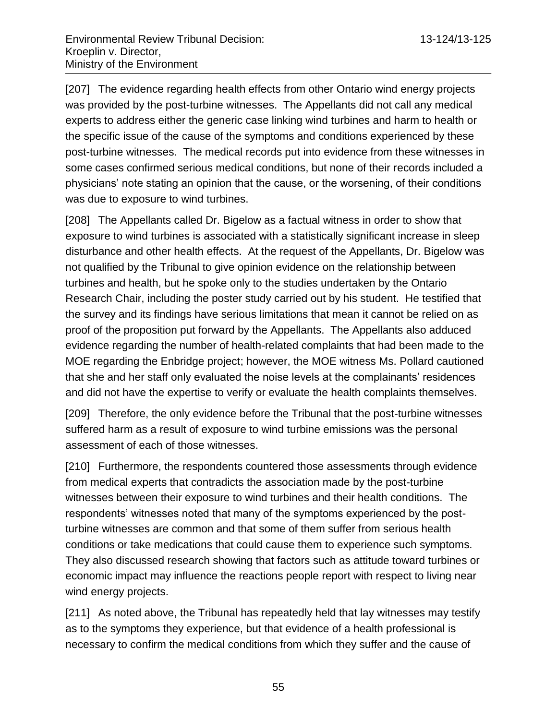[207] The evidence regarding health effects from other Ontario wind energy projects was provided by the post-turbine witnesses. The Appellants did not call any medical experts to address either the generic case linking wind turbines and harm to health or the specific issue of the cause of the symptoms and conditions experienced by these post-turbine witnesses. The medical records put into evidence from these witnesses in some cases confirmed serious medical conditions, but none of their records included a physicians' note stating an opinion that the cause, or the worsening, of their conditions was due to exposure to wind turbines.

[208] The Appellants called Dr. Bigelow as a factual witness in order to show that exposure to wind turbines is associated with a statistically significant increase in sleep disturbance and other health effects. At the request of the Appellants, Dr. Bigelow was not qualified by the Tribunal to give opinion evidence on the relationship between turbines and health, but he spoke only to the studies undertaken by the Ontario Research Chair, including the poster study carried out by his student. He testified that the survey and its findings have serious limitations that mean it cannot be relied on as proof of the proposition put forward by the Appellants. The Appellants also adduced evidence regarding the number of health-related complaints that had been made to the MOE regarding the Enbridge project; however, the MOE witness Ms. Pollard cautioned that she and her staff only evaluated the noise levels at the complainants' residences and did not have the expertise to verify or evaluate the health complaints themselves.

[209] Therefore, the only evidence before the Tribunal that the post-turbine witnesses suffered harm as a result of exposure to wind turbine emissions was the personal assessment of each of those witnesses.

[210] Furthermore, the respondents countered those assessments through evidence from medical experts that contradicts the association made by the post-turbine witnesses between their exposure to wind turbines and their health conditions. The respondents' witnesses noted that many of the symptoms experienced by the postturbine witnesses are common and that some of them suffer from serious health conditions or take medications that could cause them to experience such symptoms. They also discussed research showing that factors such as attitude toward turbines or economic impact may influence the reactions people report with respect to living near wind energy projects.

[211] As noted above, the Tribunal has repeatedly held that lay witnesses may testify as to the symptoms they experience, but that evidence of a health professional is necessary to confirm the medical conditions from which they suffer and the cause of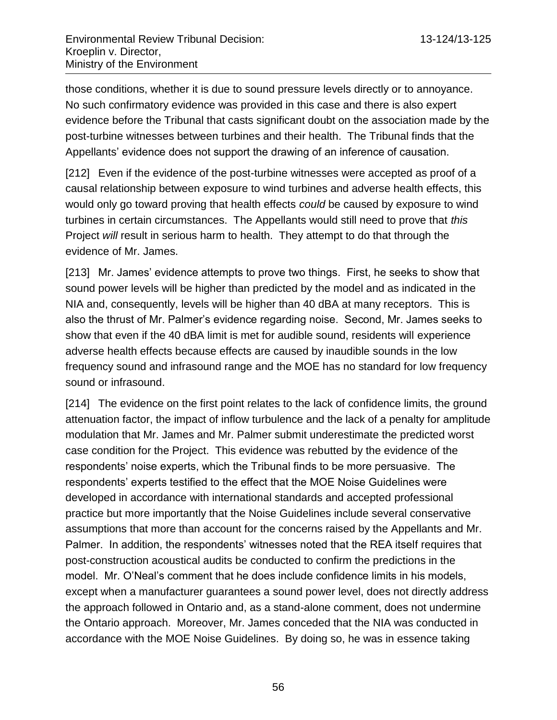those conditions, whether it is due to sound pressure levels directly or to annoyance. No such confirmatory evidence was provided in this case and there is also expert evidence before the Tribunal that casts significant doubt on the association made by the post-turbine witnesses between turbines and their health. The Tribunal finds that the Appellants' evidence does not support the drawing of an inference of causation.

[212] Even if the evidence of the post-turbine witnesses were accepted as proof of a causal relationship between exposure to wind turbines and adverse health effects, this would only go toward proving that health effects *could* be caused by exposure to wind turbines in certain circumstances. The Appellants would still need to prove that *this* Project *will* result in serious harm to health. They attempt to do that through the evidence of Mr. James.

[213] Mr. James' evidence attempts to prove two things. First, he seeks to show that sound power levels will be higher than predicted by the model and as indicated in the NIA and, consequently, levels will be higher than 40 dBA at many receptors. This is also the thrust of Mr. Palmer's evidence regarding noise. Second, Mr. James seeks to show that even if the 40 dBA limit is met for audible sound, residents will experience adverse health effects because effects are caused by inaudible sounds in the low frequency sound and infrasound range and the MOE has no standard for low frequency sound or infrasound.

[214] The evidence on the first point relates to the lack of confidence limits, the ground attenuation factor, the impact of inflow turbulence and the lack of a penalty for amplitude modulation that Mr. James and Mr. Palmer submit underestimate the predicted worst case condition for the Project. This evidence was rebutted by the evidence of the respondents' noise experts, which the Tribunal finds to be more persuasive. The respondents' experts testified to the effect that the MOE Noise Guidelines were developed in accordance with international standards and accepted professional practice but more importantly that the Noise Guidelines include several conservative assumptions that more than account for the concerns raised by the Appellants and Mr. Palmer. In addition, the respondents' witnesses noted that the REA itself requires that post-construction acoustical audits be conducted to confirm the predictions in the model. Mr. O'Neal's comment that he does include confidence limits in his models, except when a manufacturer guarantees a sound power level, does not directly address the approach followed in Ontario and, as a stand-alone comment, does not undermine the Ontario approach. Moreover, Mr. James conceded that the NIA was conducted in accordance with the MOE Noise Guidelines. By doing so, he was in essence taking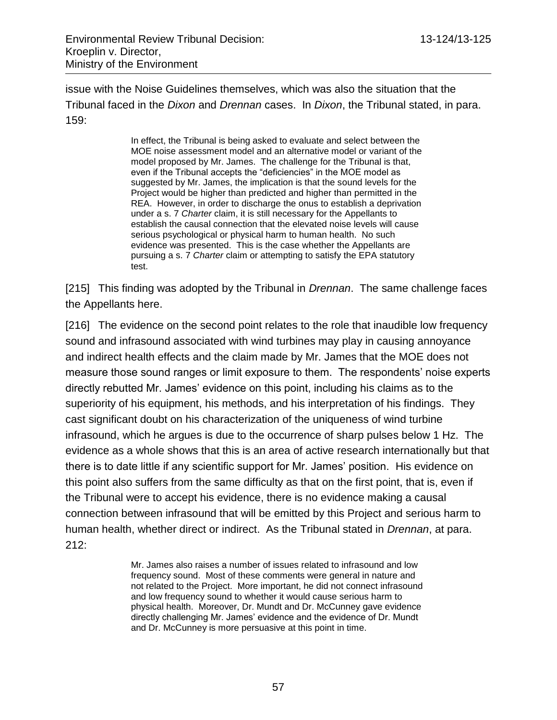issue with the Noise Guidelines themselves, which was also the situation that the Tribunal faced in the *Dixon* and *Drennan* cases. In *Dixon*, the Tribunal stated, in para. 159:

> In effect, the Tribunal is being asked to evaluate and select between the MOE noise assessment model and an alternative model or variant of the model proposed by Mr. James. The challenge for the Tribunal is that, even if the Tribunal accepts the "deficiencies" in the MOE model as suggested by Mr. James, the implication is that the sound levels for the Project would be higher than predicted and higher than permitted in the REA. However, in order to discharge the onus to establish a deprivation under a s. 7 *Charter* claim, it is still necessary for the Appellants to establish the causal connection that the elevated noise levels will cause serious psychological or physical harm to human health. No such evidence was presented. This is the case whether the Appellants are pursuing a s. 7 *Charter* claim or attempting to satisfy the EPA statutory test.

[215] This finding was adopted by the Tribunal in *Drennan*. The same challenge faces the Appellants here.

[216] The evidence on the second point relates to the role that inaudible low frequency sound and infrasound associated with wind turbines may play in causing annoyance and indirect health effects and the claim made by Mr. James that the MOE does not measure those sound ranges or limit exposure to them. The respondents' noise experts directly rebutted Mr. James' evidence on this point, including his claims as to the superiority of his equipment, his methods, and his interpretation of his findings. They cast significant doubt on his characterization of the uniqueness of wind turbine infrasound, which he argues is due to the occurrence of sharp pulses below 1 Hz. The evidence as a whole shows that this is an area of active research internationally but that there is to date little if any scientific support for Mr. James' position. His evidence on this point also suffers from the same difficulty as that on the first point, that is, even if the Tribunal were to accept his evidence, there is no evidence making a causal connection between infrasound that will be emitted by this Project and serious harm to human health, whether direct or indirect. As the Tribunal stated in *Drennan*, at para. 212:

> Mr. James also raises a number of issues related to infrasound and low frequency sound. Most of these comments were general in nature and not related to the Project. More important, he did not connect infrasound and low frequency sound to whether it would cause serious harm to physical health. Moreover, Dr. Mundt and Dr. McCunney gave evidence directly challenging Mr. James' evidence and the evidence of Dr. Mundt and Dr. McCunney is more persuasive at this point in time.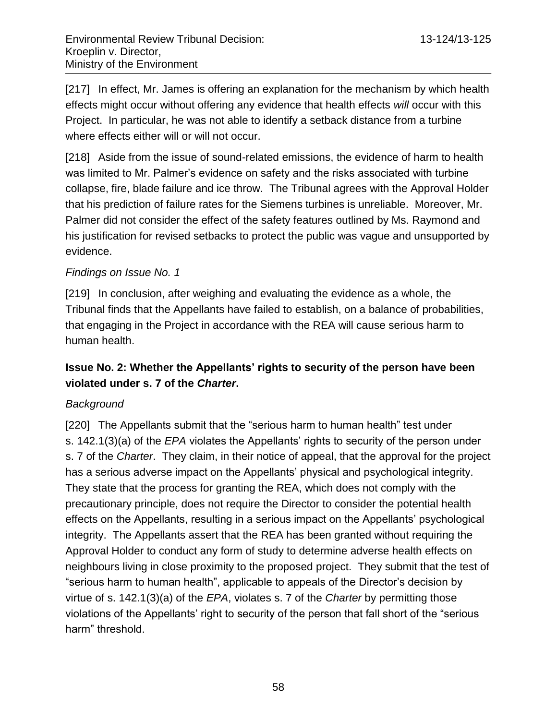[217] In effect, Mr. James is offering an explanation for the mechanism by which health effects might occur without offering any evidence that health effects *will* occur with this Project. In particular, he was not able to identify a setback distance from a turbine where effects either will or will not occur.

[218] Aside from the issue of sound-related emissions, the evidence of harm to health was limited to Mr. Palmer's evidence on safety and the risks associated with turbine collapse, fire, blade failure and ice throw. The Tribunal agrees with the Approval Holder that his prediction of failure rates for the Siemens turbines is unreliable. Moreover, Mr. Palmer did not consider the effect of the safety features outlined by Ms. Raymond and his justification for revised setbacks to protect the public was vague and unsupported by evidence.

### *Findings on Issue No. 1*

[219] In conclusion, after weighing and evaluating the evidence as a whole, the Tribunal finds that the Appellants have failed to establish, on a balance of probabilities, that engaging in the Project in accordance with the REA will cause serious harm to human health.

# **Issue No. 2: Whether the Appellants' rights to security of the person have been violated under s. 7 of the** *Charter***.**

## *Background*

[220] The Appellants submit that the "serious harm to human health" test under s. 142.1(3)(a) of the *EPA* violates the Appellants' rights to security of the person under s. 7 of the *Charter*. They claim, in their notice of appeal, that the approval for the project has a serious adverse impact on the Appellants' physical and psychological integrity. They state that the process for granting the REA, which does not comply with the precautionary principle, does not require the Director to consider the potential health effects on the Appellants, resulting in a serious impact on the Appellants' psychological integrity. The Appellants assert that the REA has been granted without requiring the Approval Holder to conduct any form of study to determine adverse health effects on neighbours living in close proximity to the proposed project. They submit that the test of "serious harm to human health", applicable to appeals of the Director's decision by virtue of s. 142.1(3)(a) of the *EPA*, violates s. 7 of the *Charter* by permitting those violations of the Appellants' right to security of the person that fall short of the "serious harm" threshold.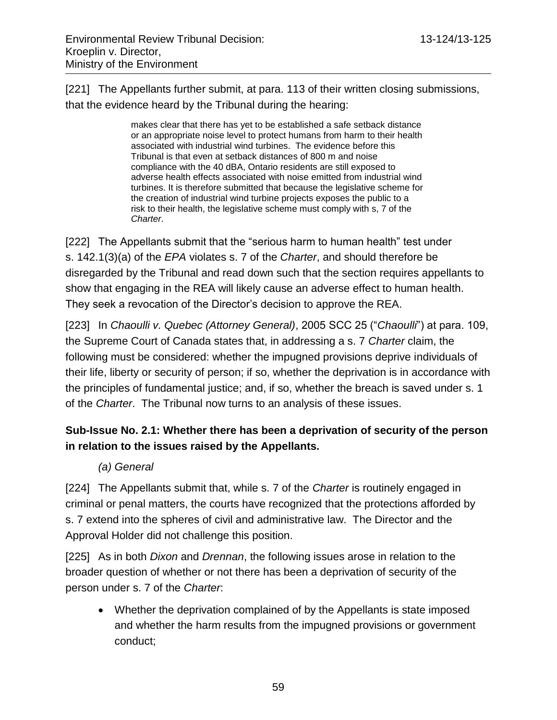[221] The Appellants further submit, at para. 113 of their written closing submissions, that the evidence heard by the Tribunal during the hearing:

> makes clear that there has yet to be established a safe setback distance or an appropriate noise level to protect humans from harm to their health associated with industrial wind turbines. The evidence before this Tribunal is that even at setback distances of 800 m and noise compliance with the 40 dBA, Ontario residents are still exposed to adverse health effects associated with noise emitted from industrial wind turbines. It is therefore submitted that because the legislative scheme for the creation of industrial wind turbine projects exposes the public to a risk to their health, the legislative scheme must comply with s, 7 of the *Charter*.

[222] The Appellants submit that the "serious harm to human health" test under s. 142.1(3)(a) of the *EPA* violates s. 7 of the *Charter*, and should therefore be disregarded by the Tribunal and read down such that the section requires appellants to show that engaging in the REA will likely cause an adverse effect to human health. They seek a revocation of the Director's decision to approve the REA.

[223] In *Chaoulli v. Quebec (Attorney General)*, 2005 SCC 25 ("*Chaoulli*") at para. 109, the Supreme Court of Canada states that, in addressing a s. 7 *Charter* claim, the following must be considered: whether the impugned provisions deprive individuals of their life, liberty or security of person; if so, whether the deprivation is in accordance with the principles of fundamental justice; and, if so, whether the breach is saved under s. 1 of the *Charter*. The Tribunal now turns to an analysis of these issues.

# **Sub-Issue No. 2.1: Whether there has been a deprivation of security of the person in relation to the issues raised by the Appellants.**

*(a) General*

[224] The Appellants submit that, while s. 7 of the *Charter* is routinely engaged in criminal or penal matters, the courts have recognized that the protections afforded by s. 7 extend into the spheres of civil and administrative law. The Director and the Approval Holder did not challenge this position.

[225] As in both *Dixon* and *Drennan*, the following issues arose in relation to the broader question of whether or not there has been a deprivation of security of the person under s. 7 of the *Charter*:

 Whether the deprivation complained of by the Appellants is state imposed and whether the harm results from the impugned provisions or government conduct;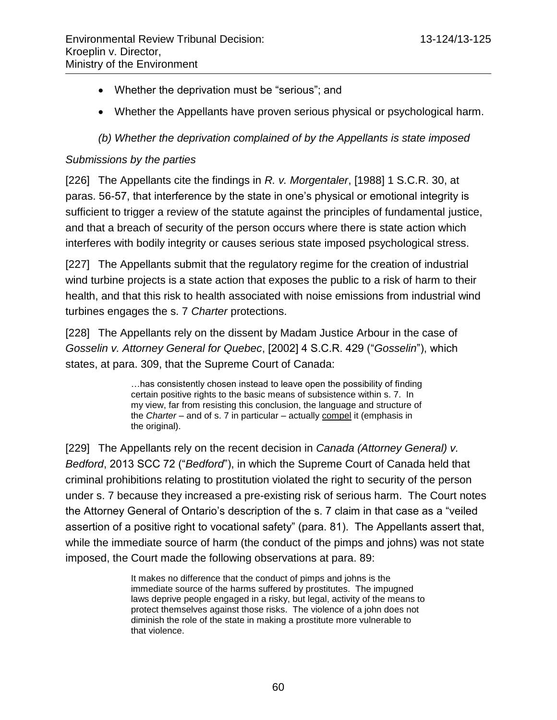- Whether the deprivation must be "serious"; and
- Whether the Appellants have proven serious physical or psychological harm.

*(b) Whether the deprivation complained of by the Appellants is state imposed*

### *Submissions by the parties*

[226] The Appellants cite the findings in *R. v. Morgentaler*, [1988] 1 S.C.R. 30, at paras. 56-57, that interference by the state in one's physical or emotional integrity is sufficient to trigger a review of the statute against the principles of fundamental justice, and that a breach of security of the person occurs where there is state action which interferes with bodily integrity or causes serious state imposed psychological stress.

[227] The Appellants submit that the regulatory regime for the creation of industrial wind turbine projects is a state action that exposes the public to a risk of harm to their health, and that this risk to health associated with noise emissions from industrial wind turbines engages the s. 7 *Charter* protections.

[228] The Appellants rely on the dissent by Madam Justice Arbour in the case of *Gosselin v. Attorney General for Quebec*, [2002] 4 S.C.R. 429 ("*Gosselin*"), which states, at para. 309, that the Supreme Court of Canada:

> …has consistently chosen instead to leave open the possibility of finding certain positive rights to the basic means of subsistence within s. 7. In my view, far from resisting this conclusion, the language and structure of the *Charter* – and of s. 7 in particular – actually compel it (emphasis in the original).

[229] The Appellants rely on the recent decision in *Canada (Attorney General) v. Bedford*, 2013 SCC 72 ("*Bedford*"), in which the Supreme Court of Canada held that criminal prohibitions relating to prostitution violated the right to security of the person under s. 7 because they increased a pre-existing risk of serious harm. The Court notes the Attorney General of Ontario's description of the s. 7 claim in that case as a "veiled assertion of a positive right to vocational safety" (para. 81). The Appellants assert that, while the immediate source of harm (the conduct of the pimps and johns) was not state imposed, the Court made the following observations at para. 89:

> It makes no difference that the conduct of pimps and johns is the immediate source of the harms suffered by prostitutes. The impugned laws deprive people engaged in a risky, but legal, activity of the means to protect themselves against those risks. The violence of a john does not diminish the role of the state in making a prostitute more vulnerable to that violence.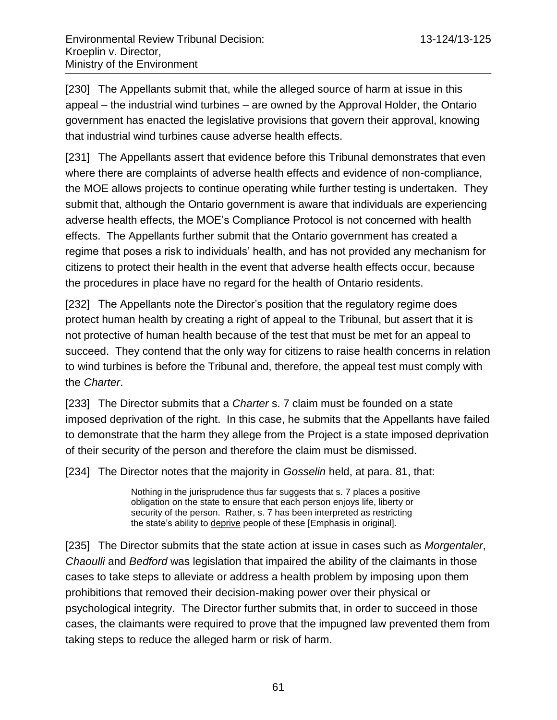[230] The Appellants submit that, while the alleged source of harm at issue in this appeal – the industrial wind turbines – are owned by the Approval Holder, the Ontario government has enacted the legislative provisions that govern their approval, knowing that industrial wind turbines cause adverse health effects.

[231] The Appellants assert that evidence before this Tribunal demonstrates that even where there are complaints of adverse health effects and evidence of non-compliance, the MOE allows projects to continue operating while further testing is undertaken. They submit that, although the Ontario government is aware that individuals are experiencing adverse health effects, the MOE's Compliance Protocol is not concerned with health effects. The Appellants further submit that the Ontario government has created a regime that poses a risk to individuals' health, and has not provided any mechanism for citizens to protect their health in the event that adverse health effects occur, because the procedures in place have no regard for the health of Ontario residents.

[232] The Appellants note the Director's position that the regulatory regime does protect human health by creating a right of appeal to the Tribunal, but assert that it is not protective of human health because of the test that must be met for an appeal to succeed. They contend that the only way for citizens to raise health concerns in relation to wind turbines is before the Tribunal and, therefore, the appeal test must comply with the *Charter*.

[233] The Director submits that a *Charter* s. 7 claim must be founded on a state imposed deprivation of the right. In this case, he submits that the Appellants have failed to demonstrate that the harm they allege from the Project is a state imposed deprivation of their security of the person and therefore the claim must be dismissed.

[234] The Director notes that the majority in *Gosselin* held, at para. 81, that:

Nothing in the jurisprudence thus far suggests that s. 7 places a positive obligation on the state to ensure that each person enjoys life, liberty or security of the person. Rather, s. 7 has been interpreted as restricting the state's ability to deprive people of these [Emphasis in original].

[235] The Director submits that the state action at issue in cases such as *Morgentaler*, *Chaoulli* and *Bedford* was legislation that impaired the ability of the claimants in those cases to take steps to alleviate or address a health problem by imposing upon them prohibitions that removed their decision-making power over their physical or psychological integrity. The Director further submits that, in order to succeed in those cases, the claimants were required to prove that the impugned law prevented them from taking steps to reduce the alleged harm or risk of harm.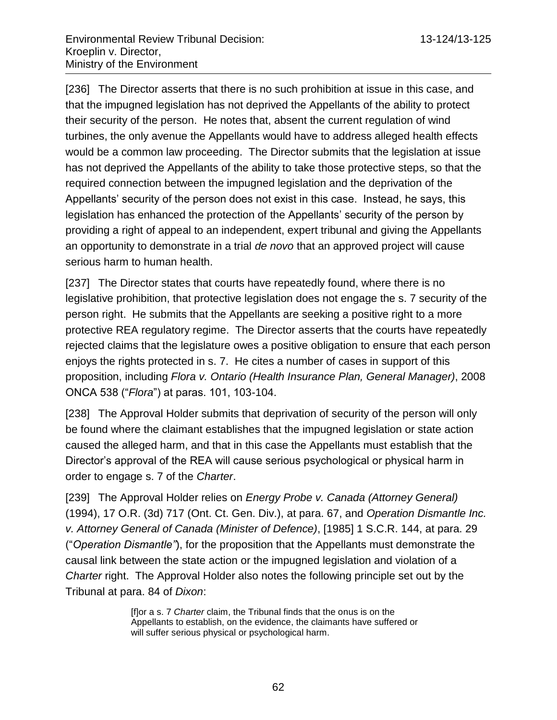[236] The Director asserts that there is no such prohibition at issue in this case, and that the impugned legislation has not deprived the Appellants of the ability to protect their security of the person. He notes that, absent the current regulation of wind turbines, the only avenue the Appellants would have to address alleged health effects would be a common law proceeding. The Director submits that the legislation at issue has not deprived the Appellants of the ability to take those protective steps, so that the required connection between the impugned legislation and the deprivation of the Appellants' security of the person does not exist in this case. Instead, he says, this legislation has enhanced the protection of the Appellants' security of the person by providing a right of appeal to an independent, expert tribunal and giving the Appellants an opportunity to demonstrate in a trial *de novo* that an approved project will cause serious harm to human health.

[237] The Director states that courts have repeatedly found, where there is no legislative prohibition, that protective legislation does not engage the s. 7 security of the person right. He submits that the Appellants are seeking a positive right to a more protective REA regulatory regime. The Director asserts that the courts have repeatedly rejected claims that the legislature owes a positive obligation to ensure that each person enjoys the rights protected in s. 7. He cites a number of cases in support of this proposition, including *Flora v. Ontario (Health Insurance Plan, General Manager)*, 2008 ONCA 538 ("*Flora*") at paras. 101, 103-104.

[238] The Approval Holder submits that deprivation of security of the person will only be found where the claimant establishes that the impugned legislation or state action caused the alleged harm, and that in this case the Appellants must establish that the Director's approval of the REA will cause serious psychological or physical harm in order to engage s. 7 of the *Charter*.

[239] The Approval Holder relies on *Energy Probe v. Canada (Attorney General)* (1994), 17 O.R. (3d) 717 (Ont. Ct. Gen. Div.), at para. 67, and *Operation Dismantle Inc. v. Attorney General of Canada (Minister of Defence)*, [1985] 1 S.C.R. 144, at para. 29 ("*Operation Dismantle"*), for the proposition that the Appellants must demonstrate the causal link between the state action or the impugned legislation and violation of a *Charter* right. The Approval Holder also notes the following principle set out by the Tribunal at para. 84 of *Dixon*:

> [f]or a s. 7 *Charter* claim, the Tribunal finds that the onus is on the Appellants to establish, on the evidence, the claimants have suffered or will suffer serious physical or psychological harm.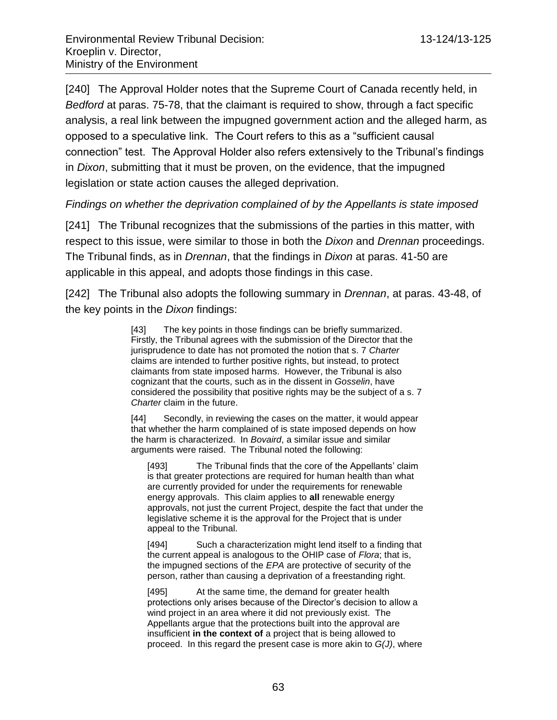[240] The Approval Holder notes that the Supreme Court of Canada recently held, in *Bedford* at paras. 75-78, that the claimant is required to show, through a fact specific analysis, a real link between the impugned government action and the alleged harm, as opposed to a speculative link. The Court refers to this as a "sufficient causal connection" test. The Approval Holder also refers extensively to the Tribunal's findings in *Dixon*, submitting that it must be proven, on the evidence, that the impugned legislation or state action causes the alleged deprivation.

*Findings on whether the deprivation complained of by the Appellants is state imposed*

[241] The Tribunal recognizes that the submissions of the parties in this matter, with respect to this issue, were similar to those in both the *Dixon* and *Drennan* proceedings. The Tribunal finds, as in *Drennan*, that the findings in *Dixon* at paras. 41-50 are applicable in this appeal, and adopts those findings in this case.

[242] The Tribunal also adopts the following summary in *Drennan*, at paras. 43-48, of the key points in the *Dixon* findings:

> [43] The key points in those findings can be briefly summarized. Firstly, the Tribunal agrees with the submission of the Director that the jurisprudence to date has not promoted the notion that s. 7 *Charter* claims are intended to further positive rights, but instead, to protect claimants from state imposed harms. However, the Tribunal is also cognizant that the courts, such as in the dissent in *Gosselin*, have considered the possibility that positive rights may be the subject of a s. 7 *Charter* claim in the future.

[44] Secondly, in reviewing the cases on the matter, it would appear that whether the harm complained of is state imposed depends on how the harm is characterized. In *Bovaird*, a similar issue and similar arguments were raised. The Tribunal noted the following:

[493] The Tribunal finds that the core of the Appellants' claim is that greater protections are required for human health than what are currently provided for under the requirements for renewable energy approvals. This claim applies to **all** renewable energy approvals, not just the current Project, despite the fact that under the legislative scheme it is the approval for the Project that is under appeal to the Tribunal.

[494] Such a characterization might lend itself to a finding that the current appeal is analogous to the OHIP case of *Flora*; that is, the impugned sections of the *EPA* are protective of security of the person, rather than causing a deprivation of a freestanding right.

[495] At the same time, the demand for greater health protections only arises because of the Director's decision to allow a wind project in an area where it did not previously exist. The Appellants argue that the protections built into the approval are insufficient **in the context of** a project that is being allowed to proceed. In this regard the present case is more akin to *G(J)*, where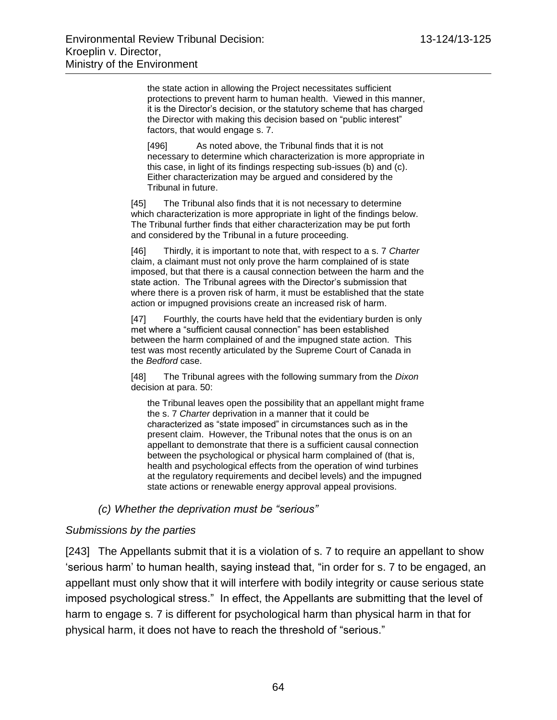the state action in allowing the Project necessitates sufficient protections to prevent harm to human health. Viewed in this manner, it is the Director's decision, or the statutory scheme that has charged the Director with making this decision based on "public interest" factors, that would engage s. 7.

[496] As noted above, the Tribunal finds that it is not necessary to determine which characterization is more appropriate in this case, in light of its findings respecting sub-issues (b) and (c). Either characterization may be argued and considered by the Tribunal in future.

[45] The Tribunal also finds that it is not necessary to determine which characterization is more appropriate in light of the findings below. The Tribunal further finds that either characterization may be put forth and considered by the Tribunal in a future proceeding.

[46] Thirdly, it is important to note that, with respect to a s. 7 *Charter* claim, a claimant must not only prove the harm complained of is state imposed, but that there is a causal connection between the harm and the state action. The Tribunal agrees with the Director's submission that where there is a proven risk of harm, it must be established that the state action or impugned provisions create an increased risk of harm.

[47] Fourthly, the courts have held that the evidentiary burden is only met where a "sufficient causal connection" has been established between the harm complained of and the impugned state action. This test was most recently articulated by the Supreme Court of Canada in the *Bedford* case.

[48] The Tribunal agrees with the following summary from the *Dixon* decision at para. 50:

the Tribunal leaves open the possibility that an appellant might frame the s. 7 *Charter* deprivation in a manner that it could be characterized as "state imposed" in circumstances such as in the present claim. However, the Tribunal notes that the onus is on an appellant to demonstrate that there is a sufficient causal connection between the psychological or physical harm complained of (that is, health and psychological effects from the operation of wind turbines at the regulatory requirements and decibel levels) and the impugned state actions or renewable energy approval appeal provisions.

#### *(c) Whether the deprivation must be "serious"*

#### *Submissions by the parties*

[243] The Appellants submit that it is a violation of s. 7 to require an appellant to show 'serious harm' to human health, saying instead that, "in order for s. 7 to be engaged, an appellant must only show that it will interfere with bodily integrity or cause serious state imposed psychological stress." In effect, the Appellants are submitting that the level of harm to engage s. 7 is different for psychological harm than physical harm in that for physical harm, it does not have to reach the threshold of "serious."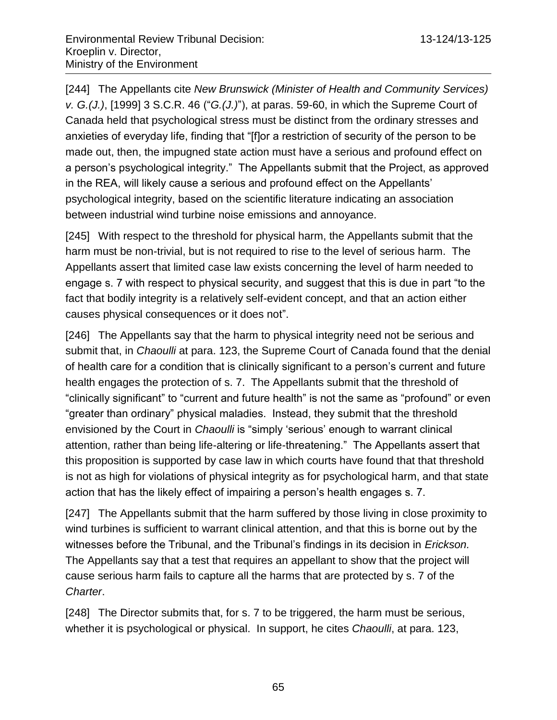[244] The Appellants cite *New Brunswick (Minister of Health and Community Services) v. G.(J.)*, [1999] 3 S.C.R. 46 ("*G.(J.)*"), at paras. 59-60, in which the Supreme Court of Canada held that psychological stress must be distinct from the ordinary stresses and anxieties of everyday life, finding that "[f]or a restriction of security of the person to be made out, then, the impugned state action must have a serious and profound effect on a person's psychological integrity." The Appellants submit that the Project, as approved in the REA, will likely cause a serious and profound effect on the Appellants' psychological integrity, based on the scientific literature indicating an association between industrial wind turbine noise emissions and annoyance.

[245] With respect to the threshold for physical harm, the Appellants submit that the harm must be non-trivial, but is not required to rise to the level of serious harm. The Appellants assert that limited case law exists concerning the level of harm needed to engage s. 7 with respect to physical security, and suggest that this is due in part "to the fact that bodily integrity is a relatively self-evident concept, and that an action either causes physical consequences or it does not".

[246] The Appellants say that the harm to physical integrity need not be serious and submit that, in *Chaoulli* at para. 123, the Supreme Court of Canada found that the denial of health care for a condition that is clinically significant to a person's current and future health engages the protection of s. 7. The Appellants submit that the threshold of "clinically significant" to "current and future health" is not the same as "profound" or even "greater than ordinary" physical maladies. Instead, they submit that the threshold envisioned by the Court in *Chaoulli* is "simply 'serious' enough to warrant clinical attention, rather than being life-altering or life-threatening." The Appellants assert that this proposition is supported by case law in which courts have found that that threshold is not as high for violations of physical integrity as for psychological harm, and that state action that has the likely effect of impairing a person's health engages s. 7.

[247] The Appellants submit that the harm suffered by those living in close proximity to wind turbines is sufficient to warrant clinical attention, and that this is borne out by the witnesses before the Tribunal, and the Tribunal's findings in its decision in *Erickson.*  The Appellants say that a test that requires an appellant to show that the project will cause serious harm fails to capture all the harms that are protected by s. 7 of the *Charter*.

[248] The Director submits that, for s. 7 to be triggered, the harm must be serious, whether it is psychological or physical. In support, he cites *Chaoulli*, at para. 123,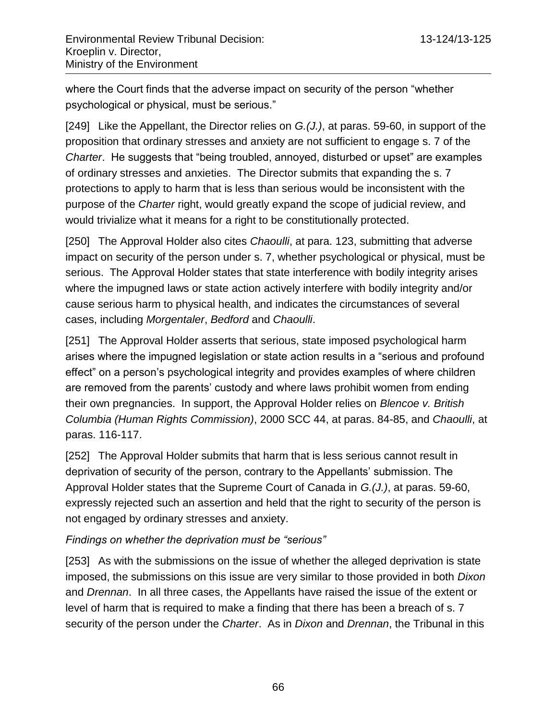where the Court finds that the adverse impact on security of the person "whether psychological or physical, must be serious."

[249] Like the Appellant, the Director relies on *G.(J.)*, at paras. 59-60, in support of the proposition that ordinary stresses and anxiety are not sufficient to engage s. 7 of the *Charter*. He suggests that "being troubled, annoyed, disturbed or upset" are examples of ordinary stresses and anxieties. The Director submits that expanding the s. 7 protections to apply to harm that is less than serious would be inconsistent with the purpose of the *Charter* right, would greatly expand the scope of judicial review, and would trivialize what it means for a right to be constitutionally protected.

[250] The Approval Holder also cites *Chaoulli*, at para. 123, submitting that adverse impact on security of the person under s. 7, whether psychological or physical, must be serious. The Approval Holder states that state interference with bodily integrity arises where the impugned laws or state action actively interfere with bodily integrity and/or cause serious harm to physical health, and indicates the circumstances of several cases, including *Morgentaler*, *Bedford* and *Chaoulli*.

[251] The Approval Holder asserts that serious, state imposed psychological harm arises where the impugned legislation or state action results in a "serious and profound effect" on a person's psychological integrity and provides examples of where children are removed from the parents' custody and where laws prohibit women from ending their own pregnancies. In support, the Approval Holder relies on *Blencoe v. British Columbia (Human Rights Commission)*, 2000 SCC 44, at paras. 84-85, and *Chaoulli*, at paras. 116-117.

[252] The Approval Holder submits that harm that is less serious cannot result in deprivation of security of the person, contrary to the Appellants' submission. The Approval Holder states that the Supreme Court of Canada in *G.(J.)*, at paras. 59-60, expressly rejected such an assertion and held that the right to security of the person is not engaged by ordinary stresses and anxiety.

## *Findings on whether the deprivation must be "serious"*

[253] As with the submissions on the issue of whether the alleged deprivation is state imposed, the submissions on this issue are very similar to those provided in both *Dixon* and *Drennan*. In all three cases, the Appellants have raised the issue of the extent or level of harm that is required to make a finding that there has been a breach of s. 7 security of the person under the *Charter*. As in *Dixon* and *Drennan*, the Tribunal in this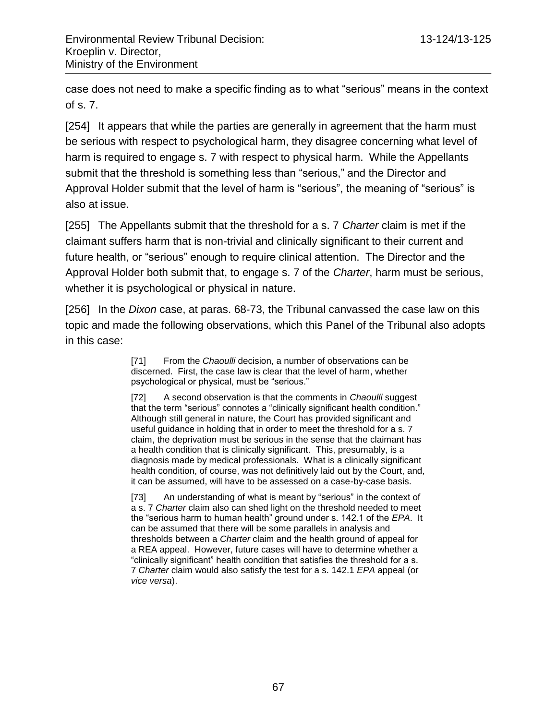case does not need to make a specific finding as to what "serious" means in the context of s. 7.

[254] It appears that while the parties are generally in agreement that the harm must be serious with respect to psychological harm, they disagree concerning what level of harm is required to engage s. 7 with respect to physical harm. While the Appellants submit that the threshold is something less than "serious," and the Director and Approval Holder submit that the level of harm is "serious", the meaning of "serious" is also at issue.

[255] The Appellants submit that the threshold for a s. 7 *Charter* claim is met if the claimant suffers harm that is non-trivial and clinically significant to their current and future health, or "serious" enough to require clinical attention. The Director and the Approval Holder both submit that, to engage s. 7 of the *Charter*, harm must be serious, whether it is psychological or physical in nature.

[256] In the *Dixon* case, at paras. 68-73, the Tribunal canvassed the case law on this topic and made the following observations, which this Panel of the Tribunal also adopts in this case:

> [71] From the *Chaoulli* decision, a number of observations can be discerned. First, the case law is clear that the level of harm, whether psychological or physical, must be "serious."

[72] A second observation is that the comments in *Chaoulli* suggest that the term "serious" connotes a "clinically significant health condition." Although still general in nature, the Court has provided significant and useful guidance in holding that in order to meet the threshold for a s. 7 claim, the deprivation must be serious in the sense that the claimant has a health condition that is clinically significant. This, presumably, is a diagnosis made by medical professionals. What is a clinically significant health condition, of course, was not definitively laid out by the Court, and, it can be assumed, will have to be assessed on a case-by-case basis.

[73] An understanding of what is meant by "serious" in the context of a s. 7 *Charter* claim also can shed light on the threshold needed to meet the "serious harm to human health" ground under s. 142.1 of the *EPA*. It can be assumed that there will be some parallels in analysis and thresholds between a *Charter* claim and the health ground of appeal for a REA appeal. However, future cases will have to determine whether a "clinically significant" health condition that satisfies the threshold for a s. 7 *Charter* claim would also satisfy the test for a s. 142.1 *EPA* appeal (or *vice versa*).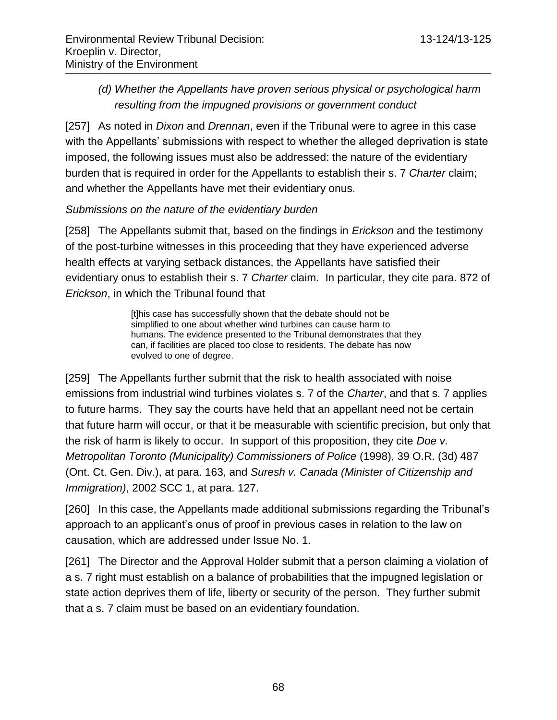*(d) Whether the Appellants have proven serious physical or psychological harm resulting from the impugned provisions or government conduct* 

[257] As noted in *Dixon* and *Drennan*, even if the Tribunal were to agree in this case with the Appellants' submissions with respect to whether the alleged deprivation is state imposed, the following issues must also be addressed: the nature of the evidentiary burden that is required in order for the Appellants to establish their s. 7 *Charter* claim; and whether the Appellants have met their evidentiary onus.

*Submissions on the nature of the evidentiary burden*

[258] The Appellants submit that, based on the findings in *Erickson* and the testimony of the post-turbine witnesses in this proceeding that they have experienced adverse health effects at varying setback distances, the Appellants have satisfied their evidentiary onus to establish their s. 7 *Charter* claim. In particular, they cite para. 872 of *Erickson*, in which the Tribunal found that

> [t]his case has successfully shown that the debate should not be simplified to one about whether wind turbines can cause harm to humans. The evidence presented to the Tribunal demonstrates that they can, if facilities are placed too close to residents. The debate has now evolved to one of degree.

[259] The Appellants further submit that the risk to health associated with noise emissions from industrial wind turbines violates s. 7 of the *Charter*, and that s. 7 applies to future harms. They say the courts have held that an appellant need not be certain that future harm will occur, or that it be measurable with scientific precision, but only that the risk of harm is likely to occur. In support of this proposition, they cite *Doe v. Metropolitan Toronto (Municipality) Commissioners of Police* (1998), 39 O.R. (3d) 487 (Ont. Ct. Gen. Div.), at para. 163, and *Suresh v. Canada (Minister of Citizenship and Immigration)*, 2002 SCC 1, at para. 127.

[260] In this case, the Appellants made additional submissions regarding the Tribunal's approach to an applicant's onus of proof in previous cases in relation to the law on causation, which are addressed under Issue No. 1.

[261] The Director and the Approval Holder submit that a person claiming a violation of a s. 7 right must establish on a balance of probabilities that the impugned legislation or state action deprives them of life, liberty or security of the person. They further submit that a s. 7 claim must be based on an evidentiary foundation.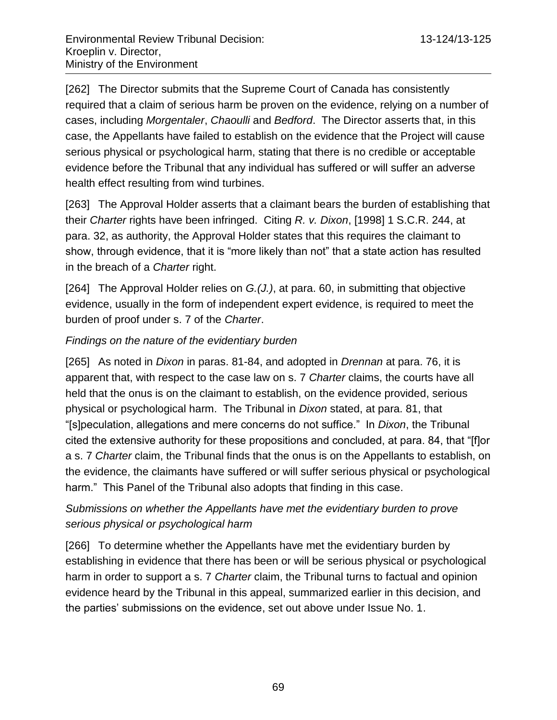[262] The Director submits that the Supreme Court of Canada has consistently required that a claim of serious harm be proven on the evidence, relying on a number of cases, including *Morgentaler*, *Chaoulli* and *Bedford*. The Director asserts that, in this case, the Appellants have failed to establish on the evidence that the Project will cause serious physical or psychological harm, stating that there is no credible or acceptable evidence before the Tribunal that any individual has suffered or will suffer an adverse health effect resulting from wind turbines.

[263] The Approval Holder asserts that a claimant bears the burden of establishing that their *Charter* rights have been infringed. Citing *R. v. Dixon*, [1998] 1 S.C.R. 244, at para. 32, as authority, the Approval Holder states that this requires the claimant to show, through evidence, that it is "more likely than not" that a state action has resulted in the breach of a *Charter* right.

[264] The Approval Holder relies on *G.(J.)*, at para. 60, in submitting that objective evidence, usually in the form of independent expert evidence, is required to meet the burden of proof under s. 7 of the *Charter*.

# *Findings on the nature of the evidentiary burden*

[265] As noted in *Dixon* in paras. 81-84, and adopted in *Drennan* at para. 76, it is apparent that, with respect to the case law on s. 7 *Charter* claims, the courts have all held that the onus is on the claimant to establish, on the evidence provided, serious physical or psychological harm. The Tribunal in *Dixon* stated, at para. 81, that "[s]peculation, allegations and mere concerns do not suffice." In *Dixon*, the Tribunal cited the extensive authority for these propositions and concluded, at para. 84, that "[f]or a s. 7 *Charter* claim, the Tribunal finds that the onus is on the Appellants to establish, on the evidence, the claimants have suffered or will suffer serious physical or psychological harm." This Panel of the Tribunal also adopts that finding in this case.

# *Submissions on whether the Appellants have met the evidentiary burden to prove serious physical or psychological harm*

[266] To determine whether the Appellants have met the evidentiary burden by establishing in evidence that there has been or will be serious physical or psychological harm in order to support a s. 7 *Charter* claim, the Tribunal turns to factual and opinion evidence heard by the Tribunal in this appeal, summarized earlier in this decision, and the parties' submissions on the evidence, set out above under Issue No. 1.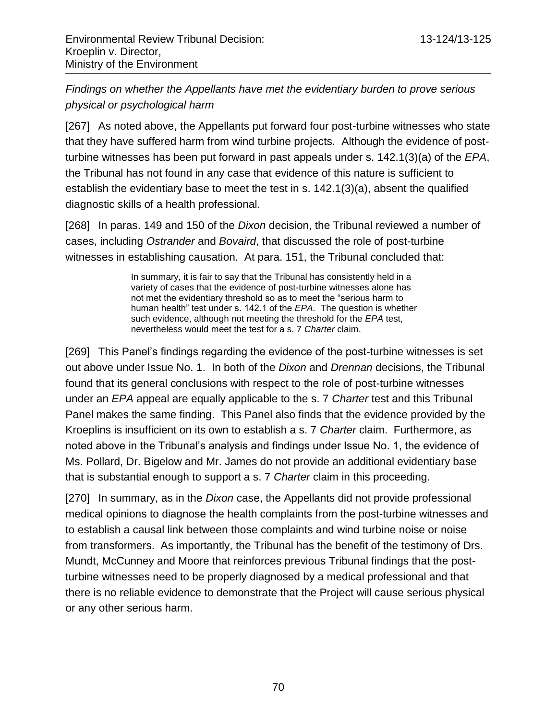*Findings on whether the Appellants have met the evidentiary burden to prove serious physical or psychological harm*

[267] As noted above, the Appellants put forward four post-turbine witnesses who state that they have suffered harm from wind turbine projects. Although the evidence of postturbine witnesses has been put forward in past appeals under s. 142.1(3)(a) of the *EPA*, the Tribunal has not found in any case that evidence of this nature is sufficient to establish the evidentiary base to meet the test in s. 142.1(3)(a), absent the qualified diagnostic skills of a health professional.

[268] In paras. 149 and 150 of the *Dixon* decision, the Tribunal reviewed a number of cases, including *Ostrander* and *Bovaird*, that discussed the role of post-turbine witnesses in establishing causation. At para. 151, the Tribunal concluded that:

> In summary, it is fair to say that the Tribunal has consistently held in a variety of cases that the evidence of post-turbine witnesses alone has not met the evidentiary threshold so as to meet the "serious harm to human health" test under s. 142.1 of the *EPA*. The question is whether such evidence, although not meeting the threshold for the *EPA* test, nevertheless would meet the test for a s. 7 *Charter* claim.

[269] This Panel's findings regarding the evidence of the post-turbine witnesses is set out above under Issue No. 1. In both of the *Dixon* and *Drennan* decisions, the Tribunal found that its general conclusions with respect to the role of post-turbine witnesses under an *EPA* appeal are equally applicable to the s. 7 *Charter* test and this Tribunal Panel makes the same finding. This Panel also finds that the evidence provided by the Kroeplins is insufficient on its own to establish a s. 7 *Charter* claim. Furthermore, as noted above in the Tribunal's analysis and findings under Issue No. 1, the evidence of Ms. Pollard, Dr. Bigelow and Mr. James do not provide an additional evidentiary base that is substantial enough to support a s. 7 *Charter* claim in this proceeding.

[270] In summary, as in the *Dixon* case, the Appellants did not provide professional medical opinions to diagnose the health complaints from the post-turbine witnesses and to establish a causal link between those complaints and wind turbine noise or noise from transformers. As importantly, the Tribunal has the benefit of the testimony of Drs. Mundt, McCunney and Moore that reinforces previous Tribunal findings that the postturbine witnesses need to be properly diagnosed by a medical professional and that there is no reliable evidence to demonstrate that the Project will cause serious physical or any other serious harm.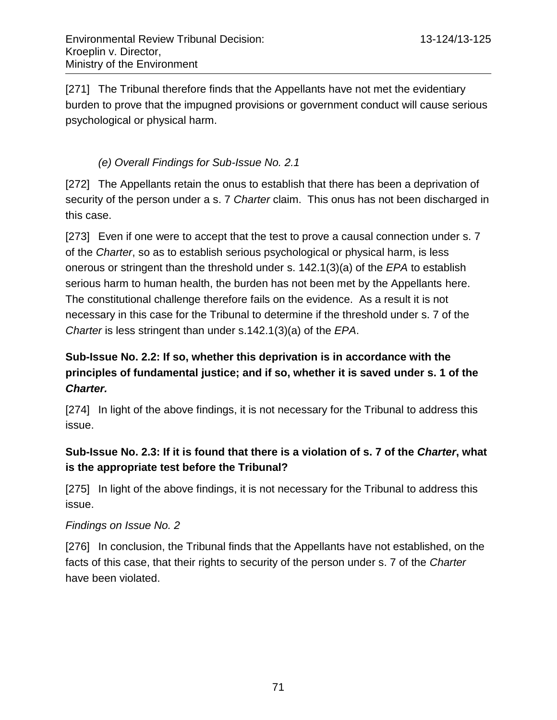[271] The Tribunal therefore finds that the Appellants have not met the evidentiary burden to prove that the impugned provisions or government conduct will cause serious psychological or physical harm.

# *(e) Overall Findings for Sub-Issue No. 2.1*

[272] The Appellants retain the onus to establish that there has been a deprivation of security of the person under a s. 7 *Charter* claim. This onus has not been discharged in this case.

[273] Even if one were to accept that the test to prove a causal connection under s. 7 of the *Charter*, so as to establish serious psychological or physical harm, is less onerous or stringent than the threshold under s. 142.1(3)(a) of the *EPA* to establish serious harm to human health, the burden has not been met by the Appellants here. The constitutional challenge therefore fails on the evidence. As a result it is not necessary in this case for the Tribunal to determine if the threshold under s. 7 of the *Charter* is less stringent than under s.142.1(3)(a) of the *EPA*.

# **Sub-Issue No. 2.2: If so, whether this deprivation is in accordance with the principles of fundamental justice; and if so, whether it is saved under s. 1 of the**  *Charter.*

[274] In light of the above findings, it is not necessary for the Tribunal to address this issue.

# **Sub-Issue No. 2.3: If it is found that there is a violation of s. 7 of the** *Charter***, what is the appropriate test before the Tribunal?**

[275] In light of the above findings, it is not necessary for the Tribunal to address this issue.

#### *Findings on Issue No. 2*

[276] In conclusion, the Tribunal finds that the Appellants have not established, on the facts of this case, that their rights to security of the person under s. 7 of the *Charter* have been violated.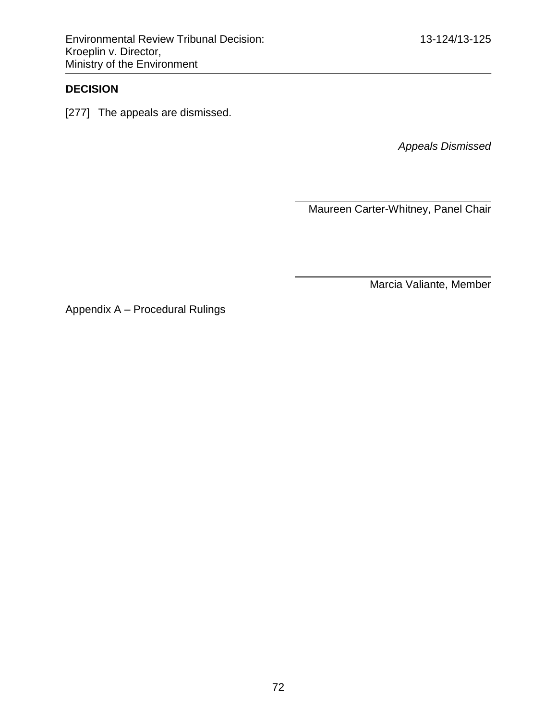### **DECISION**

[277] The appeals are dismissed.

*Appeals Dismissed*

Maureen Carter-Whitney, Panel Chair

Marcia Valiante, Member

Appendix A – Procedural Rulings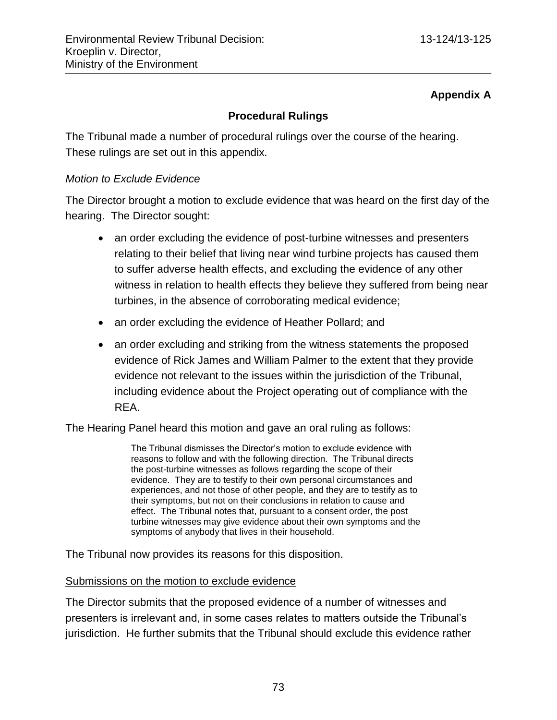## **Appendix A**

## **Procedural Rulings**

The Tribunal made a number of procedural rulings over the course of the hearing. These rulings are set out in this appendix.

### *Motion to Exclude Evidence*

The Director brought a motion to exclude evidence that was heard on the first day of the hearing. The Director sought:

- an order excluding the evidence of post-turbine witnesses and presenters relating to their belief that living near wind turbine projects has caused them to suffer adverse health effects, and excluding the evidence of any other witness in relation to health effects they believe they suffered from being near turbines, in the absence of corroborating medical evidence;
- an order excluding the evidence of Heather Pollard; and
- an order excluding and striking from the witness statements the proposed evidence of Rick James and William Palmer to the extent that they provide evidence not relevant to the issues within the jurisdiction of the Tribunal, including evidence about the Project operating out of compliance with the REA.

The Hearing Panel heard this motion and gave an oral ruling as follows:

The Tribunal dismisses the Director's motion to exclude evidence with reasons to follow and with the following direction. The Tribunal directs the post-turbine witnesses as follows regarding the scope of their evidence. They are to testify to their own personal circumstances and experiences, and not those of other people, and they are to testify as to their symptoms, but not on their conclusions in relation to cause and effect. The Tribunal notes that, pursuant to a consent order, the post turbine witnesses may give evidence about their own symptoms and the symptoms of anybody that lives in their household.

The Tribunal now provides its reasons for this disposition.

#### Submissions on the motion to exclude evidence

The Director submits that the proposed evidence of a number of witnesses and presenters is irrelevant and, in some cases relates to matters outside the Tribunal's jurisdiction. He further submits that the Tribunal should exclude this evidence rather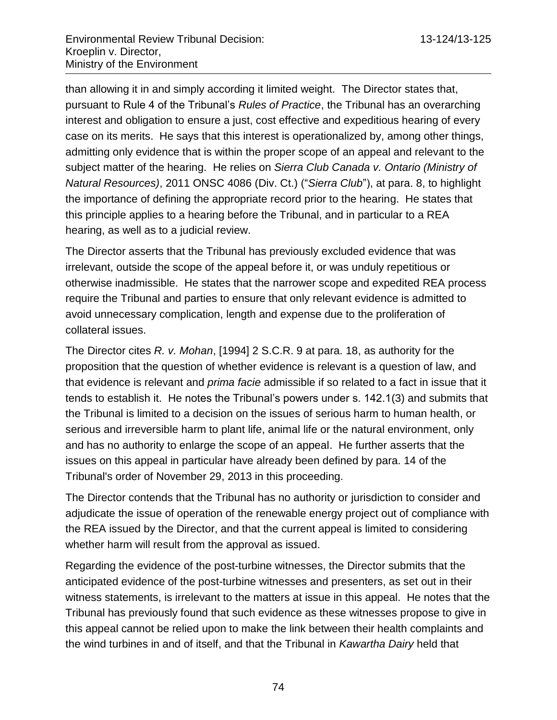than allowing it in and simply according it limited weight. The Director states that, pursuant to Rule 4 of the Tribunal's *Rules of Practice*, the Tribunal has an overarching interest and obligation to ensure a just, cost effective and expeditious hearing of every case on its merits. He says that this interest is operationalized by, among other things, admitting only evidence that is within the proper scope of an appeal and relevant to the subject matter of the hearing. He relies on *Sierra Club Canada v. Ontario (Ministry of Natural Resources)*, 2011 ONSC 4086 (Div. Ct.) ("*Sierra Club*"), at para. 8, to highlight the importance of defining the appropriate record prior to the hearing. He states that this principle applies to a hearing before the Tribunal, and in particular to a REA hearing, as well as to a judicial review.

The Director asserts that the Tribunal has previously excluded evidence that was irrelevant, outside the scope of the appeal before it, or was unduly repetitious or otherwise inadmissible. He states that the narrower scope and expedited REA process require the Tribunal and parties to ensure that only relevant evidence is admitted to avoid unnecessary complication, length and expense due to the proliferation of collateral issues.

The Director cites *R. v. Mohan*, [1994] 2 S.C.R. 9 at para. 18, as authority for the proposition that the question of whether evidence is relevant is a question of law, and that evidence is relevant and *prima facie* admissible if so related to a fact in issue that it tends to establish it. He notes the Tribunal's powers under s. 142.1(3) and submits that the Tribunal is limited to a decision on the issues of serious harm to human health, or serious and irreversible harm to plant life, animal life or the natural environment, only and has no authority to enlarge the scope of an appeal. He further asserts that the issues on this appeal in particular have already been defined by para. 14 of the Tribunal's order of November 29, 2013 in this proceeding.

The Director contends that the Tribunal has no authority or jurisdiction to consider and adjudicate the issue of operation of the renewable energy project out of compliance with the REA issued by the Director, and that the current appeal is limited to considering whether harm will result from the approval as issued.

Regarding the evidence of the post-turbine witnesses, the Director submits that the anticipated evidence of the post-turbine witnesses and presenters, as set out in their witness statements, is irrelevant to the matters at issue in this appeal. He notes that the Tribunal has previously found that such evidence as these witnesses propose to give in this appeal cannot be relied upon to make the link between their health complaints and the wind turbines in and of itself, and that the Tribunal in *Kawartha Dairy* held that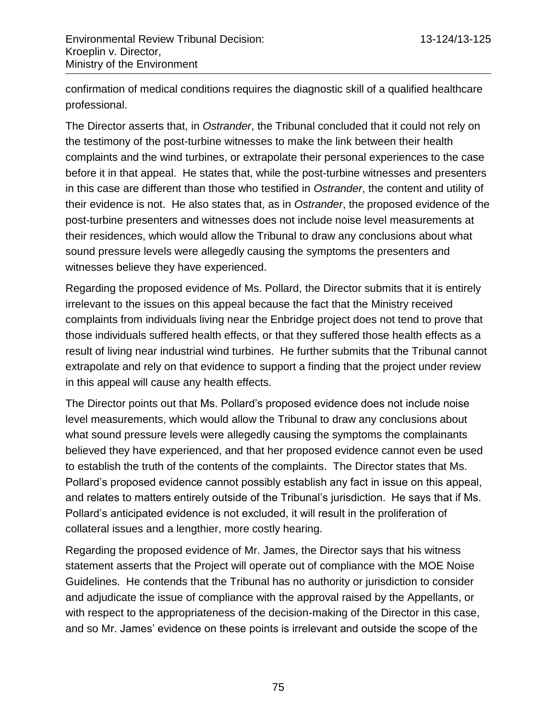confirmation of medical conditions requires the diagnostic skill of a qualified healthcare professional.

The Director asserts that, in *Ostrander*, the Tribunal concluded that it could not rely on the testimony of the post-turbine witnesses to make the link between their health complaints and the wind turbines, or extrapolate their personal experiences to the case before it in that appeal. He states that, while the post-turbine witnesses and presenters in this case are different than those who testified in *Ostrander*, the content and utility of their evidence is not. He also states that, as in *Ostrander*, the proposed evidence of the post-turbine presenters and witnesses does not include noise level measurements at their residences, which would allow the Tribunal to draw any conclusions about what sound pressure levels were allegedly causing the symptoms the presenters and witnesses believe they have experienced.

Regarding the proposed evidence of Ms. Pollard, the Director submits that it is entirely irrelevant to the issues on this appeal because the fact that the Ministry received complaints from individuals living near the Enbridge project does not tend to prove that those individuals suffered health effects, or that they suffered those health effects as a result of living near industrial wind turbines. He further submits that the Tribunal cannot extrapolate and rely on that evidence to support a finding that the project under review in this appeal will cause any health effects.

The Director points out that Ms. Pollard's proposed evidence does not include noise level measurements, which would allow the Tribunal to draw any conclusions about what sound pressure levels were allegedly causing the symptoms the complainants believed they have experienced, and that her proposed evidence cannot even be used to establish the truth of the contents of the complaints. The Director states that Ms. Pollard's proposed evidence cannot possibly establish any fact in issue on this appeal, and relates to matters entirely outside of the Tribunal's jurisdiction. He says that if Ms. Pollard's anticipated evidence is not excluded, it will result in the proliferation of collateral issues and a lengthier, more costly hearing.

Regarding the proposed evidence of Mr. James, the Director says that his witness statement asserts that the Project will operate out of compliance with the MOE Noise Guidelines. He contends that the Tribunal has no authority or jurisdiction to consider and adjudicate the issue of compliance with the approval raised by the Appellants, or with respect to the appropriateness of the decision-making of the Director in this case, and so Mr. James' evidence on these points is irrelevant and outside the scope of the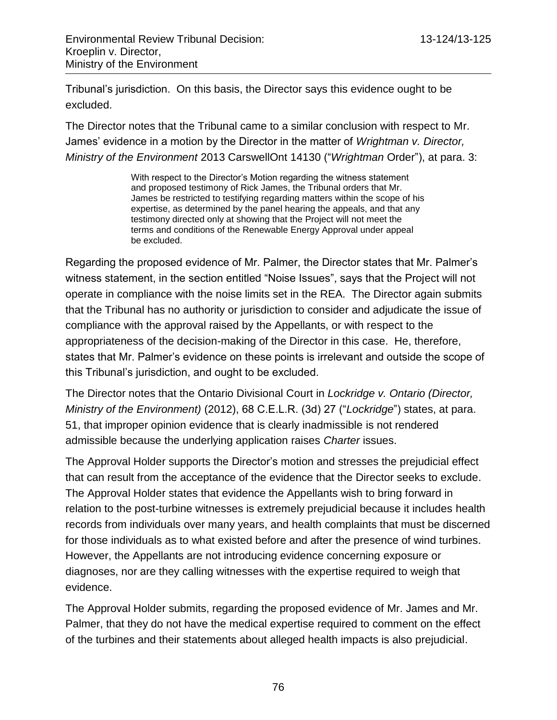Tribunal's jurisdiction. On this basis, the Director says this evidence ought to be excluded.

The Director notes that the Tribunal came to a similar conclusion with respect to Mr. James' evidence in a motion by the Director in the matter of *Wrightman v. Director, Ministry of the Environment* 2013 CarswellOnt 14130 ("*Wrightman* Order"), at para. 3:

> With respect to the Director's Motion regarding the witness statement and proposed testimony of Rick James, the Tribunal orders that Mr. James be restricted to testifying regarding matters within the scope of his expertise, as determined by the panel hearing the appeals, and that any testimony directed only at showing that the Project will not meet the terms and conditions of the Renewable Energy Approval under appeal be excluded.

Regarding the proposed evidence of Mr. Palmer, the Director states that Mr. Palmer's witness statement, in the section entitled "Noise Issues", says that the Project will not operate in compliance with the noise limits set in the REA. The Director again submits that the Tribunal has no authority or jurisdiction to consider and adjudicate the issue of compliance with the approval raised by the Appellants, or with respect to the appropriateness of the decision-making of the Director in this case. He, therefore, states that Mr. Palmer's evidence on these points is irrelevant and outside the scope of this Tribunal's jurisdiction, and ought to be excluded.

The Director notes that the Ontario Divisional Court in *Lockridge v. Ontario (Director, Ministry of the Environment)* (2012), 68 C.E.L.R. (3d) 27 ("*Lockridge*") states, at para. 51, that improper opinion evidence that is clearly inadmissible is not rendered admissible because the underlying application raises *Charter* issues.

The Approval Holder supports the Director's motion and stresses the prejudicial effect that can result from the acceptance of the evidence that the Director seeks to exclude. The Approval Holder states that evidence the Appellants wish to bring forward in relation to the post-turbine witnesses is extremely prejudicial because it includes health records from individuals over many years, and health complaints that must be discerned for those individuals as to what existed before and after the presence of wind turbines. However, the Appellants are not introducing evidence concerning exposure or diagnoses, nor are they calling witnesses with the expertise required to weigh that evidence.

The Approval Holder submits, regarding the proposed evidence of Mr. James and Mr. Palmer, that they do not have the medical expertise required to comment on the effect of the turbines and their statements about alleged health impacts is also prejudicial.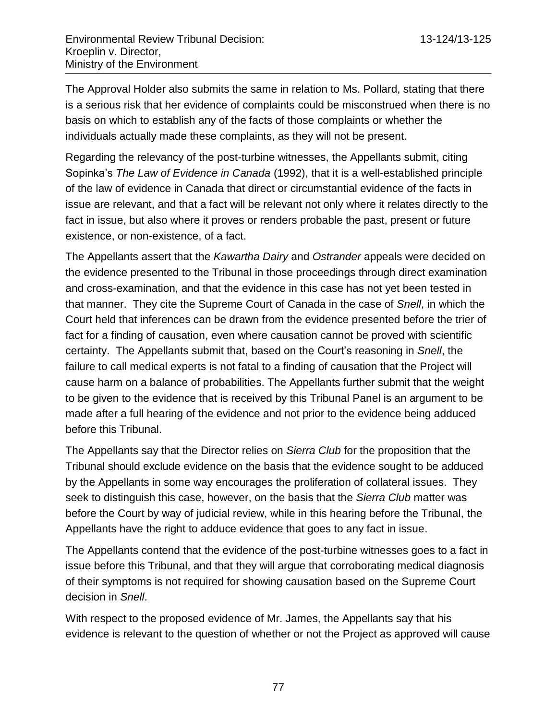The Approval Holder also submits the same in relation to Ms. Pollard, stating that there is a serious risk that her evidence of complaints could be misconstrued when there is no basis on which to establish any of the facts of those complaints or whether the individuals actually made these complaints, as they will not be present.

Regarding the relevancy of the post-turbine witnesses, the Appellants submit, citing Sopinka's *The Law of Evidence in Canada* (1992), that it is a well-established principle of the law of evidence in Canada that direct or circumstantial evidence of the facts in issue are relevant, and that a fact will be relevant not only where it relates directly to the fact in issue, but also where it proves or renders probable the past, present or future existence, or non-existence, of a fact.

The Appellants assert that the *Kawartha Dairy* and *Ostrander* appeals were decided on the evidence presented to the Tribunal in those proceedings through direct examination and cross-examination, and that the evidence in this case has not yet been tested in that manner. They cite the Supreme Court of Canada in the case of *Snell*, in which the Court held that inferences can be drawn from the evidence presented before the trier of fact for a finding of causation, even where causation cannot be proved with scientific certainty. The Appellants submit that, based on the Court's reasoning in *Snell*, the failure to call medical experts is not fatal to a finding of causation that the Project will cause harm on a balance of probabilities. The Appellants further submit that the weight to be given to the evidence that is received by this Tribunal Panel is an argument to be made after a full hearing of the evidence and not prior to the evidence being adduced before this Tribunal.

The Appellants say that the Director relies on *Sierra Club* for the proposition that the Tribunal should exclude evidence on the basis that the evidence sought to be adduced by the Appellants in some way encourages the proliferation of collateral issues. They seek to distinguish this case, however, on the basis that the *Sierra Club* matter was before the Court by way of judicial review, while in this hearing before the Tribunal, the Appellants have the right to adduce evidence that goes to any fact in issue.

The Appellants contend that the evidence of the post-turbine witnesses goes to a fact in issue before this Tribunal, and that they will argue that corroborating medical diagnosis of their symptoms is not required for showing causation based on the Supreme Court decision in *Snell*.

With respect to the proposed evidence of Mr. James, the Appellants say that his evidence is relevant to the question of whether or not the Project as approved will cause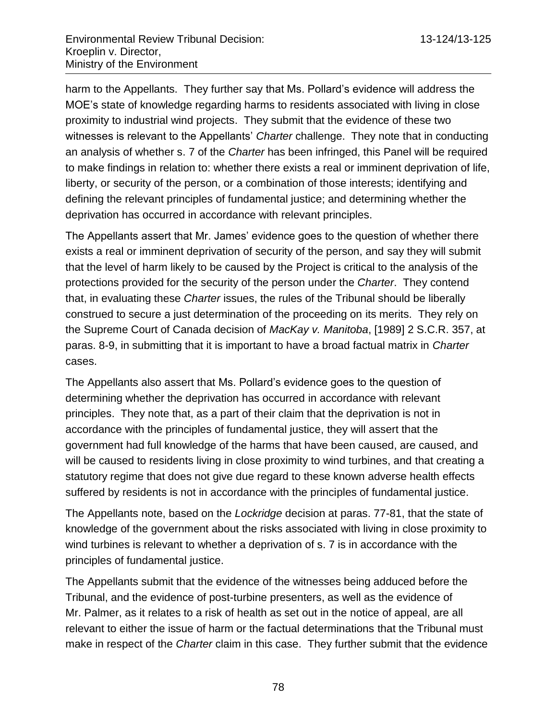harm to the Appellants. They further say that Ms. Pollard's evidence will address the MOE's state of knowledge regarding harms to residents associated with living in close proximity to industrial wind projects. They submit that the evidence of these two witnesses is relevant to the Appellants' *Charter* challenge. They note that in conducting an analysis of whether s. 7 of the *Charter* has been infringed, this Panel will be required to make findings in relation to: whether there exists a real or imminent deprivation of life, liberty, or security of the person, or a combination of those interests; identifying and defining the relevant principles of fundamental justice; and determining whether the deprivation has occurred in accordance with relevant principles.

The Appellants assert that Mr. James' evidence goes to the question of whether there exists a real or imminent deprivation of security of the person, and say they will submit that the level of harm likely to be caused by the Project is critical to the analysis of the protections provided for the security of the person under the *Charter*. They contend that, in evaluating these *Charter* issues, the rules of the Tribunal should be liberally construed to secure a just determination of the proceeding on its merits. They rely on the Supreme Court of Canada decision of *MacKay v. Manitoba*, [1989] 2 S.C.R. 357, at paras. 8-9, in submitting that it is important to have a broad factual matrix in *Charter* cases.

The Appellants also assert that Ms. Pollard's evidence goes to the question of determining whether the deprivation has occurred in accordance with relevant principles. They note that, as a part of their claim that the deprivation is not in accordance with the principles of fundamental justice, they will assert that the government had full knowledge of the harms that have been caused, are caused, and will be caused to residents living in close proximity to wind turbines, and that creating a statutory regime that does not give due regard to these known adverse health effects suffered by residents is not in accordance with the principles of fundamental justice.

The Appellants note, based on the *Lockridge* decision at paras. 77-81, that the state of knowledge of the government about the risks associated with living in close proximity to wind turbines is relevant to whether a deprivation of s. 7 is in accordance with the principles of fundamental justice.

The Appellants submit that the evidence of the witnesses being adduced before the Tribunal, and the evidence of post-turbine presenters, as well as the evidence of Mr. Palmer, as it relates to a risk of health as set out in the notice of appeal, are all relevant to either the issue of harm or the factual determinations that the Tribunal must make in respect of the *Charter* claim in this case. They further submit that the evidence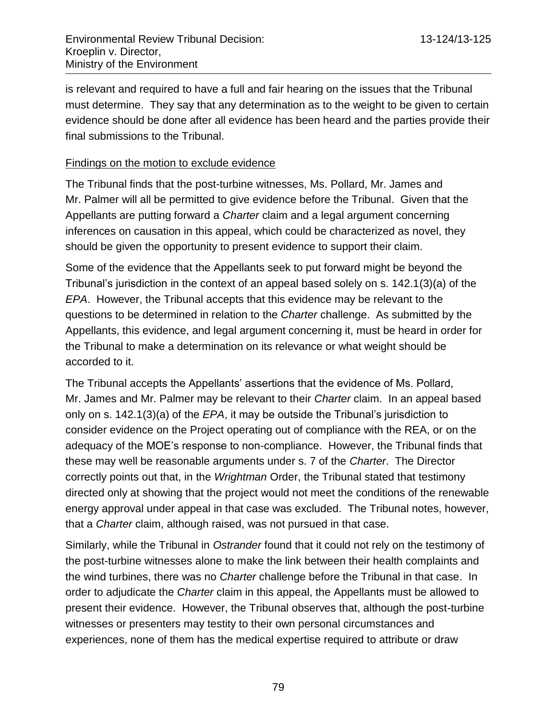is relevant and required to have a full and fair hearing on the issues that the Tribunal must determine. They say that any determination as to the weight to be given to certain evidence should be done after all evidence has been heard and the parties provide their final submissions to the Tribunal.

### Findings on the motion to exclude evidence

The Tribunal finds that the post-turbine witnesses, Ms. Pollard, Mr. James and Mr. Palmer will all be permitted to give evidence before the Tribunal. Given that the Appellants are putting forward a *Charter* claim and a legal argument concerning inferences on causation in this appeal, which could be characterized as novel, they should be given the opportunity to present evidence to support their claim.

Some of the evidence that the Appellants seek to put forward might be beyond the Tribunal's jurisdiction in the context of an appeal based solely on s. 142.1(3)(a) of the *EPA*. However, the Tribunal accepts that this evidence may be relevant to the questions to be determined in relation to the *Charter* challenge. As submitted by the Appellants, this evidence, and legal argument concerning it, must be heard in order for the Tribunal to make a determination on its relevance or what weight should be accorded to it.

The Tribunal accepts the Appellants' assertions that the evidence of Ms. Pollard, Mr. James and Mr. Palmer may be relevant to their *Charter* claim. In an appeal based only on s. 142.1(3)(a) of the *EPA*, it may be outside the Tribunal's jurisdiction to consider evidence on the Project operating out of compliance with the REA, or on the adequacy of the MOE's response to non-compliance. However, the Tribunal finds that these may well be reasonable arguments under s. 7 of the *Charter*. The Director correctly points out that, in the *Wrightman* Order, the Tribunal stated that testimony directed only at showing that the project would not meet the conditions of the renewable energy approval under appeal in that case was excluded. The Tribunal notes, however, that a *Charter* claim, although raised, was not pursued in that case.

Similarly, while the Tribunal in *Ostrander* found that it could not rely on the testimony of the post-turbine witnesses alone to make the link between their health complaints and the wind turbines, there was no *Charter* challenge before the Tribunal in that case. In order to adjudicate the *Charter* claim in this appeal, the Appellants must be allowed to present their evidence. However, the Tribunal observes that, although the post-turbine witnesses or presenters may testity to their own personal circumstances and experiences, none of them has the medical expertise required to attribute or draw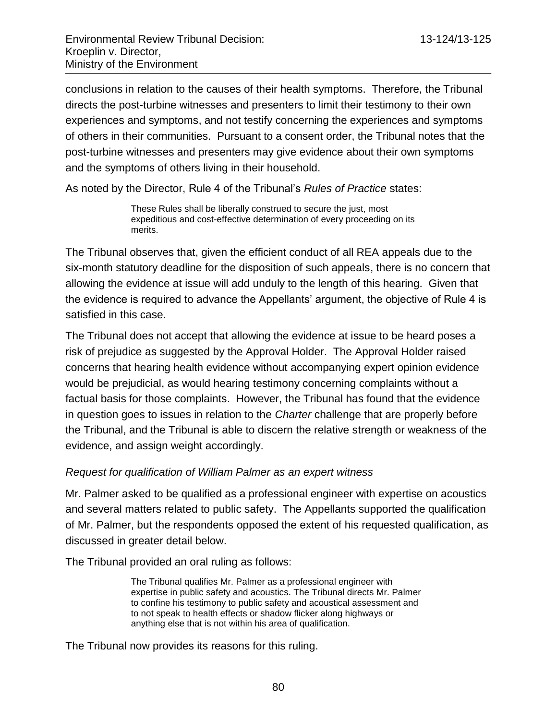conclusions in relation to the causes of their health symptoms. Therefore, the Tribunal directs the post-turbine witnesses and presenters to limit their testimony to their own experiences and symptoms, and not testify concerning the experiences and symptoms of others in their communities. Pursuant to a consent order, the Tribunal notes that the post-turbine witnesses and presenters may give evidence about their own symptoms and the symptoms of others living in their household.

As noted by the Director, Rule 4 of the Tribunal's *Rules of Practice* states:

These Rules shall be liberally construed to secure the just, most expeditious and cost-effective determination of every proceeding on its merits.

The Tribunal observes that, given the efficient conduct of all REA appeals due to the six-month statutory deadline for the disposition of such appeals, there is no concern that allowing the evidence at issue will add unduly to the length of this hearing. Given that the evidence is required to advance the Appellants' argument, the objective of Rule 4 is satisfied in this case.

The Tribunal does not accept that allowing the evidence at issue to be heard poses a risk of prejudice as suggested by the Approval Holder. The Approval Holder raised concerns that hearing health evidence without accompanying expert opinion evidence would be prejudicial, as would hearing testimony concerning complaints without a factual basis for those complaints. However, the Tribunal has found that the evidence in question goes to issues in relation to the *Charter* challenge that are properly before the Tribunal, and the Tribunal is able to discern the relative strength or weakness of the evidence, and assign weight accordingly.

#### *Request for qualification of William Palmer as an expert witness*

Mr. Palmer asked to be qualified as a professional engineer with expertise on acoustics and several matters related to public safety. The Appellants supported the qualification of Mr. Palmer, but the respondents opposed the extent of his requested qualification, as discussed in greater detail below.

The Tribunal provided an oral ruling as follows:

The Tribunal qualifies Mr. Palmer as a professional engineer with expertise in public safety and acoustics. The Tribunal directs Mr. Palmer to confine his testimony to public safety and acoustical assessment and to not speak to health effects or shadow flicker along highways or anything else that is not within his area of qualification.

The Tribunal now provides its reasons for this ruling.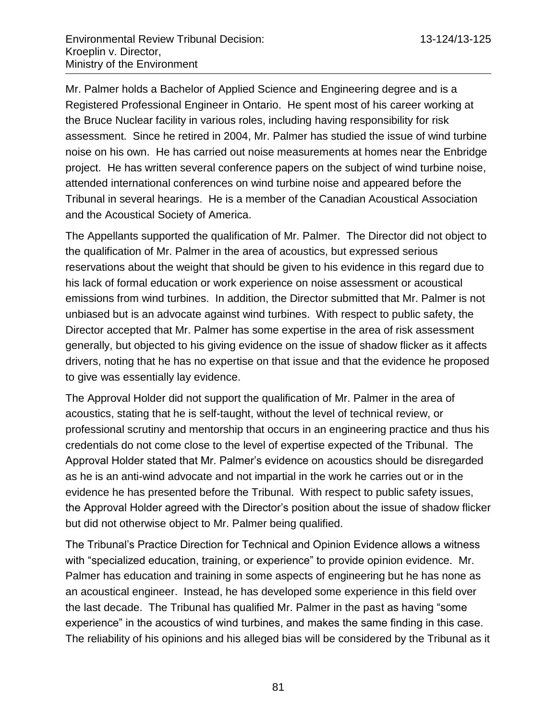Mr. Palmer holds a Bachelor of Applied Science and Engineering degree and is a Registered Professional Engineer in Ontario. He spent most of his career working at the Bruce Nuclear facility in various roles, including having responsibility for risk assessment. Since he retired in 2004, Mr. Palmer has studied the issue of wind turbine noise on his own. He has carried out noise measurements at homes near the Enbridge project. He has written several conference papers on the subject of wind turbine noise, attended international conferences on wind turbine noise and appeared before the Tribunal in several hearings. He is a member of the Canadian Acoustical Association and the Acoustical Society of America.

The Appellants supported the qualification of Mr. Palmer. The Director did not object to the qualification of Mr. Palmer in the area of acoustics, but expressed serious reservations about the weight that should be given to his evidence in this regard due to his lack of formal education or work experience on noise assessment or acoustical emissions from wind turbines. In addition, the Director submitted that Mr. Palmer is not unbiased but is an advocate against wind turbines. With respect to public safety, the Director accepted that Mr. Palmer has some expertise in the area of risk assessment generally, but objected to his giving evidence on the issue of shadow flicker as it affects drivers, noting that he has no expertise on that issue and that the evidence he proposed to give was essentially lay evidence.

The Approval Holder did not support the qualification of Mr. Palmer in the area of acoustics, stating that he is self-taught, without the level of technical review, or professional scrutiny and mentorship that occurs in an engineering practice and thus his credentials do not come close to the level of expertise expected of the Tribunal. The Approval Holder stated that Mr. Palmer's evidence on acoustics should be disregarded as he is an anti-wind advocate and not impartial in the work he carries out or in the evidence he has presented before the Tribunal. With respect to public safety issues, the Approval Holder agreed with the Director's position about the issue of shadow flicker but did not otherwise object to Mr. Palmer being qualified.

The Tribunal's Practice Direction for Technical and Opinion Evidence allows a witness with "specialized education, training, or experience" to provide opinion evidence. Mr. Palmer has education and training in some aspects of engineering but he has none as an acoustical engineer. Instead, he has developed some experience in this field over the last decade. The Tribunal has qualified Mr. Palmer in the past as having "some experience" in the acoustics of wind turbines, and makes the same finding in this case. The reliability of his opinions and his alleged bias will be considered by the Tribunal as it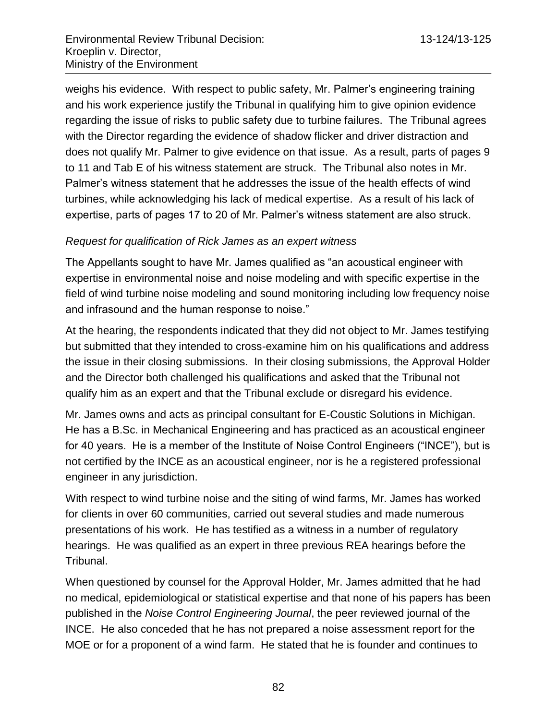weighs his evidence. With respect to public safety, Mr. Palmer's engineering training and his work experience justify the Tribunal in qualifying him to give opinion evidence regarding the issue of risks to public safety due to turbine failures. The Tribunal agrees with the Director regarding the evidence of shadow flicker and driver distraction and does not qualify Mr. Palmer to give evidence on that issue. As a result, parts of pages 9 to 11 and Tab E of his witness statement are struck. The Tribunal also notes in Mr. Palmer's witness statement that he addresses the issue of the health effects of wind turbines, while acknowledging his lack of medical expertise. As a result of his lack of expertise, parts of pages 17 to 20 of Mr. Palmer's witness statement are also struck.

## *Request for qualification of Rick James as an expert witness*

The Appellants sought to have Mr. James qualified as "an acoustical engineer with expertise in environmental noise and noise modeling and with specific expertise in the field of wind turbine noise modeling and sound monitoring including low frequency noise and infrasound and the human response to noise."

At the hearing, the respondents indicated that they did not object to Mr. James testifying but submitted that they intended to cross-examine him on his qualifications and address the issue in their closing submissions. In their closing submissions, the Approval Holder and the Director both challenged his qualifications and asked that the Tribunal not qualify him as an expert and that the Tribunal exclude or disregard his evidence.

Mr. James owns and acts as principal consultant for E-Coustic Solutions in Michigan. He has a B.Sc. in Mechanical Engineering and has practiced as an acoustical engineer for 40 years. He is a member of the Institute of Noise Control Engineers ("INCE"), but is not certified by the INCE as an acoustical engineer, nor is he a registered professional engineer in any jurisdiction.

With respect to wind turbine noise and the siting of wind farms, Mr. James has worked for clients in over 60 communities, carried out several studies and made numerous presentations of his work. He has testified as a witness in a number of regulatory hearings. He was qualified as an expert in three previous REA hearings before the Tribunal.

When questioned by counsel for the Approval Holder, Mr. James admitted that he had no medical, epidemiological or statistical expertise and that none of his papers has been published in the *Noise Control Engineering Journal*, the peer reviewed journal of the INCE. He also conceded that he has not prepared a noise assessment report for the MOE or for a proponent of a wind farm. He stated that he is founder and continues to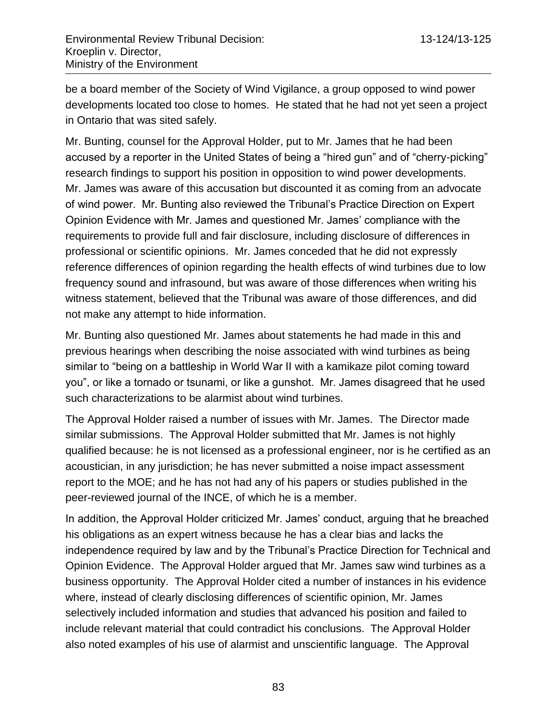be a board member of the Society of Wind Vigilance, a group opposed to wind power developments located too close to homes. He stated that he had not yet seen a project in Ontario that was sited safely.

Mr. Bunting, counsel for the Approval Holder, put to Mr. James that he had been accused by a reporter in the United States of being a "hired gun" and of "cherry-picking" research findings to support his position in opposition to wind power developments. Mr. James was aware of this accusation but discounted it as coming from an advocate of wind power. Mr. Bunting also reviewed the Tribunal's Practice Direction on Expert Opinion Evidence with Mr. James and questioned Mr. James' compliance with the requirements to provide full and fair disclosure, including disclosure of differences in professional or scientific opinions. Mr. James conceded that he did not expressly reference differences of opinion regarding the health effects of wind turbines due to low frequency sound and infrasound, but was aware of those differences when writing his witness statement, believed that the Tribunal was aware of those differences, and did not make any attempt to hide information.

Mr. Bunting also questioned Mr. James about statements he had made in this and previous hearings when describing the noise associated with wind turbines as being similar to "being on a battleship in World War II with a kamikaze pilot coming toward you", or like a tornado or tsunami, or like a gunshot. Mr. James disagreed that he used such characterizations to be alarmist about wind turbines.

The Approval Holder raised a number of issues with Mr. James. The Director made similar submissions. The Approval Holder submitted that Mr. James is not highly qualified because: he is not licensed as a professional engineer, nor is he certified as an acoustician, in any jurisdiction; he has never submitted a noise impact assessment report to the MOE; and he has not had any of his papers or studies published in the peer-reviewed journal of the INCE, of which he is a member.

In addition, the Approval Holder criticized Mr. James' conduct, arguing that he breached his obligations as an expert witness because he has a clear bias and lacks the independence required by law and by the Tribunal's Practice Direction for Technical and Opinion Evidence. The Approval Holder argued that Mr. James saw wind turbines as a business opportunity. The Approval Holder cited a number of instances in his evidence where, instead of clearly disclosing differences of scientific opinion, Mr. James selectively included information and studies that advanced his position and failed to include relevant material that could contradict his conclusions. The Approval Holder also noted examples of his use of alarmist and unscientific language. The Approval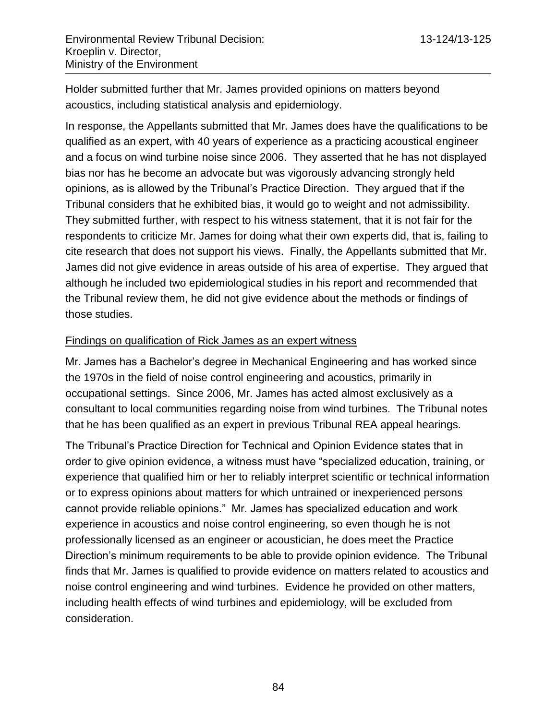Holder submitted further that Mr. James provided opinions on matters beyond acoustics, including statistical analysis and epidemiology.

In response, the Appellants submitted that Mr. James does have the qualifications to be qualified as an expert, with 40 years of experience as a practicing acoustical engineer and a focus on wind turbine noise since 2006. They asserted that he has not displayed bias nor has he become an advocate but was vigorously advancing strongly held opinions, as is allowed by the Tribunal's Practice Direction. They argued that if the Tribunal considers that he exhibited bias, it would go to weight and not admissibility. They submitted further, with respect to his witness statement, that it is not fair for the respondents to criticize Mr. James for doing what their own experts did, that is, failing to cite research that does not support his views. Finally, the Appellants submitted that Mr. James did not give evidence in areas outside of his area of expertise. They argued that although he included two epidemiological studies in his report and recommended that the Tribunal review them, he did not give evidence about the methods or findings of those studies.

### Findings on qualification of Rick James as an expert witness

Mr. James has a Bachelor's degree in Mechanical Engineering and has worked since the 1970s in the field of noise control engineering and acoustics, primarily in occupational settings. Since 2006, Mr. James has acted almost exclusively as a consultant to local communities regarding noise from wind turbines. The Tribunal notes that he has been qualified as an expert in previous Tribunal REA appeal hearings.

The Tribunal's Practice Direction for Technical and Opinion Evidence states that in order to give opinion evidence, a witness must have "specialized education, training, or experience that qualified him or her to reliably interpret scientific or technical information or to express opinions about matters for which untrained or inexperienced persons cannot provide reliable opinions." Mr. James has specialized education and work experience in acoustics and noise control engineering, so even though he is not professionally licensed as an engineer or acoustician, he does meet the Practice Direction's minimum requirements to be able to provide opinion evidence. The Tribunal finds that Mr. James is qualified to provide evidence on matters related to acoustics and noise control engineering and wind turbines. Evidence he provided on other matters, including health effects of wind turbines and epidemiology, will be excluded from consideration.